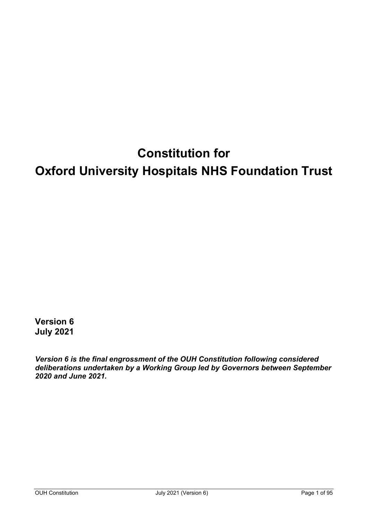# **Constitution for Oxford University Hospitals NHS Foundation Trust**

**Version 6 July 2021**

*Version 6 is the final engrossment of the OUH Constitution following considered deliberations undertaken by a Working Group led by Governors between September 2020 and June 2021.*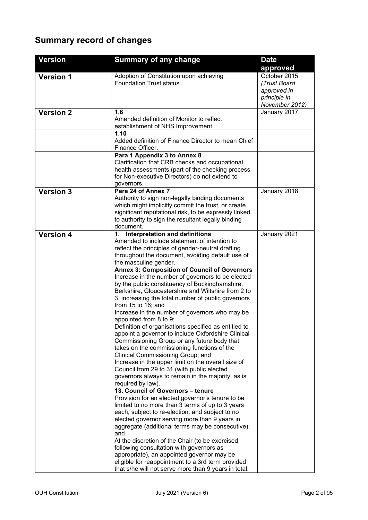### **Summary record of changes**

| <b>Version</b>   | <b>Summary of any change</b>                                                                                                                                                                                                                                                                                                                                                                                                                                                                                                                                                                                                                                                                                                                                                                                 | <b>Date</b>                                                                   |
|------------------|--------------------------------------------------------------------------------------------------------------------------------------------------------------------------------------------------------------------------------------------------------------------------------------------------------------------------------------------------------------------------------------------------------------------------------------------------------------------------------------------------------------------------------------------------------------------------------------------------------------------------------------------------------------------------------------------------------------------------------------------------------------------------------------------------------------|-------------------------------------------------------------------------------|
|                  |                                                                                                                                                                                                                                                                                                                                                                                                                                                                                                                                                                                                                                                                                                                                                                                                              | approved                                                                      |
| <b>Version 1</b> | Adoption of Constitution upon achieving<br><b>Foundation Trust status</b>                                                                                                                                                                                                                                                                                                                                                                                                                                                                                                                                                                                                                                                                                                                                    | October 2015<br>(Trust Board<br>approved in<br>principle in<br>November 2012) |
| <b>Version 2</b> | 1.8<br>Amended definition of Monitor to reflect<br>establishment of NHS Improvement.                                                                                                                                                                                                                                                                                                                                                                                                                                                                                                                                                                                                                                                                                                                         | January 2017                                                                  |
|                  | 1.10<br>Added definition of Finance Director to mean Chief<br>Finance Officer.                                                                                                                                                                                                                                                                                                                                                                                                                                                                                                                                                                                                                                                                                                                               |                                                                               |
|                  | Para 1 Appendix 3 to Annex 8<br>Clarification that CRB checks and occupational<br>health assessments (part of the checking process<br>for Non-executive Directors) do not extend to<br>governors.                                                                                                                                                                                                                                                                                                                                                                                                                                                                                                                                                                                                            |                                                                               |
| <b>Version 3</b> | Para 24 of Annex 7<br>Authority to sign non-legally binding documents<br>which might implicitly commit the trust, or create<br>significant reputational risk, to be expressly linked<br>to authority to sign the resultant legally binding<br>document.                                                                                                                                                                                                                                                                                                                                                                                                                                                                                                                                                      | January 2018                                                                  |
| <b>Version 4</b> | <b>Interpretation and definitions</b><br>$\mathbf 1$ .<br>Amended to include statement of intention to<br>reflect the principles of gender-neutral drafting<br>throughout the document, avoiding default use of<br>the masculine gender.                                                                                                                                                                                                                                                                                                                                                                                                                                                                                                                                                                     | January 2021                                                                  |
|                  | <b>Annex 3: Composition of Council of Governors</b><br>Increase in the number of governors to be elected<br>by the public constituency of Buckinghamshire,<br>Berkshire, Gloucestershire and Wiltshire from 2 to<br>3, increasing the total number of public governors<br>from $15$ to $16$ ; and<br>Increase in the number of governors who may be<br>appointed from 8 to 9;<br>Definition of organisations specified as entitled to<br>appoint a governor to include Oxfordshire Clinical<br>Commissioning Group or any future body that<br>takes on the commissioning functions of the<br>Clinical Commissioning Group; and<br>Increase in the upper limit on the overall size of<br>Council from 29 to 31 (with public elected<br>governors always to remain in the majority, as is<br>required by law). |                                                                               |
|                  | 13. Council of Governors - tenure<br>Provision for an elected governor's tenure to be<br>limited to no more than 3 terms of up to 3 years<br>each, subject to re-election, and subject to no<br>elected governor serving more than 9 years in<br>aggregate (additional terms may be consecutive);<br>and<br>At the discretion of the Chair (to be exercised<br>following consultation with governors as<br>appropriate), an appointed governor may be<br>eligible for reappointment to a 3rd term provided<br>that s/he will not serve more than 9 years in total.                                                                                                                                                                                                                                           |                                                                               |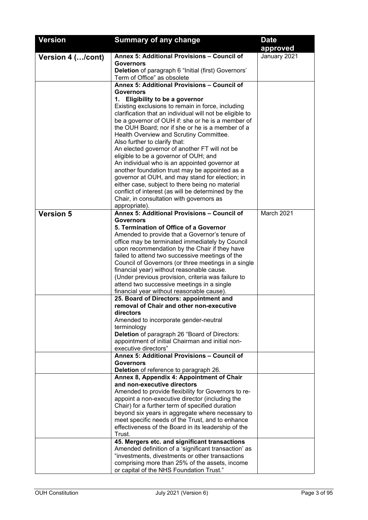| <b>Version</b>    | <b>Summary of any change</b>                                                                                  | <b>Date</b>  |
|-------------------|---------------------------------------------------------------------------------------------------------------|--------------|
|                   |                                                                                                               | approved     |
| Version 4 (/cont) | Annex 5: Additional Provisions - Council of                                                                   | January 2021 |
|                   | <b>Governors</b>                                                                                              |              |
|                   | Deletion of paragraph 6 "Initial (first) Governors'                                                           |              |
|                   | Term of Office" as obsolete                                                                                   |              |
|                   | Annex 5: Additional Provisions - Council of                                                                   |              |
|                   | Governors                                                                                                     |              |
|                   | 1. Eligibility to be a governor                                                                               |              |
|                   | Existing exclusions to remain in force, including<br>clarification that an individual will not be eligible to |              |
|                   | be a governor of OUH if: she or he is a member of                                                             |              |
|                   | the OUH Board; nor if she or he is a member of a                                                              |              |
|                   | Health Overview and Scrutiny Committee.                                                                       |              |
|                   | Also further to clarify that:                                                                                 |              |
|                   | An elected governor of another FT will not be                                                                 |              |
|                   | eligible to be a governor of OUH; and                                                                         |              |
|                   | An individual who is an appointed governor at                                                                 |              |
|                   | another foundation trust may be appointed as a                                                                |              |
|                   | governor at OUH, and may stand for election; in                                                               |              |
|                   | either case, subject to there being no material                                                               |              |
|                   | conflict of interest (as will be determined by the                                                            |              |
|                   | Chair, in consultation with governors as                                                                      |              |
| <b>Version 5</b>  | appropriate).<br>Annex 5: Additional Provisions - Council of                                                  | March 2021   |
|                   | <b>Governors</b>                                                                                              |              |
|                   | 5. Termination of Office of a Governor                                                                        |              |
|                   | Amended to provide that a Governor's tenure of                                                                |              |
|                   | office may be terminated immediately by Council                                                               |              |
|                   | upon recommendation by the Chair if they have                                                                 |              |
|                   | failed to attend two successive meetings of the                                                               |              |
|                   | Council of Governors (or three meetings in a single                                                           |              |
|                   | financial year) without reasonable cause.                                                                     |              |
|                   | (Under previous provision, criteria was failure to<br>attend two successive meetings in a single              |              |
|                   | financial year without reasonable cause).                                                                     |              |
|                   | 25. Board of Directors: appointment and                                                                       |              |
|                   | removal of Chair and other non-executive                                                                      |              |
|                   | directors                                                                                                     |              |
|                   | Amended to incorporate gender-neutral                                                                         |              |
|                   | terminology                                                                                                   |              |
|                   | Deletion of paragraph 26 "Board of Directors:                                                                 |              |
|                   | appointment of initial Chairman and initial non-                                                              |              |
|                   | executive directors"<br>Annex 5: Additional Provisions - Council of                                           |              |
|                   | <b>Governors</b>                                                                                              |              |
|                   | Deletion of reference to paragraph 26.                                                                        |              |
|                   | Annex 8, Appendix 4: Appointment of Chair                                                                     |              |
|                   | and non-executive directors                                                                                   |              |
|                   | Amended to provide flexibility for Governors to re-                                                           |              |
|                   | appoint a non-executive director (including the                                                               |              |
|                   | Chair) for a further term of specified duration                                                               |              |
|                   | beyond six years in aggregate where necessary to                                                              |              |
|                   | meet specific needs of the Trust, and to enhance                                                              |              |
|                   | effectiveness of the Board in its leadership of the                                                           |              |
|                   | Trust.<br>45. Mergers etc. and significant transactions                                                       |              |
|                   | Amended definition of a 'significant transaction' as                                                          |              |
|                   | "investments, divestments or other transactions                                                               |              |
|                   | comprising more than 25% of the assets, income                                                                |              |
|                   | or capital of the NHS Foundation Trust."                                                                      |              |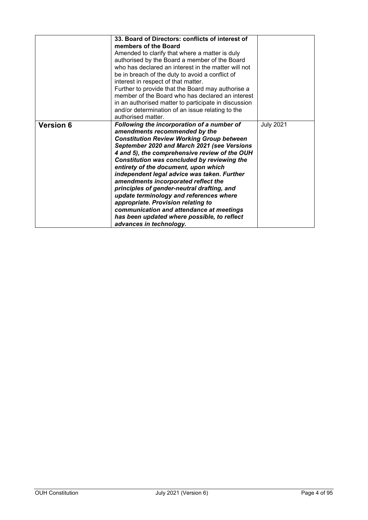|                  | 33. Board of Directors: conflicts of interest of<br>members of the Board<br>Amended to clarify that where a matter is duly<br>authorised by the Board a member of the Board<br>who has declared an interest in the matter will not<br>be in breach of the duty to avoid a conflict of<br>interest in respect of that matter.<br>Further to provide that the Board may authorise a<br>member of the Board who has declared an interest<br>in an authorised matter to participate in discussion<br>and/or determination of an issue relating to the<br>authorised matter.                                                                                           |                  |
|------------------|-------------------------------------------------------------------------------------------------------------------------------------------------------------------------------------------------------------------------------------------------------------------------------------------------------------------------------------------------------------------------------------------------------------------------------------------------------------------------------------------------------------------------------------------------------------------------------------------------------------------------------------------------------------------|------------------|
| <b>Version 6</b> | Following the incorporation of a number of<br>amendments recommended by the<br><b>Constitution Review Working Group between</b><br>September 2020 and March 2021 (see Versions<br>4 and 5), the comprehensive review of the OUH<br>Constitution was concluded by reviewing the<br>entirety of the document, upon which<br>independent legal advice was taken. Further<br>amendments incorporated reflect the<br>principles of gender-neutral drafting, and<br>update terminology and references where<br>appropriate. Provision relating to<br>communication and attendance at meetings<br>has been updated where possible, to reflect<br>advances in technology. | <b>July 2021</b> |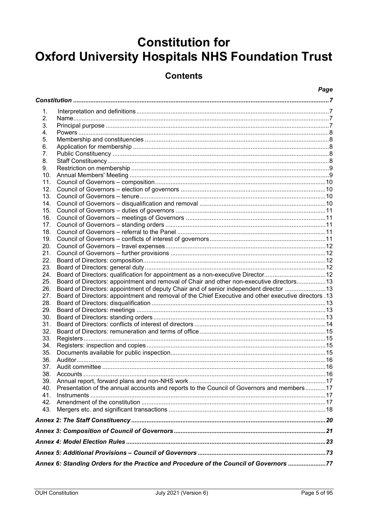## **Constitution for Oxford University Hospitals NHS Foundation Trust**

### **Contents**

### Page

| 1.              |                                                                                                       |  |
|-----------------|-------------------------------------------------------------------------------------------------------|--|
| 2.              |                                                                                                       |  |
| 3.              |                                                                                                       |  |
| 4.              |                                                                                                       |  |
| 5.              |                                                                                                       |  |
| 6.              |                                                                                                       |  |
| 7.              |                                                                                                       |  |
| 8.              |                                                                                                       |  |
| 9.              |                                                                                                       |  |
| 10.             |                                                                                                       |  |
| 11.             |                                                                                                       |  |
| 12.             |                                                                                                       |  |
| 13.             |                                                                                                       |  |
| 14.             |                                                                                                       |  |
| 15.             |                                                                                                       |  |
| 16.             |                                                                                                       |  |
| 17 <sub>1</sub> |                                                                                                       |  |
| 18.             |                                                                                                       |  |
| 19.             |                                                                                                       |  |
| 20.             |                                                                                                       |  |
| 21.             |                                                                                                       |  |
| 22.             |                                                                                                       |  |
| 23.             |                                                                                                       |  |
| 24.             | Board of Directors: qualification for appointment as a non-executive Director12                       |  |
| 25.             | Board of Directors: appointment and removal of Chair and other non-executive directors13              |  |
| 26.             | Board of Directors: appointment of deputy Chair and of senior independent director 13                 |  |
| 27.             | 13. Board of Directors: appointment and removal of the Chief Executive and other executive directors. |  |
| 28.             |                                                                                                       |  |
| 29.             |                                                                                                       |  |
| 30.             |                                                                                                       |  |
| 31.             |                                                                                                       |  |
| 32.             |                                                                                                       |  |
| 33.             |                                                                                                       |  |
| 34.             |                                                                                                       |  |
| 35.             |                                                                                                       |  |
| 36.             |                                                                                                       |  |
| 37.             |                                                                                                       |  |
|                 |                                                                                                       |  |
| 39.             |                                                                                                       |  |
| 40.             | Presentation of the annual accounts and reports to the Council of Governors and members17             |  |
| 41.             |                                                                                                       |  |
| 42.             |                                                                                                       |  |
| 43.             |                                                                                                       |  |
|                 |                                                                                                       |  |
|                 |                                                                                                       |  |
|                 |                                                                                                       |  |
|                 |                                                                                                       |  |
|                 | Annex 6: Standing Orders for the Practice and Procedure of the Council of Governors 77                |  |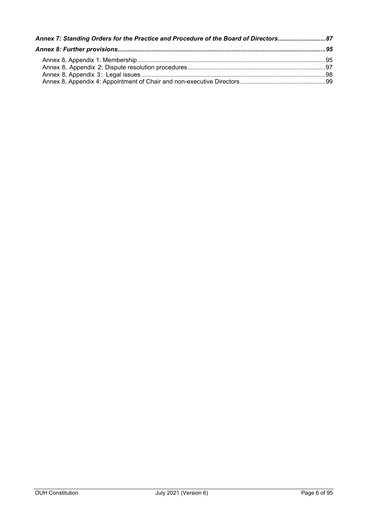| Annex 7: Standing Orders for the Practice and Procedure of the Board of Directors87 |  |
|-------------------------------------------------------------------------------------|--|
|                                                                                     |  |
|                                                                                     |  |
|                                                                                     |  |
|                                                                                     |  |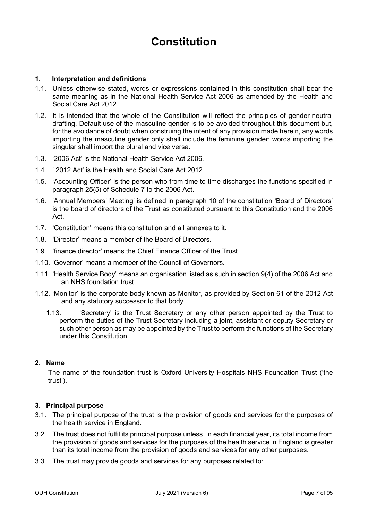### **Constitution**

### <span id="page-6-1"></span><span id="page-6-0"></span>**1. Interpretation and definitions**

- 1.1. Unless otherwise stated, words or expressions contained in this constitution shall bear the same meaning as in the National Health Service Act 2006 as amended by the Health and Social Care Act 2012.
- 1.2. It is intended that the whole of the Constitution will reflect the principles of gender-neutral drafting. Default use of the masculine gender is to be avoided throughout this document but, for the avoidance of doubt when construing the intent of any provision made herein, any words importing the masculine gender only shall include the feminine gender; words importing the singular shall import the plural and vice versa.
- 1.3. '2006 Act' is the National Health Service Act 2006.
- 1.4. ' 2012 Act' is the Health and Social Care Act 2012.
- 1.5. 'Accounting Officer' is the person who from time to time discharges the functions specified in paragraph 25(5) of Schedule 7 to the 2006 Act.
- 1.6. 'Annual Members' Meeting' is defined in paragraph 10 of the constitution 'Board of Directors' is the board of directors of the Trust as constituted pursuant to this Constitution and the 2006 Act.
- 1.7. 'Constitution' means this constitution and all annexes to it.
- 1.8. 'Director' means a member of the Board of Directors.
- 1.9. 'finance director' means the Chief Finance Officer of the Trust.
- 1.10. 'Governor' means a member of the Council of Governors.
- 1.11. 'Health Service Body' means an organisation listed as such in section 9(4) of the 2006 Act and an NHS foundation trust.
- 1.12. 'Monitor' is the corporate body known as Monitor, as provided by Section 61 of the 2012 Act and any statutory successor to that body.
	- 1.13. 'Secretary' is the Trust Secretary or any other person appointed by the Trust to perform the duties of the Trust Secretary including a joint, assistant or deputy Secretary or such other person as may be appointed by the Trust to perform the functions of the Secretary under this Constitution.

### <span id="page-6-2"></span>**2. Name**

The name of the foundation trust is Oxford University Hospitals NHS Foundation Trust ('the trust').

### <span id="page-6-3"></span>**3. Principal purpose**

- 3.1. The principal purpose of the trust is the provision of goods and services for the purposes of the health service in England.
- 3.2. The trust does not fulfil its principal purpose unless, in each financial year, its total income from the provision of goods and services for the purposes of the health service in England is greater than its total income from the provision of goods and services for any other purposes.
- 3.3. The trust may provide goods and services for any purposes related to: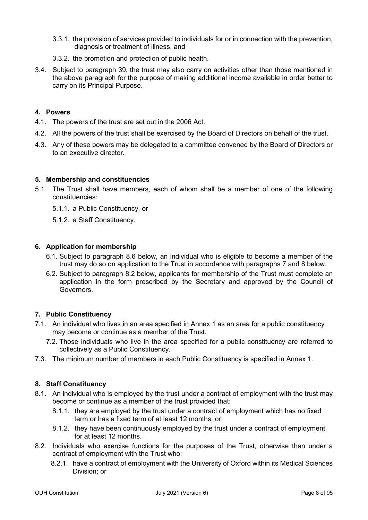- 3.3.1. the provision of services provided to individuals for or in connection with the prevention, diagnosis or treatment of illness, and
- 3.3.2. the promotion and protection of public health.
- 3.4. Subject to paragraph 39, the trust may also carry on activities other than those mentioned in the above paragraph for the purpose of making additional income available in order better to carry on its Principal Purpose.

### <span id="page-7-0"></span>**4. Powers**

- 4.1. The powers of the trust are set out in the 2006 Act.
- 4.2. All the powers of the trust shall be exercised by the Board of Directors on behalf of the trust.
- 4.3. Any of these powers may be delegated to a committee convened by the Board of Directors or to an executive director.

### <span id="page-7-1"></span>**5. Membership and constituencies**

- 5.1. The Trust shall have members, each of whom shall be a member of one of the following constituencies:
	- 5.1.1. a Public Constituency, or
	- 5.1.2. a Staff Constituency.

### <span id="page-7-2"></span>**6. Application for membership**

- 6.1. Subject to paragraph 8.6 below, an individual who is eligible to become a member of the trust may do so on application to the Trust in accordance with paragraphs 7 and 8 below.
- 6.2. Subject to paragraph 8.2 below, applicants for membership of the Trust must complete an application in the form prescribed by the Secretary and approved by the Council of Governors.

### <span id="page-7-3"></span>**7. Public Constituency**

- 7.1. An individual who lives in an area specified in Annex 1 as an area for a public constituency may become or continue as a member of the Trust.
	- 7.2. Those individuals who live in the area specified for a public constituency are referred to collectively as a Public Constituency.
- 7.3. The minimum number of members in each Public Constituency is specified in Annex 1.

### <span id="page-7-4"></span>**8. Staff Constituency**

- 8.1. An individual who is employed by the trust under a contract of employment with the trust may become or continue as a member of the trust provided that:
	- 8.1.1. they are employed by the trust under a contract of employment which has no fixed term or has a fixed term of at least 12 months; or
	- 8.1.2. they have been continuously employed by the trust under a contract of employment for at least 12 months.
- 8.2. Individuals who exercise functions for the purposes of the Trust, otherwise than under a contract of employment with the Trust who:
	- 8.2.1. have a contract of employment with the University of Oxford within its Medical Sciences Division; or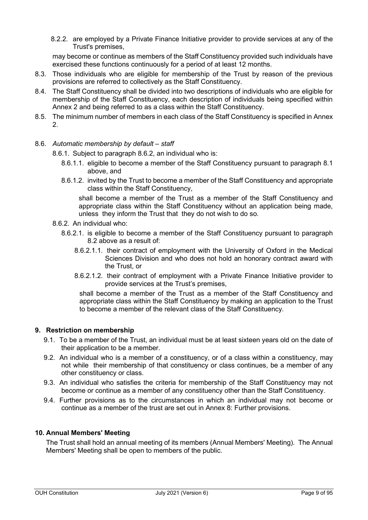8.2.2. are employed by a Private Finance Initiative provider to provide services at any of the Trust's premises,

may become or continue as members of the Staff Constituency provided such individuals have exercised these functions continuously for a period of at least 12 months.

- 8.3. Those individuals who are eligible for membership of the Trust by reason of the previous provisions are referred to collectively as the Staff Constituency.
- 8.4. The Staff Constituency shall be divided into two descriptions of individuals who are eligible for membership of the Staff Constituency, each description of individuals being specified within Annex 2 and being referred to as a class within the Staff Constituency.
- 8.5. The minimum number of members in each class of the Staff Constituency is specified in Annex 2.
- 8.6. *Automatic membership by default – staff*

8.6.1. Subject to paragraph 8.6.2, an individual who is:

- 8.6.1.1. eligible to become a member of the Staff Constituency pursuant to paragraph 8.1 above, and
- 8.6.1.2. invited by the Trust to become a member of the Staff Constituency and appropriate class within the Staff Constituency,

shall become a member of the Trust as a member of the Staff Constituency and appropriate class within the Staff Constituency without an application being made, unless they inform the Trust that they do not wish to do so.

- 8.6.2. An individual who:
	- 8.6.2.1. is eligible to become a member of the Staff Constituency pursuant to paragraph 8.2 above as a result of:
		- 8.6.2.1.1. their contract of employment with the University of Oxford in the Medical Sciences Division and who does not hold an honorary contract award with the Trust, or
		- 8.6.2.1.2. their contract of employment with a Private Finance Initiative provider to provide services at the Trust's premises,

shall become a member of the Trust as a member of the Staff Constituency and appropriate class within the Staff Constituency by making an application to the Trust to become a member of the relevant class of the Staff Constituency.

### <span id="page-8-0"></span>**9. Restriction on membership**

- 9.1. To be a member of the Trust, an individual must be at least sixteen years old on the date of their application to be a member.
- 9.2. An individual who is a member of a constituency, or of a class within a constituency, may not while their membership of that constituency or class continues, be a member of any other constituency or class.
- 9.3. An individual who satisfies the criteria for membership of the Staff Constituency may not become or continue as a member of any constituency other than the Staff Constituency.
- 9.4. Further provisions as to the circumstances in which an individual may not become or continue as a member of the trust are set out in [Annex 8: Further provisions.](#page-94-0)

### <span id="page-8-1"></span>**10. Annual Members' Meeting**

The Trust shall hold an annual meeting of its members (Annual Members' Meeting). The Annual Members' Meeting shall be open to members of the public.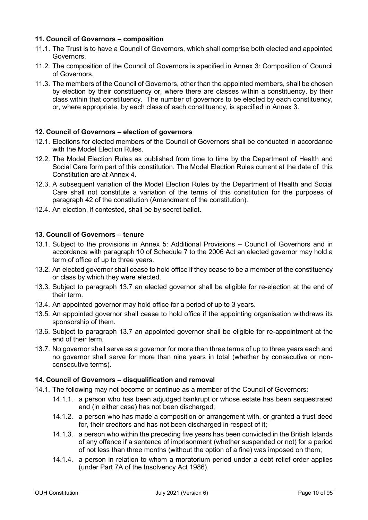### <span id="page-9-0"></span>**11. Council of Governors – composition**

- 11.1. The Trust is to have a Council of Governors, which shall comprise both elected and appointed Governors.
- 11.2. The composition of the Council of Governors is specified in [Annex 3: Composition of Council](#page-20-0)  [of Governors.](#page-20-0)
- 11.3. The members of the Council of Governors, other than the appointed members, shall be chosen by election by their constituency or, where there are classes within a constituency, by their class within that constituency. The number of governors to be elected by each constituency, or, where appropriate, by each class of each constituency, is specified in Annex 3.

### <span id="page-9-1"></span>**12. Council of Governors – election of governors**

- 12.1. Elections for elected members of the Council of Governors shall be conducted in accordance with the Model Election Rules.
- 12.2. The Model Election Rules as published from time to time by the Department of Health and Social Care form part of this constitution. The Model Election Rules current at the date of this Constitution are at Annex 4.
- 12.3. A subsequent variation of the Model Election Rules by the Department of Health and Social Care shall not constitute a variation of the terms of this constitution for the purposes of paragraph [42](#page-16-3) of the constitution (Amendment of the constitution).
- 12.4. An election, if contested, shall be by secret ballot.

### <span id="page-9-2"></span>**13. Council of Governors – tenure**

- 13.1. Subject to the provisions in Annex 5: Additional Provisions Council of Governors and in accordance with paragraph 10 of Schedule 7 to the 2006 Act an elected governor may hold a term of office of up to three years.
- 13.2. An elected governor shall cease to hold office if they cease to be a member of the constituency or class by which they were elected.
- 13.3. Subject to paragraph 13.7 an elected governor shall be eligible for re-election at the end of their term.
- 13.4. An appointed governor may hold office for a period of up to 3 years.
- 13.5. An appointed governor shall cease to hold office if the appointing organisation withdraws its sponsorship of them.
- 13.6. Subject to paragraph 13.7 an appointed governor shall be eligible for re-appointment at the end of their term.
- 13.7. No governor shall serve as a governor for more than three terms of up to three years each and no governor shall serve for more than nine years in total (whether by consecutive or nonconsecutive terms).

### <span id="page-9-3"></span>**14. Council of Governors – disqualification and removal**

- 14.1. The following may not become or continue as a member of the Council of Governors:
	- 14.1.1. a person who has been adjudged bankrupt or whose estate has been sequestrated and (in either case) has not been discharged;
	- 14.1.2. a person who has made a composition or arrangement with, or granted a trust deed for, their creditors and has not been discharged in respect of it;
	- 14.1.3. a person who within the preceding five years has been convicted in the British Islands of any offence if a sentence of imprisonment (whether suspended or not) for a period of not less than three months (without the option of a fine) was imposed on them;
	- 14.1.4. a person in relation to whom a moratorium period under a debt relief order applies (under Part 7A of the Insolvency Act 1986).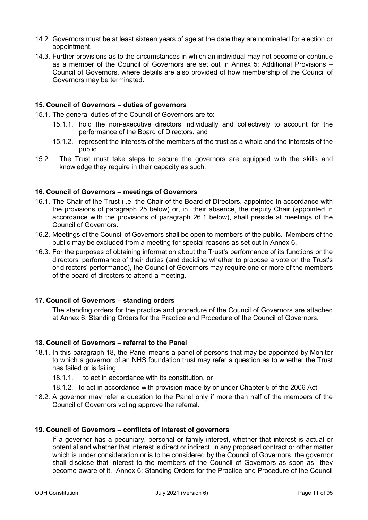- 14.2. Governors must be at least sixteen years of age at the date they are nominated for election or appointment.
- 14.3. Further provisions as to the circumstances in which an individual may not become or continue as a member of the Council of Governors are set out in [Annex 5: Additional Provisions –](#page-72-0) [Council of Governors,](#page-72-0) where details are also provided of how membership of the Council of Governors may be terminated.

### <span id="page-10-0"></span>**15. Council of Governors – duties of governors**

- 15.1. The general duties of the Council of Governors are to:
	- 15.1.1. hold the non-executive directors individually and collectively to account for the performance of the Board of Directors, and
	- 15.1.2. represent the interests of the members of the trust as a whole and the interests of the public.
- 15.2. The Trust must take steps to secure the governors are equipped with the skills and knowledge they require in their capacity as such.

### <span id="page-10-1"></span>**16. Council of Governors – meetings of Governors**

- 16.1. The Chair of the Trust (i.e. the Chair of the Board of Directors, appointed in accordance with the provisions of paragraph [25 below\)](#page-12-0) or, in their absence, the deputy Chair (appointed in accordance with the provisions of paragraph [26.1 below\)](#page-12-6), shall preside at meetings of the Council of Governors.
- 16.2. Meetings of the Council of Governors shall be open to members of the public. Members of the public may be excluded from a meeting for special reasons as set out in Annex 6.
- 16.3. For the purposes of obtaining information about the Trust's performance of its functions or the directors' performance of their duties (and deciding whether to propose a vote on the Trust's or directors' performance), the Council of Governors may require one or more of the members of the board of directors to attend a meeting.

### <span id="page-10-2"></span>**17. Council of Governors – standing orders**

The standing orders for the practice and procedure of the Council of Governors are attached at [Annex 6: Standing Orders for the Practice and Procedure of the Council of Governors.](#page-76-0)

### <span id="page-10-3"></span>**18. Council of Governors – referral to the Panel**

- 18.1. In this paragraph 18, the Panel means a panel of persons that may be appointed by Monitor to which a governor of an NHS foundation trust may refer a question as to whether the Trust has failed or is failing:
	- 18.1.1. to act in accordance with its constitution, or
	- 18.1.2. to act in accordance with provision made by or under Chapter 5 of the 2006 Act.
- 18.2. A governor may refer a question to the Panel only if more than half of the members of the Council of Governors voting approve the referral.

### <span id="page-10-4"></span>**19. Council of Governors – conflicts of interest of governors**

If a governor has a pecuniary, personal or family interest, whether that interest is actual or potential and whether that interest is direct or indirect, in any proposed contract or other matter which is under consideration or is to be considered by the Council of Governors, the governor shall disclose that interest to the members of the Council of Governors as soon as they become aware of it. [Annex 6: Standing Orders for the Practice and Procedure of the Council](#page-76-0)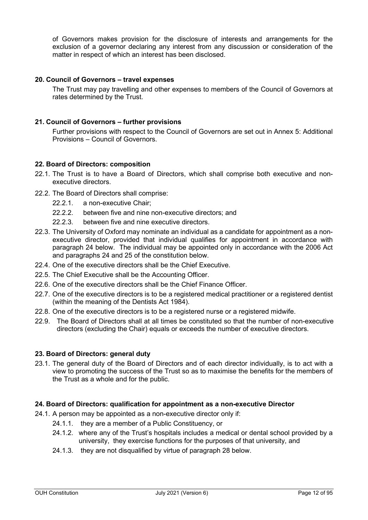[of Governors](#page-76-0) makes provision for the disclosure of interests and arrangements for the exclusion of a governor declaring any interest from any discussion or consideration of the matter in respect of which an interest has been disclosed.

### <span id="page-11-0"></span>**20. Council of Governors – travel expenses**

The Trust may pay travelling and other expenses to members of the Council of Governors at rates determined by the Trust.

### <span id="page-11-1"></span>**21. Council of Governors – further provisions**

Further provisions with respect to the Council of Governors are set out in [Annex 5: Additional](#page-72-0)  Provisions – [Council of Governors.](#page-72-0)

### <span id="page-11-2"></span>**22. Board of Directors: composition**

- 22.1. The Trust is to have a Board of Directors, which shall comprise both executive and nonexecutive directors.
- 22.2. The Board of Directors shall comprise:
	- 22.2.1. a non-executive Chair;
	- 22.2.2. between five and nine non-executive directors; and
	- 22.2.3. between five and nine executive directors.
- 22.3. The University of Oxford may nominate an individual as a candidate for appointment as a nonexecutive director, provided that individual qualifies for appointment in accordance with paragraph 24 below. The individual may be appointed only in accordance with the 2006 Act and paragraphs 24 and 25 of the constitution below.
- 22.4. One of the executive directors shall be the Chief Executive.
- 22.5. The Chief Executive shall be the Accounting Officer.
- 22.6. One of the executive directors shall be the Chief Finance Officer.
- 22.7. One of the executive directors is to be a registered medical practitioner or a registered dentist (within the meaning of the Dentists Act 1984).
- 22.8. One of the executive directors is to be a registered nurse or a registered midwife.
- 22.9. The Board of Directors shall at all times be constituted so that the number of non-executive directors (excluding the Chair) equals or exceeds the number of executive directors.

### <span id="page-11-3"></span>**23. Board of Directors: general duty**

23.1. The general duty of the Board of Directors and of each director individually, is to act with a view to promoting the success of the Trust so as to maximise the benefits for the members of the Trust as a whole and for the public.

### <span id="page-11-4"></span>**24. Board of Directors: qualification for appointment as a non-executive Director**

- 24.1. A person may be appointed as a non-executive director only if:
	- 24.1.1. they are a member of a Public Constituency, or
	- 24.1.2. where any of the Trust's hospitals includes a medical or dental school provided by a university, they exercise functions for the purposes of that university, and
	- 24.1.3. they are not disqualified by virtue of paragraph [28](#page-12-3) below.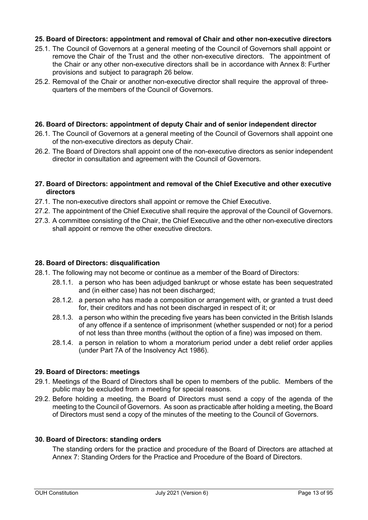### <span id="page-12-0"></span>**25. Board of Directors: appointment and removal of Chair and other non-executive directors**

- 25.1. The Council of Governors at a general meeting of the Council of Governors shall appoint or remove the Chair of the Trust and the other non-executive directors. The appointment of the Chair or any other non-executive directors shall be in accordance with [Annex 8: Further](#page-94-0)  [provisions](#page-94-0) and subject to paragraph 26 below.
- 25.2. Removal of the Chair or another non-executive director shall require the approval of threequarters of the members of the Council of Governors.

### <span id="page-12-1"></span>**26. Board of Directors: appointment of deputy Chair and of senior independent director**

- <span id="page-12-6"></span>26.1. The Council of Governors at a general meeting of the Council of Governors shall appoint one of the non-executive directors as deputy Chair.
- 26.2. The Board of Directors shall appoint one of the non-executive directors as senior independent director in consultation and agreement with the Council of Governors.

### <span id="page-12-2"></span>**27. Board of Directors: appointment and removal of the Chief Executive and other executive directors**

- 27.1. The non-executive directors shall appoint or remove the Chief Executive.
- 27.2. The appointment of the Chief Executive shall require the approval of the Council of Governors.
- 27.3. A committee consisting of the Chair, the Chief Executive and the other non-executive directors shall appoint or remove the other executive directors.

### <span id="page-12-3"></span>**28. Board of Directors: disqualification**

- 28.1. The following may not become or continue as a member of the Board of Directors:
	- 28.1.1. a person who has been adjudged bankrupt or whose estate has been sequestrated and (in either case) has not been discharged;
	- 28.1.2. a person who has made a composition or arrangement with, or granted a trust deed for, their creditors and has not been discharged in respect of it; or
	- 28.1.3. a person who within the preceding five years has been convicted in the British Islands of any offence if a sentence of imprisonment (whether suspended or not) for a period of not less than three months (without the option of a fine) was imposed on them.
	- 28.1.4. a person in relation to whom a moratorium period under a debt relief order applies (under Part 7A of the Insolvency Act 1986).

### <span id="page-12-4"></span>**29. Board of Directors: meetings**

- 29.1. Meetings of the Board of Directors shall be open to members of the public. Members of the public may be excluded from a meeting for special reasons.
- 29.2. Before holding a meeting, the Board of Directors must send a copy of the agenda of the meeting to the Council of Governors. As soon as practicable after holding a meeting, the Board of Directors must send a copy of the minutes of the meeting to the Council of Governors.

### <span id="page-12-5"></span>**30. Board of Directors: standing orders**

The standing orders for the practice and procedure of the Board of Directors are attached at [Annex 7: Standing Orders for the Practice and Procedure of the Board of Directors.](#page-86-0)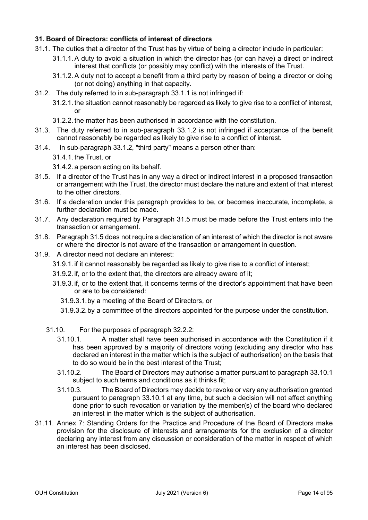### <span id="page-13-0"></span>**31. Board of Directors: conflicts of interest of directors**

- 31.1. The duties that a director of the Trust has by virtue of being a director include in particular:
	- 31.1.1. A duty to avoid a situation in which the director has (or can have) a direct or indirect interest that conflicts (or possibly may conflict) with the interests of the Trust.
	- 31.1.2. A duty not to accept a benefit from a third party by reason of being a director or doing (or not doing) anything in that capacity.
- 31.2. The duty referred to in sub-paragraph 33.1.1 is not infringed if:
	- 31.2.1. the situation cannot reasonably be regarded as likely to give rise to a conflict of interest, or
	- 31.2.2. the matter has been authorised in accordance with the constitution.
- 31.3. The duty referred to in sub-paragraph 33.1.2 is not infringed if acceptance of the benefit cannot reasonably be regarded as likely to give rise to a conflict of interest.
- 31.4. In sub-paragraph 33.1.2, "third party" means a person other than:
	- 31.4.1. the Trust, or
	- 31.4.2. a person acting on its behalf.
- 31.5. If a director of the Trust has in any way a direct or indirect interest in a proposed transaction or arrangement with the Trust, the director must declare the nature and extent of that interest to the other directors.
- 31.6. If a declaration under this paragraph provides to be, or becomes inaccurate, incomplete, a further declaration must be made.
- 31.7. Any declaration required by Paragraph 31.5 must be made before the Trust enters into the transaction or arrangement.
- 31.8. Paragraph 31.5 does not require a declaration of an interest of which the director is not aware or where the director is not aware of the transaction or arrangement in question.
- 31.9. A director need not declare an interest:
	- 31.9.1. if it cannot reasonably be regarded as likely to give rise to a conflict of interest;
	- 31.9.2. if, or to the extent that, the directors are already aware of it;
	- 31.9.3. if, or to the extent that, it concerns terms of the director's appointment that have been or are to be considered:
		- 31.9.3.1.by a meeting of the Board of Directors, or
		- 31.9.3.2.by a committee of the directors appointed for the purpose under the constitution.
	- 31.10. For the purposes of paragraph 32.2.2:
		- 31.10.1. A matter shall have been authorised in accordance with the Constitution if it has been approved by a majority of directors voting (excluding any director who has declared an interest in the matter which is the subject of authorisation) on the basis that to do so would be in the best interest of the Trust;
		- 31.10.2. The Board of Directors may authorise a matter pursuant to paragraph 33.10.1 subject to such terms and conditions as it thinks fit;
		- 31.10.3. The Board of Directors may decide to revoke or vary any authorisation granted pursuant to paragraph 33.10.1 at any time, but such a decision will not affect anything done prior to such revocation or variation by the member(s) of the board who declared an interest in the matter which is the subject of authorisation.
- 31.11. [Annex 7: Standing Orders for the Practice and Procedure of the Board of Directors](#page-86-0) make provision for the disclosure of interests and arrangements for the exclusion of a director declaring any interest from any discussion or consideration of the matter in respect of which an interest has been disclosed.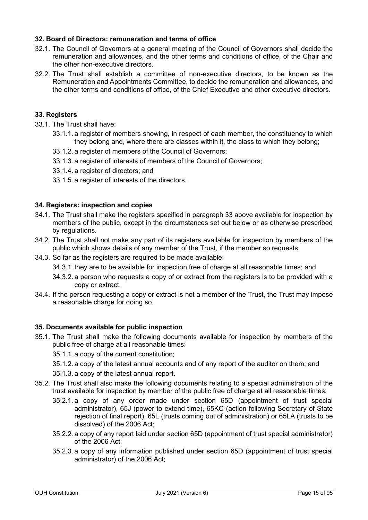### <span id="page-14-0"></span>**32. Board of Directors: remuneration and terms of office**

- 32.1. The Council of Governors at a general meeting of the Council of Governors shall decide the remuneration and allowances, and the other terms and conditions of office, of the Chair and the other non-executive directors.
- 32.2. The Trust shall establish a committee of non-executive directors, to be known as the Remuneration and Appointments Committee, to decide the remuneration and allowances, and the other terms and conditions of office, of the Chief Executive and other executive directors.

### <span id="page-14-1"></span>**33. Registers**

- 33.1. The Trust shall have:
	- 33.1.1. a register of members showing, in respect of each member, the constituency to which they belong and, where there are classes within it, the class to which they belong;
	- 33.1.2. a register of members of the Council of Governors;
	- 33.1.3. a register of interests of members of the Council of Governors;
	- 33.1.4. a register of directors; and
	- 33.1.5. a register of interests of the directors.

### <span id="page-14-2"></span>**34. Registers: inspection and copies**

- 34.1. The Trust shall make the registers specified in paragraph 33 above available for inspection by members of the public, except in the circumstances set out below or as otherwise prescribed by regulations.
- 34.2. The Trust shall not make any part of its registers available for inspection by members of the public which shows details of any member of the Trust, if the member so requests.
- 34.3. So far as the registers are required to be made available:
	- 34.3.1. they are to be available for inspection free of charge at all reasonable times; and
	- 34.3.2. a person who requests a copy of or extract from the registers is to be provided with a copy or extract.
- 34.4. If the person requesting a copy or extract is not a member of the Trust, the Trust may impose a reasonable charge for doing so.

### <span id="page-14-3"></span>**35. Documents available for public inspection**

- 35.1. The Trust shall make the following documents available for inspection by members of the public free of charge at all reasonable times:
	- 35.1.1. a copy of the current constitution;
	- 35.1.2. a copy of the latest annual accounts and of any report of the auditor on them; and
	- 35.1.3. a copy of the latest annual report.
- 35.2. The Trust shall also make the following documents relating to a special administration of the trust available for inspection by member of the public free of charge at all reasonable times:
	- 35.2.1. a copy of any order made under section 65D (appointment of trust special administrator), 65J (power to extend time), 65KC (action following Secretary of State rejection of final report), 65L (trusts coming out of administration) or 65LA (trusts to be dissolved) of the 2006 Act;
	- 35.2.2. a copy of any report laid under section 65D (appointment of trust special administrator) of the 2006 Act;
	- 35.2.3. a copy of any information published under section 65D (appointment of trust special administrator) of the 2006 Act;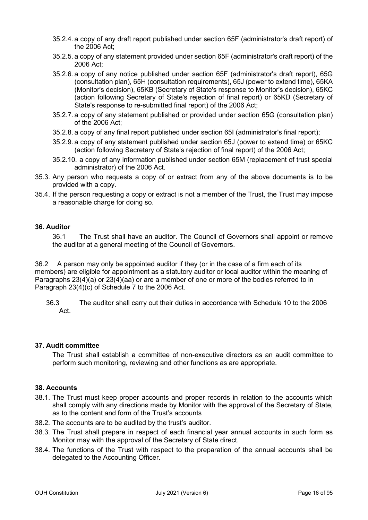- 35.2.4. a copy of any draft report published under section 65F (administrator's draft report) of the 2006 Act;
- 35.2.5. a copy of any statement provided under section 65F (administrator's draft report) of the 2006 Act;
- 35.2.6. a copy of any notice published under section 65F (administrator's draft report), 65G (consultation plan), 65H (consultation requirements), 65J (power to extend time), 65KA (Monitor's decision), 65KB (Secretary of State's response to Monitor's decision), 65KC (action following Secretary of State's rejection of final report) or 65KD (Secretary of State's response to re-submitted final report) of the 2006 Act;
- 35.2.7. a copy of any statement published or provided under section 65G (consultation plan) of the 2006 Act;
- 35.2.8. a copy of any final report published under section 65I (administrator's final report);
- 35.2.9. a copy of any statement published under section 65J (power to extend time) or 65KC (action following Secretary of State's rejection of final report) of the 2006 Act;
- 35.2.10. a copy of any information published under section 65M (replacement of trust special administrator) of the 2006 Act.
- 35.3. Any person who requests a copy of or extract from any of the above documents is to be provided with a copy.
- 35.4. If the person requesting a copy or extract is not a member of the Trust, the Trust may impose a reasonable charge for doing so.

### <span id="page-15-0"></span>**36. Auditor**

36.1 The Trust shall have an auditor. The Council of Governors shall appoint or remove the auditor at a general meeting of the Council of Governors.

36.2 A person may only be appointed auditor if they (or in the case of a firm each of its members) are eligible for appointment as a statutory auditor or local auditor within the meaning of Paragraphs 23(4)(a) or 23(4)(aa) or are a member of one or more of the bodies referred to in Paragraph 23(4)(c) of Schedule 7 to the 2006 Act.

36.3 The auditor shall carry out their duties in accordance with Schedule 10 to the 2006 Act.

### <span id="page-15-1"></span>**37. Audit committee**

The Trust shall establish a committee of non-executive directors as an audit committee to perform such monitoring, reviewing and other functions as are appropriate.

### <span id="page-15-2"></span>**38. Accounts**

- 38.1. The Trust must keep proper accounts and proper records in relation to the accounts which shall comply with any directions made by Monitor with the approval of the Secretary of State, as to the content and form of the Trust's accounts
- 38.2. The accounts are to be audited by the trust's auditor.
- 38.3. The Trust shall prepare in respect of each financial year annual accounts in such form as Monitor may with the approval of the Secretary of State direct.
- 38.4. The functions of the Trust with respect to the preparation of the annual accounts shall be delegated to the Accounting Officer.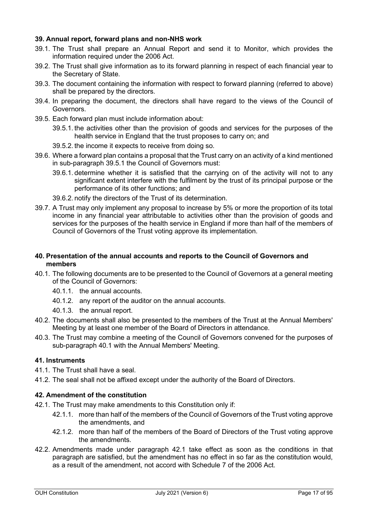### <span id="page-16-0"></span>**39. Annual report, forward plans and non-NHS work**

- 39.1. The Trust shall prepare an Annual Report and send it to Monitor, which provides the information required under the 2006 Act.
- 39.2. The Trust shall give information as to its forward planning in respect of each financial year to the Secretary of State.
- 39.3. The document containing the information with respect to forward planning (referred to above) shall be prepared by the directors.
- 39.4. In preparing the document, the directors shall have regard to the views of the Council of Governors.
- 39.5. Each forward plan must include information about:
	- 39.5.1. the activities other than the provision of goods and services for the purposes of the health service in England that the trust proposes to carry on; and
	- 39.5.2. the income it expects to receive from doing so.
- 39.6. Where a forward plan contains a proposal that the Trust carry on an activity of a kind mentioned in sub-paragraph 39.5.1 the Council of Governors must:
	- 39.6.1. determine whether it is satisfied that the carrying on of the activity will not to any significant extent interfere with the fulfilment by the trust of its principal purpose or the performance of its other functions; and
	- 39.6.2. notify the directors of the Trust of its determination.
- 39.7. A Trust may only implement any proposal to increase by 5% or more the proportion of its total income in any financial year attributable to activities other than the provision of goods and services for the purposes of the health service in England if more than half of the members of Council of Governors of the Trust voting approve its implementation.

### <span id="page-16-1"></span>**40. Presentation of the annual accounts and reports to the Council of Governors and members**

- 40.1. The following documents are to be presented to the Council of Governors at a general meeting of the Council of Governors:
	- 40.1.1. the annual accounts.
	- 40.1.2. any report of the auditor on the annual accounts.
	- 40.1.3. the annual report.
- 40.2. The documents shall also be presented to the members of the Trust at the Annual Members' Meeting by at least one member of the Board of Directors in attendance.
- 40.3. The Trust may combine a meeting of the Council of Governors convened for the purposes of sub-paragraph 40.1 with the Annual Members' Meeting.

### <span id="page-16-2"></span>**41. Instruments**

- 41.1. The Trust shall have a seal.
- 41.2. The seal shall not be affixed except under the authority of the Board of Directors.

### <span id="page-16-3"></span>**42. Amendment of the constitution**

- 42.1. The Trust may make amendments to this Constitution only if:
	- 42.1.1. more than half of the members of the Council of Governors of the Trust voting approve the amendments, and
	- 42.1.2. more than half of the members of the Board of Directors of the Trust voting approve the amendments.
- 42.2. Amendments made under paragraph 42.1 take effect as soon as the conditions in that paragraph are satisfied, but the amendment has no effect in so far as the constitution would, as a result of the amendment, not accord with Schedule 7 of the 2006 Act.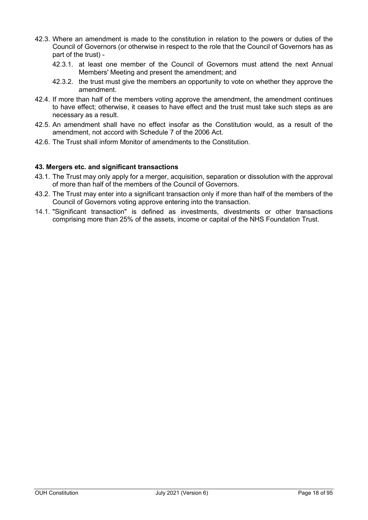- 42.3. Where an amendment is made to the constitution in relation to the powers or duties of the Council of Governors (or otherwise in respect to the role that the Council of Governors has as part of the trust) -
	- 42.3.1. at least one member of the Council of Governors must attend the next Annual Members' Meeting and present the amendment; and
	- 42.3.2. the trust must give the members an opportunity to vote on whether they approve the amendment.
- 42.4. If more than half of the members voting approve the amendment, the amendment continues to have effect; otherwise, it ceases to have effect and the trust must take such steps as are necessary as a result.
- 42.5. An amendment shall have no effect insofar as the Constitution would, as a result of the amendment, not accord with Schedule 7 of the 2006 Act.
- 42.6. The Trust shall inform Monitor of amendments to the Constitution.

### <span id="page-17-0"></span>**43. Mergers etc. and significant transactions**

- 43.1. The Trust may only apply for a merger, acquisition, separation or dissolution with the approval of more than half of the members of the Council of Governors.
- 43.2. The Trust may enter into a significant transaction only if more than half of the members of the Council of Governors voting approve entering into the transaction.
- 14.1. "Significant transaction" is defined as investments, divestments or other transactions comprising more than 25% of the assets, income or capital of the NHS Foundation Trust.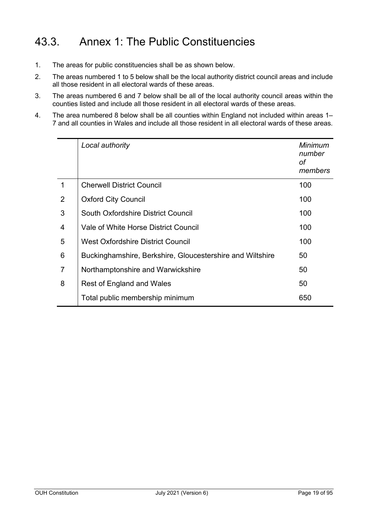## 43.3. Annex 1: The Public Constituencies

- 1. The areas for public constituencies shall be as shown below.
- 2. The areas numbered 1 to 5 below shall be the local authority district council areas and include all those resident in all electoral wards of these areas.
- 3. The areas numbered 6 and 7 below shall be all of the local authority council areas within the counties listed and include all those resident in all electoral wards of these areas.
- 4. The area numbered 8 below shall be all counties within England not included within areas 1– 7 and all counties in Wales and include all those resident in all electoral wards of these areas.

|   | Local authority                                           | Minimum<br>number<br>оf<br>members |
|---|-----------------------------------------------------------|------------------------------------|
| 1 | <b>Cherwell District Council</b>                          | 100                                |
| 2 | <b>Oxford City Council</b>                                | 100                                |
| 3 | South Oxfordshire District Council                        | 100                                |
| 4 | Vale of White Horse District Council                      | 100                                |
| 5 | <b>West Oxfordshire District Council</b>                  | 100                                |
| 6 | Buckinghamshire, Berkshire, Gloucestershire and Wiltshire | 50                                 |
| 7 | Northamptonshire and Warwickshire                         | 50                                 |
| 8 | Rest of England and Wales                                 | 50                                 |
|   | Total public membership minimum                           | 650                                |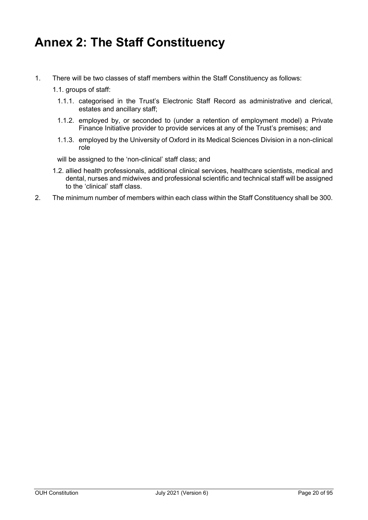## <span id="page-19-0"></span>**Annex 2: The Staff Constituency**

1. There will be two classes of staff members within the Staff Constituency as follows:

1.1. groups of staff:

- 1.1.1. categorised in the Trust's Electronic Staff Record as administrative and clerical, estates and ancillary staff;
- 1.1.2. employed by, or seconded to (under a retention of employment model) a Private Finance Initiative provider to provide services at any of the Trust's premises; and
- 1.1.3. employed by the University of Oxford in its Medical Sciences Division in a non-clinical role

will be assigned to the 'non-clinical' staff class; and

- 1.2. allied health professionals, additional clinical services, healthcare scientists, medical and dental, nurses and midwives and professional scientific and technical staff will be assigned to the 'clinical' staff class.
- 2. The minimum number of members within each class within the Staff Constituency shall be 300.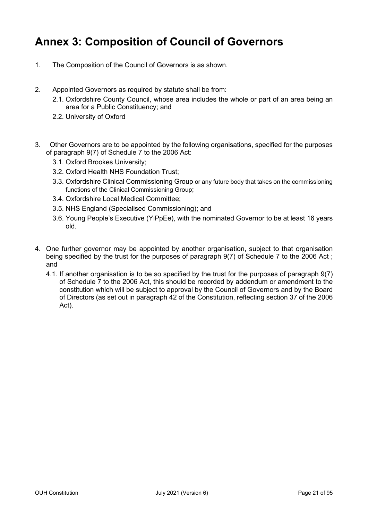## <span id="page-20-0"></span>**Annex 3: Composition of Council of Governors**

- 1. The Composition of the Council of Governors is as shown.
- 2. Appointed Governors as required by statute shall be from:
	- 2.1. Oxfordshire County Council, whose area includes the whole or part of an area being an area for a Public Constituency; and
	- 2.2. University of Oxford
- 3. Other Governors are to be appointed by the following organisations, specified for the purposes of paragraph 9(7) of Schedule 7 to the 2006 Act:
	- 3.1. Oxford Brookes University;
	- 3.2. Oxford Health NHS Foundation Trust;
	- 3.3. Oxfordshire Clinical Commissioning Group or any future body that takes on the commissioning functions of the Clinical Commissioning Group;
	- 3.4. Oxfordshire Local Medical Committee;
	- 3.5. NHS England (Specialised Commissioning); and
	- 3.6. Young People's Executive (YiPpEe), with the nominated Governor to be at least 16 years old.
- 4. One further governor may be appointed by another organisation, subject to that organisation being specified by the trust for the purposes of paragraph 9(7) of Schedule 7 to the 2006 Act ; and
	- 4.1. If another organisation is to be so specified by the trust for the purposes of paragraph 9(7) of Schedule 7 to the 2006 Act, this should be recorded by addendum or amendment to the constitution which will be subject to approval by the Council of Governors and by the Board of Directors (as set out in paragraph 42 of the Constitution, reflecting section 37 of the 2006 Act).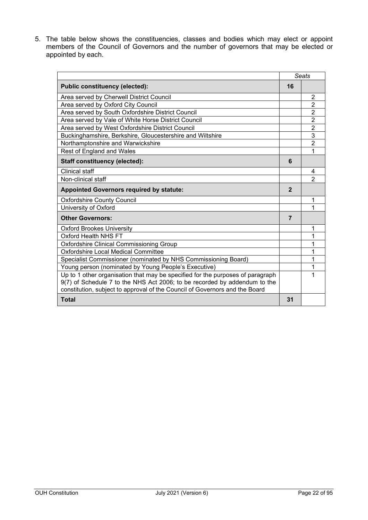5. The table below shows the constituencies, classes and bodies which may elect or appoint members of the Council of Governors and the number of governors that may be elected or appointed by each.

|                                                                                |                | <b>Seats</b>   |
|--------------------------------------------------------------------------------|----------------|----------------|
| <b>Public constituency (elected):</b>                                          | 16             |                |
| Area served by Cherwell District Council                                       |                | 2              |
| Area served by Oxford City Council                                             |                | $\overline{2}$ |
| Area served by South Oxfordshire District Council                              |                | $\overline{2}$ |
| Area served by Vale of White Horse District Council                            |                | $\overline{2}$ |
| Area served by West Oxfordshire District Council                               |                | $\overline{2}$ |
| Buckinghamshire, Berkshire, Gloucestershire and Wiltshire                      |                | 3              |
| Northamptonshire and Warwickshire                                              |                | $\overline{2}$ |
| <b>Rest of England and Wales</b>                                               |                | 1              |
| <b>Staff constituency (elected):</b>                                           | 6              |                |
| Clinical staff                                                                 |                | 4              |
| Non-clinical staff                                                             |                | 2              |
| <b>Appointed Governors required by statute:</b>                                | $\overline{2}$ |                |
| <b>Oxfordshire County Council</b>                                              |                | 1              |
| University of Oxford                                                           |                | 1              |
| <b>Other Governors:</b>                                                        | $\overline{7}$ |                |
| <b>Oxford Brookes University</b>                                               |                | 1              |
| Oxford Health NHS FT                                                           |                | 1              |
| <b>Oxfordshire Clinical Commissioning Group</b>                                |                | 1              |
| Oxfordshire Local Medical Committee                                            |                | 1              |
| Specialist Commissioner (nominated by NHS Commissioning Board)                 |                | 1              |
| Young person (nominated by Young People's Executive)                           |                | 1              |
| Up to 1 other organisation that may be specified for the purposes of paragraph |                | 1              |
| 9(7) of Schedule 7 to the NHS Act 2006; to be recorded by addendum to the      |                |                |
| constitution, subject to approval of the Council of Governors and the Board    |                |                |
| <b>Total</b>                                                                   | 31             |                |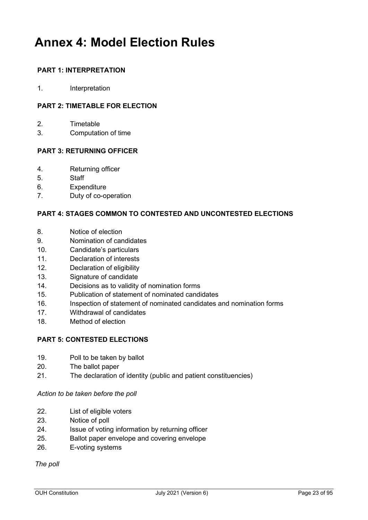## <span id="page-22-0"></span>**Annex 4: Model Election Rules**

### **PART 1: INTERPRETATION**

1. Interpretation

### **PART 2: TIMETABLE FOR ELECTION**

- 2. Timetable
- 3. Computation of time

### **PART 3: RETURNING OFFICER**

- 4. Returning officer
- 5. Staff
- 6. Expenditure
- 7. Duty of co-operation

### **PART 4: STAGES COMMON TO CONTESTED AND UNCONTESTED ELECTIONS**

- 8. Notice of election
- 9. Nomination of candidates
- 10. Candidate's particulars
- 11. Declaration of interests
- 12. Declaration of eligibility
- 13. Signature of candidate
- 14. Decisions as to validity of nomination forms
- 15. Publication of statement of nominated candidates
- 16. Inspection of statement of nominated candidates and nomination forms
- 17. Withdrawal of candidates
- 18. Method of election

### **PART 5: CONTESTED ELECTIONS**

- 19. Poll to be taken by ballot
- 20. The ballot paper
- 21. The declaration of identity (public and patient constituencies)

### *Action to be taken before the poll*

- 22. List of eligible voters
- 23. Notice of poll
- 24. Issue of voting information by returning officer
- 25. Ballot paper envelope and covering envelope
- 26. E-voting systems

*The poll*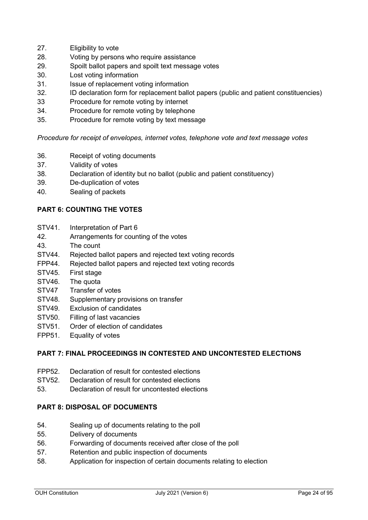- 27. Eligibility to vote
- 28. Voting by persons who require assistance
- 29. Spoilt ballot papers and spoilt text message votes
- 30. Lost voting information
- 31. Issue of replacement voting information
- 32. ID declaration form for replacement ballot papers (public and patient constituencies)
- 33 Procedure for remote voting by internet
- 34. Procedure for remote voting by telephone
- 35. Procedure for remote voting by text message

*Procedure for receipt of envelopes, internet votes, telephone vote and text message votes*

- 36. Receipt of voting documents
- 37. Validity of votes
- 38. Declaration of identity but no ballot (public and patient constituency)
- 39. De-duplication of votes
- 40. Sealing of packets

### **PART 6: COUNTING THE VOTES**

- STV41. Interpretation of Part 6
- 42. Arrangements for counting of the votes
- 43. The count
- STV44. Rejected ballot papers and rejected text voting records
- FPP44. Rejected ballot papers and rejected text voting records
- STV45. First stage
- STV46. The quota
- STV47 Transfer of votes
- STV48. Supplementary provisions on transfer
- STV49. Exclusion of candidates
- STV50. Filling of last vacancies
- STV51. Order of election of candidates
- FPP51. Equality of votes

### **PART 7: FINAL PROCEEDINGS IN CONTESTED AND UNCONTESTED ELECTIONS**

- FPP52. Declaration of result for contested elections
- STV52. Declaration of result for contested elections
- 53. Declaration of result for uncontested elections

### **PART 8: DISPOSAL OF DOCUMENTS**

- 54. Sealing up of documents relating to the poll
- 55. Delivery of documents
- 56. Forwarding of documents received after close of the poll
- 57. Retention and public inspection of documents
- 58. Application for inspection of certain documents relating to election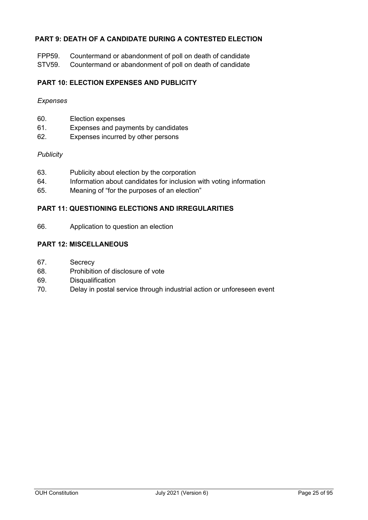### **PART 9: DEATH OF A CANDIDATE DURING A CONTESTED ELECTION**

FPP59. Countermand or abandonment of poll on death of candidate

STV59. Countermand or abandonment of poll on death of candidate

### **PART 10: ELECTION EXPENSES AND PUBLICITY**

### *Expenses*

- 60. Election expenses
- 61. Expenses and payments by candidates
- 62. Expenses incurred by other persons

### *Publicity*

- 63. Publicity about election by the corporation
- 64. Information about candidates for inclusion with voting information
- 65. Meaning of "for the purposes of an election"

### **PART 11: QUESTIONING ELECTIONS AND IRREGULARITIES**

66. Application to question an election

### **PART 12: MISCELLANEOUS**

- 67. Secrecy
- 68. Prohibition of disclosure of vote
- 69. Disqualification
- 70. Delay in postal service through industrial action or unforeseen event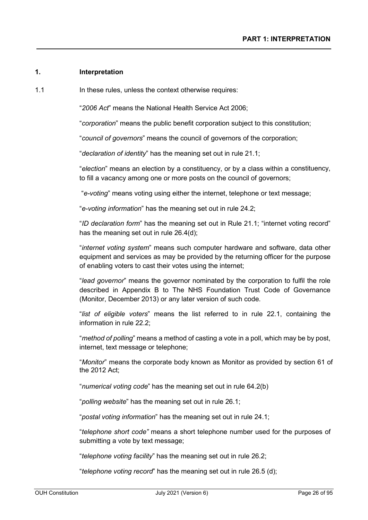### **1. Interpretation**

1.1 **In these rules, unless the context otherwise requires:** 

"*2006 Act*" means the National Health Service Act 2006;

"*corporation*" means the public benefit corporation subject to this constitution;

"*council of governors*" means the council of governors of the corporation;

"*declaration of identity*" has the meaning set out in rule 21.1;

"*election*" means an election by a constituency, or by a class within a constituency, to fill a vacancy among one or more posts on the council of governors;

"*e-voting*" means voting using either the internet, telephone or text message;

"*e-voting information*" has the meaning set out in rule 24.2;

"*ID declaration form*" has the meaning set out in Rule 21.1; "internet voting record" has the meaning set out in rule 26.4(d);

"*internet voting system*" means such computer hardware and software, data other equipment and services as may be provided by the returning officer for the purpose of enabling voters to cast their votes using the internet;

"*lead governor*" means the governor nominated by the corporation to fulfil the role described in Appendix B to The NHS Foundation Trust Code of Governance (Monitor, December 2013) or any later version of such code.

"*list of eligible voters*" means the list referred to in rule 22.1, containing the information in rule 22.2;

"*method of polling*" means a method of casting a vote in a poll, which may be by post, internet, text message or telephone;

"*Monitor*" means the corporate body known as Monitor as provided by section 61 of the 2012 Act;

"*numerical voting code*" has the meaning set out in rule 64.2(b)

"*polling website*" has the meaning set out in rule 26.1;

"*postal voting information*" has the meaning set out in rule 24.1;

"*telephone short code"* means a short telephone number used for the purposes of submitting a vote by text message;

"*telephone voting facility*" has the meaning set out in rule 26.2;

"*telephone voting record*" has the meaning set out in rule 26.5 (d);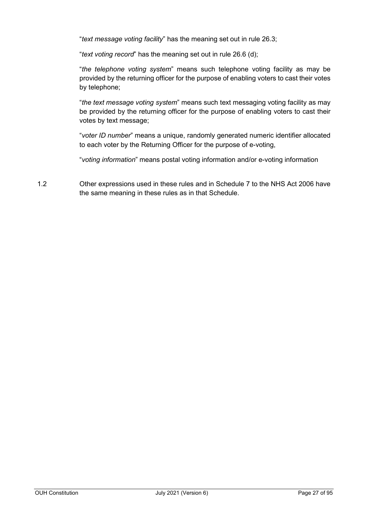"*text message voting facility*" has the meaning set out in rule 26.3;

"*text voting record*" has the meaning set out in rule 26.6 (d);

"*the telephone voting system*" means such telephone voting facility as may be provided by the returning officer for the purpose of enabling voters to cast their votes by telephone;

"*the text message voting system*" means such text messaging voting facility as may be provided by the returning officer for the purpose of enabling voters to cast their votes by text message;

"*voter ID number*" means a unique, randomly generated numeric identifier allocated to each voter by the Returning Officer for the purpose of e-voting,

"*voting information*" means postal voting information and/or e-voting information

1.2 Other expressions used in these rules and in Schedule 7 to the NHS Act 2006 have the same meaning in these rules as in that Schedule.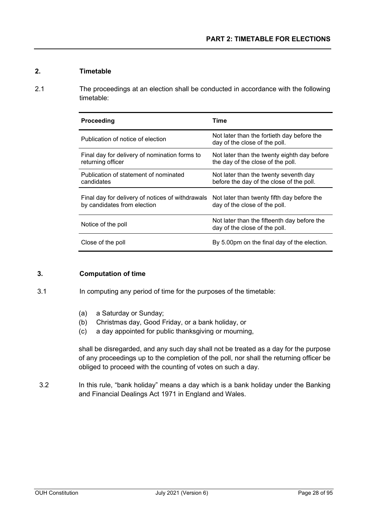### **2. Timetable**

2.1 The proceedings at an election shall be conducted in accordance with the following timetable:

| Proceeding                                                                      | Time                                                                              |
|---------------------------------------------------------------------------------|-----------------------------------------------------------------------------------|
| Publication of notice of election                                               | Not later than the fortieth day before the<br>day of the close of the poll.       |
| Final day for delivery of nomination forms to<br>returning officer              | Not later than the twenty eighth day before<br>the day of the close of the poll.  |
| Publication of statement of nominated<br>candidates                             | Not later than the twenty seventh day<br>before the day of the close of the poll. |
| Final day for delivery of notices of withdrawals<br>by candidates from election | Not later than twenty fifth day before the<br>day of the close of the poll.       |
| Notice of the poll                                                              | Not later than the fifteenth day before the<br>day of the close of the poll.      |
| Close of the poll                                                               | By 5.00pm on the final day of the election.                                       |

### **3. Computation of time**

3.1 In computing any period of time for the purposes of the timetable:

- (a) a Saturday or Sunday;
- (b) Christmas day, Good Friday, or a bank holiday, or
- (c) a day appointed for public thanksgiving or mourning,

shall be disregarded, and any such day shall not be treated as a day for the purpose of any proceedings up to the completion of the poll, nor shall the returning officer be obliged to proceed with the counting of votes on such a day.

3.2 In this rule, "bank holiday" means a day which is a bank holiday under the Banking and Financial Dealings Act 1971 in England and Wales.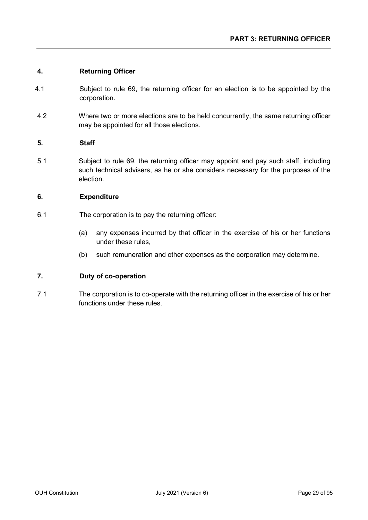### **4. Returning Officer**

- 4.1 Subject to rule 69, the returning officer for an election is to be appointed by the corporation.
- 4.2 Where two or more elections are to be held concurrently, the same returning officer may be appointed for all those elections.

### **5. Staff**

5.1 Subject to rule 69, the returning officer may appoint and pay such staff, including such technical advisers, as he or she considers necessary for the purposes of the election.

### **6. Expenditure**

- 6.1 The corporation is to pay the returning officer:
	- (a) any expenses incurred by that officer in the exercise of his or her functions under these rules,
	- (b) such remuneration and other expenses as the corporation may determine.

### **7. Duty of co-operation**

7.1 The corporation is to co-operate with the returning officer in the exercise of his or her functions under these rules.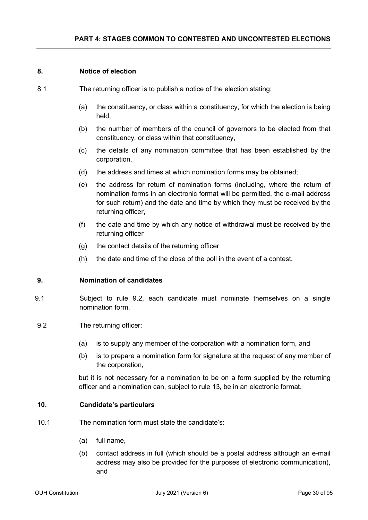### **8. Notice of election**

- 8.1 The returning officer is to publish a notice of the election stating:
	- (a) the constituency, or class within a constituency, for which the election is being held,
	- (b) the number of members of the council of governors to be elected from that constituency, or class within that constituency,
	- (c) the details of any nomination committee that has been established by the corporation,
	- (d) the address and times at which nomination forms may be obtained;
	- (e) the address for return of nomination forms (including, where the return of nomination forms in an electronic format will be permitted, the e-mail address for such return) and the date and time by which they must be received by the returning officer,
	- (f) the date and time by which any notice of withdrawal must be received by the returning officer
	- (g) the contact details of the returning officer
	- (h) the date and time of the close of the poll in the event of a contest.

### **9. Nomination of candidates**

- 9.1 Subject to rule 9.2, each candidate must nominate themselves on a single nomination form.
- 9.2 The returning officer:
	- (a) is to supply any member of the corporation with a nomination form, and
	- (b) is to prepare a nomination form for signature at the request of any member of the corporation,

but it is not necessary for a nomination to be on a form supplied by the returning officer and a nomination can, subject to rule 13, be in an electronic format.

### **10. Candidate's particulars**

- 10.1 The nomination form must state the candidate's:
	- (a) full name,
	- (b) contact address in full (which should be a postal address although an e-mail address may also be provided for the purposes of electronic communication), and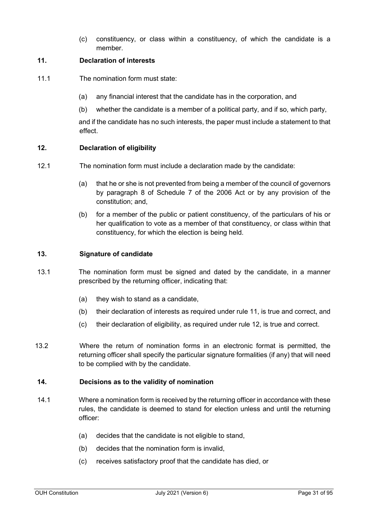(c) constituency, or class within a constituency, of which the candidate is a member.

### **11. Declaration of interests**

- 11.1 The nomination form must state:
	- (a) any financial interest that the candidate has in the corporation, and
	- (b) whether the candidate is a member of a political party, and if so, which party,

and if the candidate has no such interests, the paper must include a statement to that effect.

### **12. Declaration of eligibility**

- 12.1 The nomination form must include a declaration made by the candidate:
	- (a) that he or she is not prevented from being a member of the council of governors by paragraph 8 of Schedule 7 of the 2006 Act or by any provision of the constitution; and,
	- (b) for a member of the public or patient constituency, of the particulars of his or her qualification to vote as a member of that constituency, or class within that constituency, for which the election is being held.

### **13. Signature of candidate**

- 13.1 The nomination form must be signed and dated by the candidate, in a manner prescribed by the returning officer, indicating that:
	- (a) they wish to stand as a candidate,
	- (b) their declaration of interests as required under rule 11, is true and correct, and
	- (c) their declaration of eligibility, as required under rule 12, is true and correct.
- 13.2 Where the return of nomination forms in an electronic format is permitted, the returning officer shall specify the particular signature formalities (if any) that will need to be complied with by the candidate.

### **14. Decisions as to the validity of nomination**

- 14.1 Where a nomination form is received by the returning officer in accordance with these rules, the candidate is deemed to stand for election unless and until the returning officer:
	- (a) decides that the candidate is not eligible to stand,
	- (b) decides that the nomination form is invalid,
	- (c) receives satisfactory proof that the candidate has died, or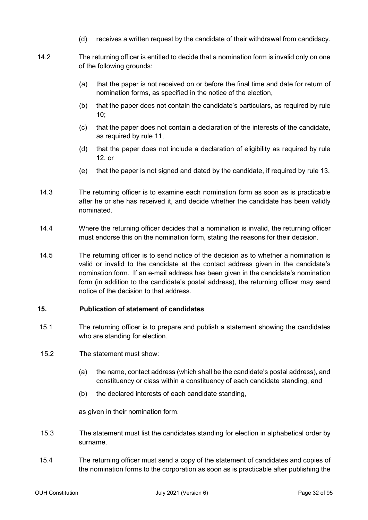- (d) receives a written request by the candidate of their withdrawal from candidacy.
- 14.2 The returning officer is entitled to decide that a nomination form is invalid only on one of the following grounds:
	- (a) that the paper is not received on or before the final time and date for return of nomination forms, as specified in the notice of the election,
	- (b) that the paper does not contain the candidate's particulars, as required by rule 10;
	- (c) that the paper does not contain a declaration of the interests of the candidate, as required by rule 11,
	- (d) that the paper does not include a declaration of eligibility as required by rule 12, or
	- (e) that the paper is not signed and dated by the candidate, if required by rule 13.
- 14.3 The returning officer is to examine each nomination form as soon as is practicable after he or she has received it, and decide whether the candidate has been validly nominated.
- 14.4 Where the returning officer decides that a nomination is invalid, the returning officer must endorse this on the nomination form, stating the reasons for their decision.
- 14.5 The returning officer is to send notice of the decision as to whether a nomination is valid or invalid to the candidate at the contact address given in the candidate's nomination form. If an e-mail address has been given in the candidate's nomination form (in addition to the candidate's postal address), the returning officer may send notice of the decision to that address.

### **15. Publication of statement of candidates**

- 15.1 The returning officer is to prepare and publish a statement showing the candidates who are standing for election.
- 15.2 The statement must show:
	- (a) the name, contact address (which shall be the candidate's postal address), and constituency or class within a constituency of each candidate standing, and
	- (b) the declared interests of each candidate standing,

as given in their nomination form.

- 15.3 The statement must list the candidates standing for election in alphabetical order by surname.
- 15.4 The returning officer must send a copy of the statement of candidates and copies of the nomination forms to the corporation as soon as is practicable after publishing the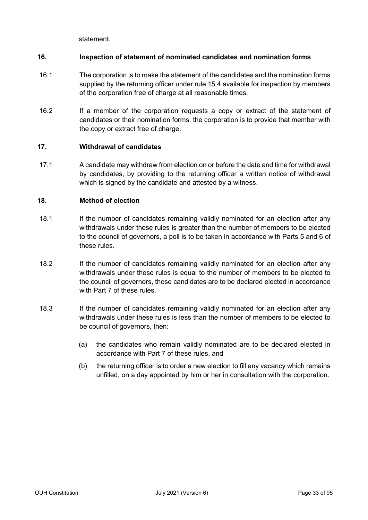statement.

### **16. Inspection of statement of nominated candidates and nomination forms**

- 16.1 The corporation is to make the statement of the candidates and the nomination forms supplied by the returning officer under rule 15.4 available for inspection by members of the corporation free of charge at all reasonable times.
- 16.2 If a member of the corporation requests a copy or extract of the statement of candidates or their nomination forms, the corporation is to provide that member with the copy or extract free of charge.

### **17. Withdrawal of candidates**

17.1 A candidate may withdraw from election on or before the date and time for withdrawal by candidates, by providing to the returning officer a written notice of withdrawal which is signed by the candidate and attested by a witness.

### **18. Method of election**

- 18.1 If the number of candidates remaining validly nominated for an election after any withdrawals under these rules is greater than the number of members to be elected to the council of governors, a poll is to be taken in accordance with Parts 5 and 6 of these rules.
- 18.2 If the number of candidates remaining validly nominated for an election after any withdrawals under these rules is equal to the number of members to be elected to the council of governors, those candidates are to be declared elected in accordance with Part 7 of these rules.
- 18.3 If the number of candidates remaining validly nominated for an election after any withdrawals under these rules is less than the number of members to be elected to be council of governors, then:
	- (a) the candidates who remain validly nominated are to be declared elected in accordance with Part 7 of these rules, and
	- (b) the returning officer is to order a new election to fill any vacancy which remains unfilled, on a day appointed by him or her in consultation with the corporation.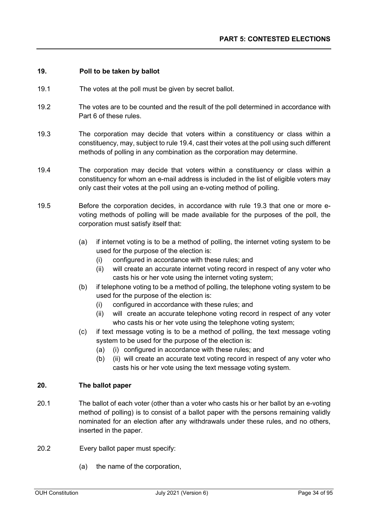### **19. Poll to be taken by ballot**

- 19.1 The votes at the poll must be given by secret ballot.
- 19.2 The votes are to be counted and the result of the poll determined in accordance with Part 6 of these rules.
- 19.3 The corporation may decide that voters within a constituency or class within a constituency, may, subject to rule 19.4, cast their votes at the poll using such different methods of polling in any combination as the corporation may determine.
- 19.4 The corporation may decide that voters within a constituency or class within a constituency for whom an e-mail address is included in the list of eligible voters may only cast their votes at the poll using an e-voting method of polling.
- 19.5 Before the corporation decides, in accordance with rule 19.3 that one or more evoting methods of polling will be made available for the purposes of the poll, the corporation must satisfy itself that:
	- (a) if internet voting is to be a method of polling, the internet voting system to be used for the purpose of the election is:
		- (i) configured in accordance with these rules; and
		- (ii) will create an accurate internet voting record in respect of any voter who casts his or her vote using the internet voting system;
	- (b) if telephone voting to be a method of polling, the telephone voting system to be used for the purpose of the election is:
		- (i) configured in accordance with these rules; and
		- (ii) will create an accurate telephone voting record in respect of any voter who casts his or her vote using the telephone voting system;
	- (c) if text message voting is to be a method of polling, the text message voting system to be used for the purpose of the election is:
		- (a) (i) configured in accordance with these rules; and
		- (b) (ii) will create an accurate text voting record in respect of any voter who casts his or her vote using the text message voting system.

### **20. The ballot paper**

- 20.1 The ballot of each voter (other than a voter who casts his or her ballot by an e-voting method of polling) is to consist of a ballot paper with the persons remaining validly nominated for an election after any withdrawals under these rules, and no others, inserted in the paper.
- 20.2 Every ballot paper must specify:
	- (a) the name of the corporation,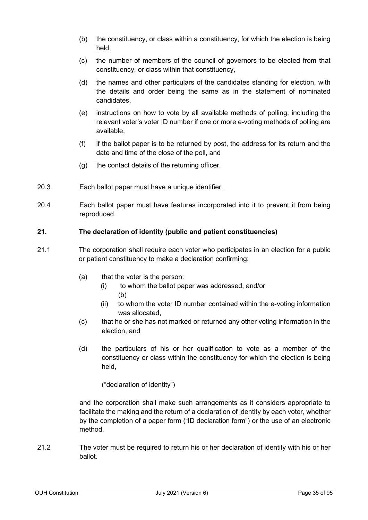- (b) the constituency, or class within a constituency, for which the election is being held,
- (c) the number of members of the council of governors to be elected from that constituency, or class within that constituency,
- (d) the names and other particulars of the candidates standing for election, with the details and order being the same as in the statement of nominated candidates,
- (e) instructions on how to vote by all available methods of polling, including the relevant voter's voter ID number if one or more e-voting methods of polling are available,
- (f) if the ballot paper is to be returned by post, the address for its return and the date and time of the close of the poll, and
- (g) the contact details of the returning officer.
- 20.3 Each ballot paper must have a unique identifier.
- 20.4 Each ballot paper must have features incorporated into it to prevent it from being reproduced.

### **21. The declaration of identity (public and patient constituencies)**

- 21.1 The corporation shall require each voter who participates in an election for a public or patient constituency to make a declaration confirming:
	- (a) that the voter is the person:
		- (i) to whom the ballot paper was addressed, and/or (b)
		- (ii) to whom the voter ID number contained within the e-voting information was allocated,
	- (c) that he or she has not marked or returned any other voting information in the election, and
	- (d) the particulars of his or her qualification to vote as a member of the constituency or class within the constituency for which the election is being held,

("declaration of identity")

and the corporation shall make such arrangements as it considers appropriate to facilitate the making and the return of a declaration of identity by each voter, whether by the completion of a paper form ("ID declaration form") or the use of an electronic method.

21.2 The voter must be required to return his or her declaration of identity with his or her ballot.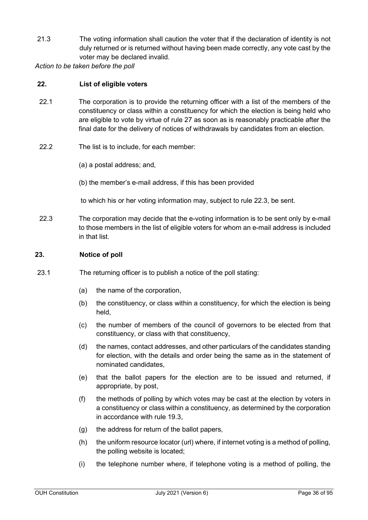21.3 The voting information shall caution the voter that if the declaration of identity is not duly returned or is returned without having been made correctly, any vote cast by the voter may be declared invalid.

*Action to be taken before the poll*

### **22. List of eligible voters**

- 22.1 The corporation is to provide the returning officer with a list of the members of the constituency or class within a constituency for which the election is being held who are eligible to vote by virtue of rule 27 as soon as is reasonably practicable after the final date for the delivery of notices of withdrawals by candidates from an election.
- 22.2 The list is to include, for each member:
	- (a) a postal address; and,
	- (b) the member's e-mail address, if this has been provided
	- to which his or her voting information may, subject to rule 22.3, be sent.
- 22.3 The corporation may decide that the e-voting information is to be sent only by e-mail to those members in the list of eligible voters for whom an e-mail address is included in that list.

### **23. Notice of poll**

- 23.1 The returning officer is to publish a notice of the poll stating:
	- (a) the name of the corporation,
	- (b) the constituency, or class within a constituency, for which the election is being held,
	- (c) the number of members of the council of governors to be elected from that constituency, or class with that constituency,
	- (d) the names, contact addresses, and other particulars of the candidates standing for election, with the details and order being the same as in the statement of nominated candidates,
	- (e) that the ballot papers for the election are to be issued and returned, if appropriate, by post,
	- (f) the methods of polling by which votes may be cast at the election by voters in a constituency or class within a constituency, as determined by the corporation in accordance with rule 19.3,
	- (g) the address for return of the ballot papers,
	- (h) the uniform resource locator (url) where, if internet voting is a method of polling, the polling website is located;
	- (i) the telephone number where, if telephone voting is a method of polling, the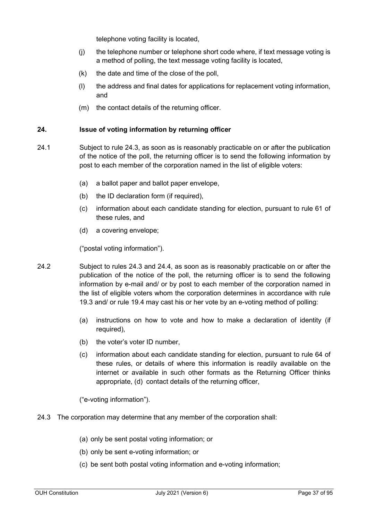telephone voting facility is located,

- (j) the telephone number or telephone short code where, if text message voting is a method of polling, the text message voting facility is located,
- (k) the date and time of the close of the poll,
- (l) the address and final dates for applications for replacement voting information, and
- (m) the contact details of the returning officer.

## **24. Issue of voting information by returning officer**

- 24.1 Subject to rule 24.3, as soon as is reasonably practicable on or after the publication of the notice of the poll, the returning officer is to send the following information by post to each member of the corporation named in the list of eligible voters:
	- (a) a ballot paper and ballot paper envelope,
	- (b) the ID declaration form (if required),
	- (c) information about each candidate standing for election, pursuant to rule 61 of these rules, and
	- (d) a covering envelope;

("postal voting information").

- 24.2 Subject to rules 24.3 and 24.4, as soon as is reasonably practicable on or after the publication of the notice of the poll, the returning officer is to send the following information by e-mail and/ or by post to each member of the corporation named in the list of eligible voters whom the corporation determines in accordance with rule 19.3 and/ or rule 19.4 may cast his or her vote by an e-voting method of polling:
	- (a) instructions on how to vote and how to make a declaration of identity (if required),
	- (b) the voter's voter ID number,
	- (c) information about each candidate standing for election, pursuant to rule 64 of these rules, or details of where this information is readily available on the internet or available in such other formats as the Returning Officer thinks appropriate, (d) contact details of the returning officer,

("e-voting information").

- 24.3 The corporation may determine that any member of the corporation shall:
	- (a) only be sent postal voting information; or
	- (b) only be sent e-voting information; or
	- (c) be sent both postal voting information and e-voting information;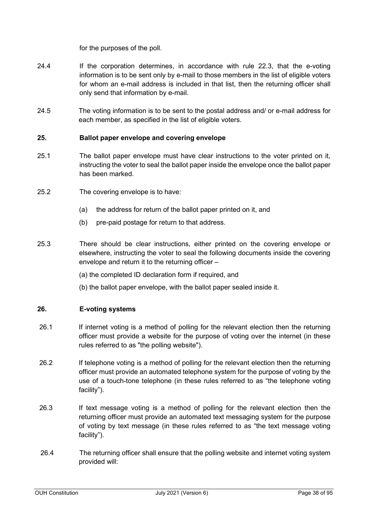for the purposes of the poll.

- 24.4 If the corporation determines, in accordance with rule 22.3, that the e-voting information is to be sent only by e-mail to those members in the list of eligible voters for whom an e-mail address is included in that list, then the returning officer shall only send that information by e-mail.
- 24.5 The voting information is to be sent to the postal address and/ or e-mail address for each member, as specified in the list of eligible voters.

## **25. Ballot paper envelope and covering envelope**

- 25.1 The ballot paper envelope must have clear instructions to the voter printed on it, instructing the voter to seal the ballot paper inside the envelope once the ballot paper has been marked.
- 25.2 The covering envelope is to have:
	- (a) the address for return of the ballot paper printed on it, and
	- (b) pre-paid postage for return to that address.
- 25.3 There should be clear instructions, either printed on the covering envelope or elsewhere, instructing the voter to seal the following documents inside the covering envelope and return it to the returning officer –
	- (a) the completed ID declaration form if required, and
	- (b) the ballot paper envelope, with the ballot paper sealed inside it.

## **26. E-voting systems**

- 26.1 If internet voting is a method of polling for the relevant election then the returning officer must provide a website for the purpose of voting over the internet (in these rules referred to as "the polling website").
- 26.2 If telephone voting is a method of polling for the relevant election then the returning officer must provide an automated telephone system for the purpose of voting by the use of a touch-tone telephone (in these rules referred to as "the telephone voting facility").
- 26.3 If text message voting is a method of polling for the relevant election then the returning officer must provide an automated text messaging system for the purpose of voting by text message (in these rules referred to as "the text message voting facility").
- 26.4 The returning officer shall ensure that the polling website and internet voting system provided will: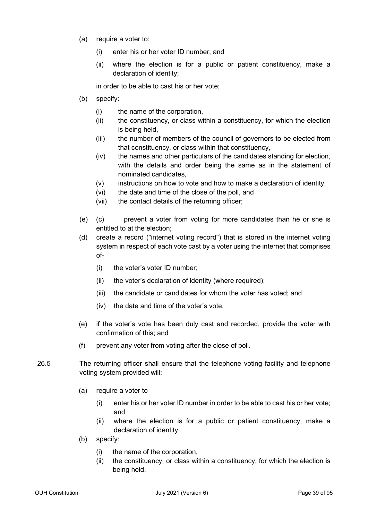- (a) require a voter to:
	- (i) enter his or her voter ID number; and
	- (ii) where the election is for a public or patient constituency, make a declaration of identity;

in order to be able to cast his or her vote;

- (b) specify:
	- (i) the name of the corporation,
	- (ii) the constituency, or class within a constituency, for which the election is being held,
	- (iii) the number of members of the council of governors to be elected from that constituency, or class within that constituency,
	- (iv) the names and other particulars of the candidates standing for election, with the details and order being the same as in the statement of nominated candidates,
	- $(v)$  instructions on how to vote and how to make a declaration of identity,
	- (vi) the date and time of the close of the poll, and
	- (vii) the contact details of the returning officer;
- (e) (c) prevent a voter from voting for more candidates than he or she is entitled to at the election;
- (d) create a record ("internet voting record") that is stored in the internet voting system in respect of each vote cast by a voter using the internet that comprises of-
	- (i) the voter's voter ID number;
	- (ii) the voter's declaration of identity (where required);
	- (iii) the candidate or candidates for whom the voter has voted; and
	- (iv) the date and time of the voter's vote,
- (e) if the voter's vote has been duly cast and recorded, provide the voter with confirmation of this; and
- (f) prevent any voter from voting after the close of poll.
- 26.5 The returning officer shall ensure that the telephone voting facility and telephone voting system provided will:
	- (a) require a voter to
		- (i) enter his or her voter ID number in order to be able to cast his or her vote; and
		- (ii) where the election is for a public or patient constituency, make a declaration of identity;
	- (b) specify:
		- (i) the name of the corporation,
		- (ii) the constituency, or class within a constituency, for which the election is being held,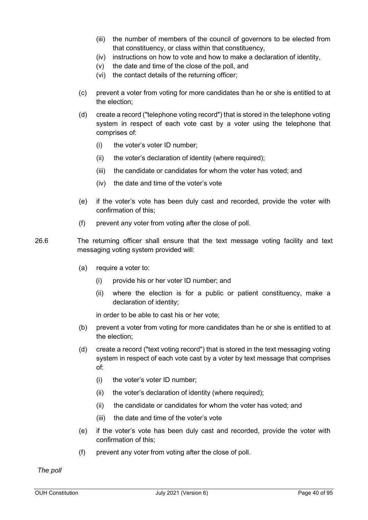- (iii) the number of members of the council of governors to be elected from that constituency, or class within that constituency,
- (iv) instructions on how to vote and how to make a declaration of identity,
- (v) the date and time of the close of the poll, and
- (vi) the contact details of the returning officer;
- (c) prevent a voter from voting for more candidates than he or she is entitled to at the election;
- (d) create a record ("telephone voting record") that is stored in the telephone voting system in respect of each vote cast by a voter using the telephone that comprises of:
	- (i) the voter's voter ID number;
	- (ii) the voter's declaration of identity (where required);
	- (iii) the candidate or candidates for whom the voter has voted; and
	- (iv) the date and time of the voter's vote
- (e) if the voter's vote has been duly cast and recorded, provide the voter with confirmation of this;
- (f) prevent any voter from voting after the close of poll.
- 26.6 The returning officer shall ensure that the text message voting facility and text messaging voting system provided will:
	- (a) require a voter to:
		- (i) provide his or her voter ID number; and
		- (ii) where the election is for a public or patient constituency, make a declaration of identity;

in order to be able to cast his or her vote;

- (b) prevent a voter from voting for more candidates than he or she is entitled to at the election;
- (d) create a record ("text voting record") that is stored in the text messaging voting system in respect of each vote cast by a voter by text message that comprises of:
	- (i) the voter's voter ID number;
	- (ii) the voter's declaration of identity (where required);
	- (ii) the candidate or candidates for whom the voter has voted; and
	- (iii) the date and time of the voter's vote
- (e) if the voter's vote has been duly cast and recorded, provide the voter with confirmation of this;
- (f) prevent any voter from voting after the close of poll.

*The poll*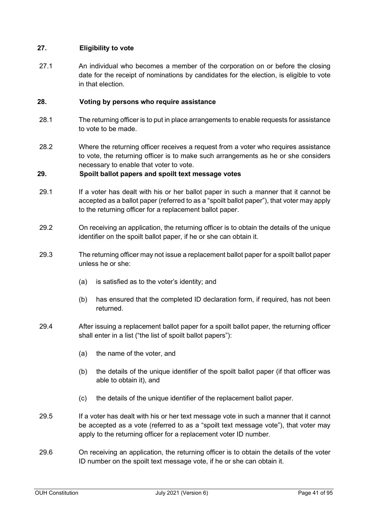# **27. Eligibility to vote**

27.1 An individual who becomes a member of the corporation on or before the closing date for the receipt of nominations by candidates for the election, is eligible to vote in that election.

## **28. Voting by persons who require assistance**

- 28.1 The returning officer is to put in place arrangements to enable requests for assistance to vote to be made.
- 28.2 Where the returning officer receives a request from a voter who requires assistance to vote, the returning officer is to make such arrangements as he or she considers necessary to enable that voter to vote.

# **29. Spoilt ballot papers and spoilt text message votes**

- 29.1 If a voter has dealt with his or her ballot paper in such a manner that it cannot be accepted as a ballot paper (referred to as a "spoilt ballot paper"), that voter may apply to the returning officer for a replacement ballot paper.
- 29.2 On receiving an application, the returning officer is to obtain the details of the unique identifier on the spoilt ballot paper, if he or she can obtain it.
- 29.3 The returning officer may not issue a replacement ballot paper for a spoilt ballot paper unless he or she:
	- (a) is satisfied as to the voter's identity; and
	- (b) has ensured that the completed ID declaration form, if required, has not been returned.
- 29.4 After issuing a replacement ballot paper for a spoilt ballot paper, the returning officer shall enter in a list ("the list of spoilt ballot papers"):
	- (a) the name of the voter, and
	- (b) the details of the unique identifier of the spoilt ballot paper (if that officer was able to obtain it), and
	- (c) the details of the unique identifier of the replacement ballot paper.
- 29.5 If a voter has dealt with his or her text message vote in such a manner that it cannot be accepted as a vote (referred to as a "spoilt text message vote"), that voter may apply to the returning officer for a replacement voter ID number.
- 29.6 On receiving an application, the returning officer is to obtain the details of the voter ID number on the spoilt text message vote, if he or she can obtain it.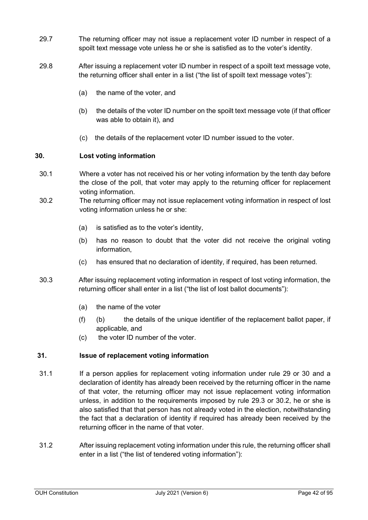- 29.7 The returning officer may not issue a replacement voter ID number in respect of a spoilt text message vote unless he or she is satisfied as to the voter's identity.
- 29.8 After issuing a replacement voter ID number in respect of a spoilt text message vote, the returning officer shall enter in a list ("the list of spoilt text message votes"):
	- (a) the name of the voter, and
	- (b) the details of the voter ID number on the spoilt text message vote (if that officer was able to obtain it), and
	- (c) the details of the replacement voter ID number issued to the voter.

# **30. Lost voting information**

- 30.1 Where a voter has not received his or her voting information by the tenth day before the close of the poll, that voter may apply to the returning officer for replacement voting information.
- 30.2 The returning officer may not issue replacement voting information in respect of lost voting information unless he or she:
	- (a) is satisfied as to the voter's identity,
	- (b) has no reason to doubt that the voter did not receive the original voting information,
	- (c) has ensured that no declaration of identity, if required, has been returned.
- 30.3 After issuing replacement voting information in respect of lost voting information, the returning officer shall enter in a list ("the list of lost ballot documents"):
	- (a) the name of the voter
	- (f) (b) the details of the unique identifier of the replacement ballot paper, if applicable, and
	- (c) the voter ID number of the voter.

# **31. Issue of replacement voting information**

- 31.1 If a person applies for replacement voting information under rule 29 or 30 and a declaration of identity has already been received by the returning officer in the name of that voter, the returning officer may not issue replacement voting information unless, in addition to the requirements imposed by rule 29.3 or 30.2, he or she is also satisfied that that person has not already voted in the election, notwithstanding the fact that a declaration of identity if required has already been received by the returning officer in the name of that voter.
- 31.2 After issuing replacement voting information under this rule, the returning officer shall enter in a list ("the list of tendered voting information"):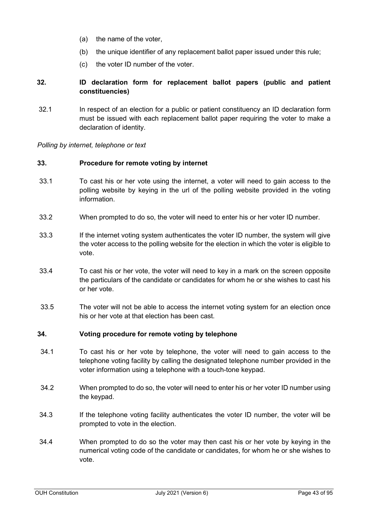- (a) the name of the voter,
- (b) the unique identifier of any replacement ballot paper issued under this rule;
- (c) the voter ID number of the voter.

# **32. ID declaration form for replacement ballot papers (public and patient constituencies)**

32.1 In respect of an election for a public or patient constituency an ID declaration form must be issued with each replacement ballot paper requiring the voter to make a declaration of identity.

*Polling by internet, telephone or text*

### **33. Procedure for remote voting by internet**

- 33.1 To cast his or her vote using the internet, a voter will need to gain access to the polling website by keying in the url of the polling website provided in the voting information.
- 33.2 When prompted to do so, the voter will need to enter his or her voter ID number.
- 33.3 If the internet voting system authenticates the voter ID number, the system will give the voter access to the polling website for the election in which the voter is eligible to vote.
- 33.4 To cast his or her vote, the voter will need to key in a mark on the screen opposite the particulars of the candidate or candidates for whom he or she wishes to cast his or her vote.
- 33.5 The voter will not be able to access the internet voting system for an election once his or her vote at that election has been cast.

## **34. Voting procedure for remote voting by telephone**

- 34.1 To cast his or her vote by telephone, the voter will need to gain access to the telephone voting facility by calling the designated telephone number provided in the voter information using a telephone with a touch-tone keypad.
- 34.2 When prompted to do so, the voter will need to enter his or her voter ID number using the keypad.
- 34.3 If the telephone voting facility authenticates the voter ID number, the voter will be prompted to vote in the election.
- 34.4 When prompted to do so the voter may then cast his or her vote by keying in the numerical voting code of the candidate or candidates, for whom he or she wishes to vote.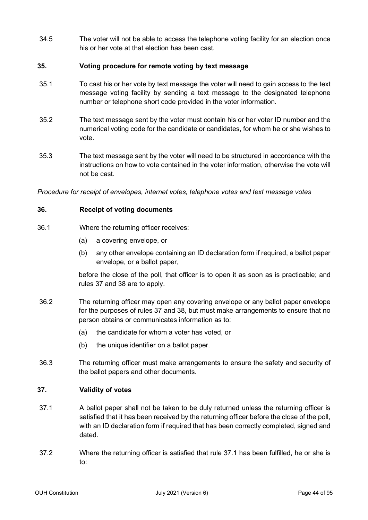34.5 The voter will not be able to access the telephone voting facility for an election once his or her vote at that election has been cast.

# **35. Voting procedure for remote voting by text message**

- 35.1 To cast his or her vote by text message the voter will need to gain access to the text message voting facility by sending a text message to the designated telephone number or telephone short code provided in the voter information.
- 35.2 The text message sent by the voter must contain his or her voter ID number and the numerical voting code for the candidate or candidates, for whom he or she wishes to vote.
- 35.3 The text message sent by the voter will need to be structured in accordance with the instructions on how to vote contained in the voter information, otherwise the vote will not be cast.

*Procedure for receipt of envelopes, internet votes, telephone votes and text message votes*

# **36. Receipt of voting documents**

- 36.1 Where the returning officer receives:
	- (a) a covering envelope, or
	- (b) any other envelope containing an ID declaration form if required, a ballot paper envelope, or a ballot paper,

before the close of the poll, that officer is to open it as soon as is practicable; and rules 37 and 38 are to apply.

- 36.2 The returning officer may open any covering envelope or any ballot paper envelope for the purposes of rules 37 and 38, but must make arrangements to ensure that no person obtains or communicates information as to:
	- (a) the candidate for whom a voter has voted, or
	- (b) the unique identifier on a ballot paper.
- 36.3 The returning officer must make arrangements to ensure the safety and security of the ballot papers and other documents.

## **37. Validity of votes**

- 37.1 A ballot paper shall not be taken to be duly returned unless the returning officer is satisfied that it has been received by the returning officer before the close of the poll, with an ID declaration form if required that has been correctly completed, signed and dated.
- 37.2 Where the returning officer is satisfied that rule 37.1 has been fulfilled, he or she is to: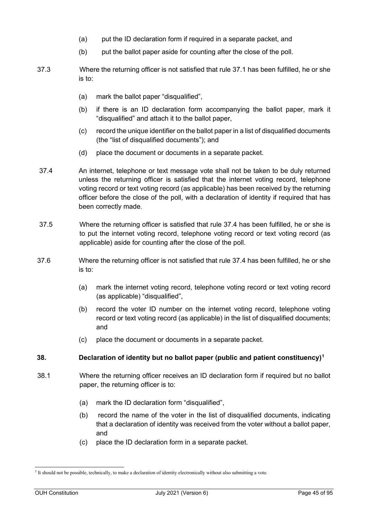- (a) put the ID declaration form if required in a separate packet, and
- (b) put the ballot paper aside for counting after the close of the poll.
- 37.3 Where the returning officer is not satisfied that rule 37.1 has been fulfilled, he or she is to:
	- (a) mark the ballot paper "disqualified",
	- (b) if there is an ID declaration form accompanying the ballot paper, mark it "disqualified" and attach it to the ballot paper,
	- (c) record the unique identifier on the ballot paper in a list of disqualified documents (the "list of disqualified documents"); and
	- (d) place the document or documents in a separate packet.
- 37.4 An internet, telephone or text message vote shall not be taken to be duly returned unless the returning officer is satisfied that the internet voting record, telephone voting record or text voting record (as applicable) has been received by the returning officer before the close of the poll, with a declaration of identity if required that has been correctly made.
- 37.5 Where the returning officer is satisfied that rule 37.4 has been fulfilled, he or she is to put the internet voting record, telephone voting record or text voting record (as applicable) aside for counting after the close of the poll.
- 37.6 Where the returning officer is not satisfied that rule 37.4 has been fulfilled, he or she is to:
	- (a) mark the internet voting record, telephone voting record or text voting record (as applicable) "disqualified",
	- (b) record the voter ID number on the internet voting record, telephone voting record or text voting record (as applicable) in the list of disqualified documents; and
	- (c) place the document or documents in a separate packet.

## **38. Declaration of identity but no ballot paper (public and patient constituency)[1](#page-44-0)**

- 38.1 Where the returning officer receives an ID declaration form if required but no ballot paper, the returning officer is to:
	- (a) mark the ID declaration form "disqualified",
	- (b) record the name of the voter in the list of disqualified documents, indicating that a declaration of identity was received from the voter without a ballot paper, and
	- (c) place the ID declaration form in a separate packet.

<span id="page-44-0"></span><sup>1</sup> It should not be possible, technically, to make a declaration of identity electronically without also submitting a vote.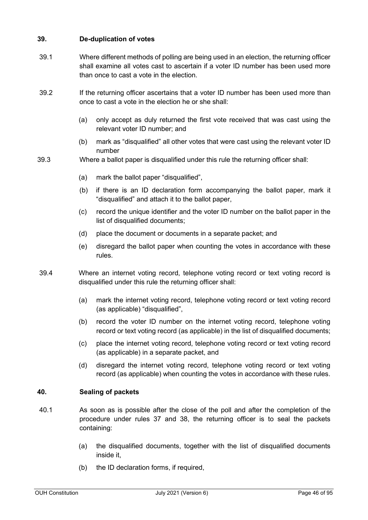# **39. De-duplication of votes**

- 39.1 Where different methods of polling are being used in an election, the returning officer shall examine all votes cast to ascertain if a voter ID number has been used more than once to cast a vote in the election.
- 39.2 If the returning officer ascertains that a voter ID number has been used more than once to cast a vote in the election he or she shall:
	- (a) only accept as duly returned the first vote received that was cast using the relevant voter ID number; and
	- (b) mark as "disqualified" all other votes that were cast using the relevant voter ID number
- 39.3 Where a ballot paper is disqualified under this rule the returning officer shall:
	- (a) mark the ballot paper "disqualified",
	- (b) if there is an ID declaration form accompanying the ballot paper, mark it "disqualified" and attach it to the ballot paper,
	- (c) record the unique identifier and the voter ID number on the ballot paper in the list of disqualified documents;
	- (d) place the document or documents in a separate packet; and
	- (e) disregard the ballot paper when counting the votes in accordance with these rules.
- 39.4 Where an internet voting record, telephone voting record or text voting record is disqualified under this rule the returning officer shall:
	- (a) mark the internet voting record, telephone voting record or text voting record (as applicable) "disqualified",
	- (b) record the voter ID number on the internet voting record, telephone voting record or text voting record (as applicable) in the list of disqualified documents;
	- (c) place the internet voting record, telephone voting record or text voting record (as applicable) in a separate packet, and
	- (d) disregard the internet voting record, telephone voting record or text voting record (as applicable) when counting the votes in accordance with these rules.

## **40. Sealing of packets**

- 40.1 As soon as is possible after the close of the poll and after the completion of the procedure under rules 37 and 38, the returning officer is to seal the packets containing:
	- (a) the disqualified documents, together with the list of disqualified documents inside it,
	- (b) the ID declaration forms, if required,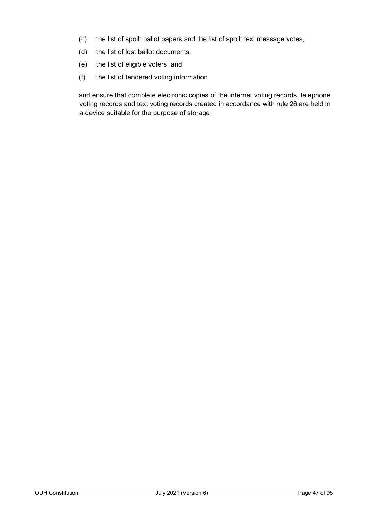- (c) the list of spoilt ballot papers and the list of spoilt text message votes,
- (d) the list of lost ballot documents,
- (e) the list of eligible voters, and
- (f) the list of tendered voting information

and ensure that complete electronic copies of the internet voting records, telephone voting records and text voting records created in accordance with rule 26 are held in a device suitable for the purpose of storage.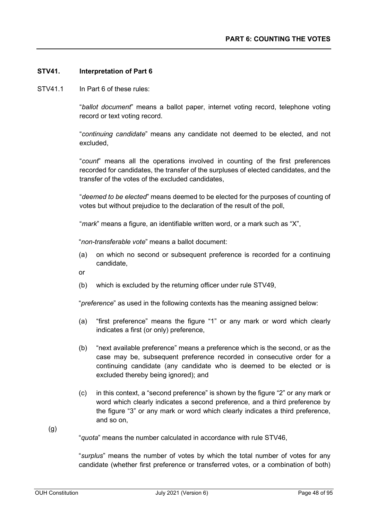### **STV41. Interpretation of Part 6**

STV41.1 In Part 6 of these rules:

"*ballot document*" means a ballot paper, internet voting record, telephone voting record or text voting record.

"*continuing candidate*" means any candidate not deemed to be elected, and not excluded,

"*count*" means all the operations involved in counting of the first preferences recorded for candidates, the transfer of the surpluses of elected candidates, and the transfer of the votes of the excluded candidates,

"*deemed to be elected*" means deemed to be elected for the purposes of counting of votes but without prejudice to the declaration of the result of the poll,

"*mark*" means a figure, an identifiable written word, or a mark such as "X",

"*non-transferable vote*" means a ballot document:

- (a) on which no second or subsequent preference is recorded for a continuing candidate,
- or
- (b) which is excluded by the returning officer under rule STV49,

"*preference*" as used in the following contexts has the meaning assigned below:

- (a) "first preference" means the figure "1" or any mark or word which clearly indicates a first (or only) preference,
- (b) "next available preference" means a preference which is the second, or as the case may be, subsequent preference recorded in consecutive order for a continuing candidate (any candidate who is deemed to be elected or is excluded thereby being ignored); and
- (c) in this context, a "second preference" is shown by the figure "2" or any mark or word which clearly indicates a second preference, and a third preference by the figure "3" or any mark or word which clearly indicates a third preference, and so on,

(g)

"*quota*" means the number calculated in accordance with rule STV46,

"*surplus*" means the number of votes by which the total number of votes for any candidate (whether first preference or transferred votes, or a combination of both)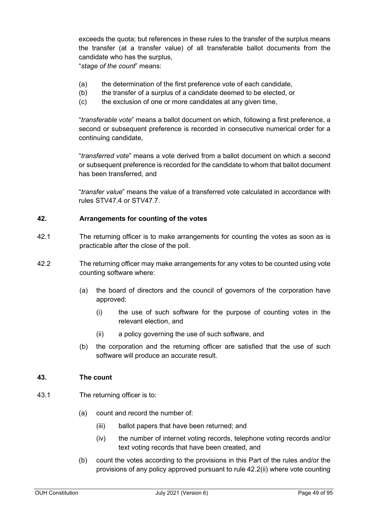exceeds the quota; but references in these rules to the transfer of the surplus means the transfer (at a transfer value) of all transferable ballot documents from the candidate who has the surplus,

"*stage of the count*" means:

- (a) the determination of the first preference vote of each candidate,
- (b) the transfer of a surplus of a candidate deemed to be elected, or
- (c) the exclusion of one or more candidates at any given time,

"*transferable vote*" means a ballot document on which, following a first preference, a second or subsequent preference is recorded in consecutive numerical order for a continuing candidate,

"*transferred vote*" means a vote derived from a ballot document on which a second or subsequent preference is recorded for the candidate to whom that ballot document has been transferred, and

"*transfer value*" means the value of a transferred vote calculated in accordance with rules STV47.4 or STV47.7.

### **42. Arrangements for counting of the votes**

- 42.1 The returning officer is to make arrangements for counting the votes as soon as is practicable after the close of the poll.
- 42.2 The returning officer may make arrangements for any votes to be counted using vote counting software where:
	- (a) the board of directors and the council of governors of the corporation have approved:
		- (i) the use of such software for the purpose of counting votes in the relevant election, and
		- (ii) a policy governing the use of such software, and
	- (b) the corporation and the returning officer are satisfied that the use of such software will produce an accurate result.

## **43. The count**

- 43.1 The returning officer is to:
	- (a) count and record the number of:
		- (iii) ballot papers that have been returned; and
		- (iv) the number of internet voting records, telephone voting records and/or text voting records that have been created, and
	- (b) count the votes according to the provisions in this Part of the rules and/or the provisions of any policy approved pursuant to rule 42.2(ii) where vote counting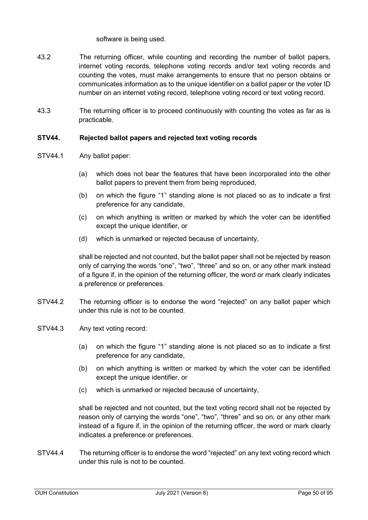software is being used.

- 43.2 The returning officer, while counting and recording the number of ballot papers, internet voting records, telephone voting records and/or text voting records and counting the votes, must make arrangements to ensure that no person obtains or communicates information as to the unique identifier on a ballot paper or the voter ID number on an internet voting record, telephone voting record or text voting record.
- 43.3 The returning officer is to proceed continuously with counting the votes as far as is practicable.

# **STV44. Rejected ballot papers and rejected text voting records**

- STV44.1 Any ballot paper:
	- (a) which does not bear the features that have been incorporated into the other ballot papers to prevent them from being reproduced,
	- (b) on which the figure "1" standing alone is not placed so as to indicate a first preference for any candidate,
	- (c) on which anything is written or marked by which the voter can be identified except the unique identifier, or
	- (d) which is unmarked or rejected because of uncertainty,

shall be rejected and not counted, but the ballot paper shall not be rejected by reason only of carrying the words "one", "two", "three" and so on, or any other mark instead of a figure if, in the opinion of the returning officer, the word or mark clearly indicates a preference or preferences.

- STV44.2 The returning officer is to endorse the word "rejected" on any ballot paper which under this rule is not to be counted.
- STV44.3 Any text voting record:
	- (a) on which the figure "1" standing alone is not placed so as to indicate a first preference for any candidate,
	- (b) on which anything is written or marked by which the voter can be identified except the unique identifier, or
	- (c) which is unmarked or rejected because of uncertainty,

shall be rejected and not counted, but the text voting record shall not be rejected by reason only of carrying the words "one", "two", "three" and so on, or any other mark instead of a figure if, in the opinion of the returning officer, the word or mark clearly indicates a preference or preferences.

STV44.4 The returning officer is to endorse the word "rejected" on any text voting record which under this rule is not to be counted.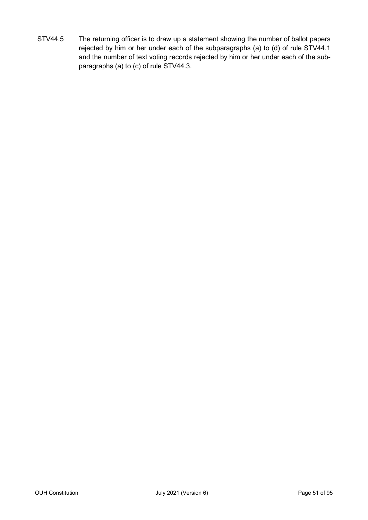STV44.5 The returning officer is to draw up a statement showing the number of ballot papers rejected by him or her under each of the subparagraphs (a) to (d) of rule STV44.1 and the number of text voting records rejected by him or her under each of the subparagraphs (a) to (c) of rule STV44.3.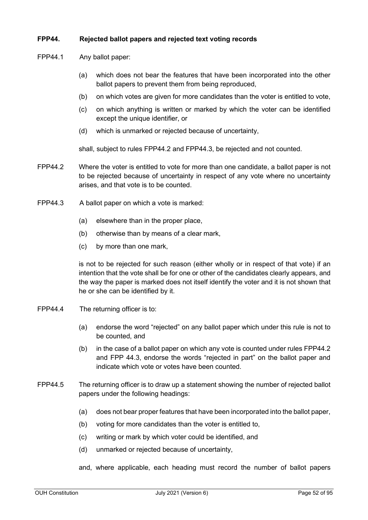# **FPP44. Rejected ballot papers and rejected text voting records**

- FPP44.1 Any ballot paper:
	- (a) which does not bear the features that have been incorporated into the other ballot papers to prevent them from being reproduced,
	- (b) on which votes are given for more candidates than the voter is entitled to vote,
	- (c) on which anything is written or marked by which the voter can be identified except the unique identifier, or
	- (d) which is unmarked or rejected because of uncertainty,

shall, subject to rules FPP44.2 and FPP44.3, be rejected and not counted.

- FPP44.2 Where the voter is entitled to vote for more than one candidate, a ballot paper is not to be rejected because of uncertainty in respect of any vote where no uncertainty arises, and that vote is to be counted.
- FPP44.3 A ballot paper on which a vote is marked:
	- (a) elsewhere than in the proper place,
	- (b) otherwise than by means of a clear mark,
	- (c) by more than one mark,

is not to be rejected for such reason (either wholly or in respect of that vote) if an intention that the vote shall be for one or other of the candidates clearly appears, and the way the paper is marked does not itself identify the voter and it is not shown that he or she can be identified by it.

- FPP44.4 The returning officer is to:
	- (a) endorse the word "rejected" on any ballot paper which under this rule is not to be counted, and
	- (b) in the case of a ballot paper on which any vote is counted under rules FPP44.2 and FPP 44.3, endorse the words "rejected in part" on the ballot paper and indicate which vote or votes have been counted.
- FPP44.5 The returning officer is to draw up a statement showing the number of rejected ballot papers under the following headings:
	- (a) does not bear proper features that have been incorporated into the ballot paper,
	- (b) voting for more candidates than the voter is entitled to,
	- (c) writing or mark by which voter could be identified, and
	- (d) unmarked or rejected because of uncertainty,

and, where applicable, each heading must record the number of ballot papers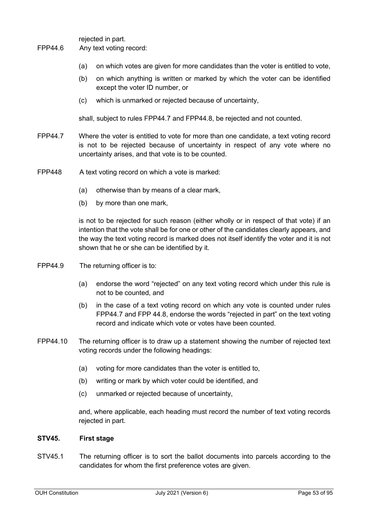rejected in part.

- FPP44.6 Any text voting record:
	- (a) on which votes are given for more candidates than the voter is entitled to vote,
	- (b) on which anything is written or marked by which the voter can be identified except the voter ID number, or
	- (c) which is unmarked or rejected because of uncertainty,

shall, subject to rules FPP44.7 and FPP44.8, be rejected and not counted.

- FPP44.7 Where the voter is entitled to vote for more than one candidate, a text voting record is not to be rejected because of uncertainty in respect of any vote where no uncertainty arises, and that vote is to be counted.
- FPP448 A text voting record on which a vote is marked:
	- (a) otherwise than by means of a clear mark,
	- (b) by more than one mark,

is not to be rejected for such reason (either wholly or in respect of that vote) if an intention that the vote shall be for one or other of the candidates clearly appears, and the way the text voting record is marked does not itself identify the voter and it is not shown that he or she can be identified by it.

- FPP44.9 The returning officer is to:
	- (a) endorse the word "rejected" on any text voting record which under this rule is not to be counted, and
	- (b) in the case of a text voting record on which any vote is counted under rules FPP44.7 and FPP 44.8, endorse the words "rejected in part" on the text voting record and indicate which vote or votes have been counted.
- FPP44.10 The returning officer is to draw up a statement showing the number of rejected text voting records under the following headings:
	- (a) voting for more candidates than the voter is entitled to,
	- (b) writing or mark by which voter could be identified, and
	- (c) unmarked or rejected because of uncertainty,

and, where applicable, each heading must record the number of text voting records rejected in part.

### **STV45. First stage**

STV45.1 The returning officer is to sort the ballot documents into parcels according to the candidates for whom the first preference votes are given.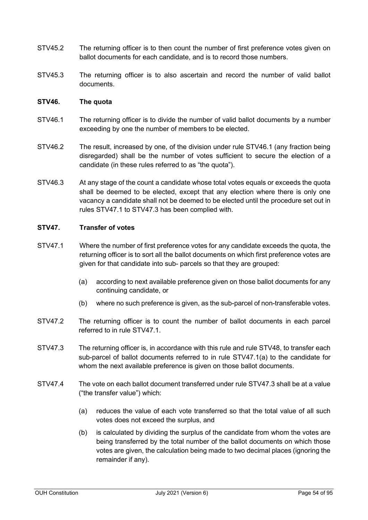- STV45.2 The returning officer is to then count the number of first preference votes given on ballot documents for each candidate, and is to record those numbers.
- STV45.3 The returning officer is to also ascertain and record the number of valid ballot documents.

## **STV46. The quota**

- STV46.1 The returning officer is to divide the number of valid ballot documents by a number exceeding by one the number of members to be elected.
- STV46.2 The result, increased by one, of the division under rule STV46.1 (any fraction being disregarded) shall be the number of votes sufficient to secure the election of a candidate (in these rules referred to as "the quota").
- STV46.3 At any stage of the count a candidate whose total votes equals or exceeds the quota shall be deemed to be elected, except that any election where there is only one vacancy a candidate shall not be deemed to be elected until the procedure set out in rules STV47.1 to STV47.3 has been complied with.

### **STV47. Transfer of votes**

- STV47.1 Where the number of first preference votes for any candidate exceeds the quota, the returning officer is to sort all the ballot documents on which first preference votes are given for that candidate into sub- parcels so that they are grouped:
	- (a) according to next available preference given on those ballot documents for any continuing candidate, or
	- (b) where no such preference is given, as the sub-parcel of non-transferable votes.
- STV47.2 The returning officer is to count the number of ballot documents in each parcel referred to in rule STV47.1.
- STV47.3 The returning officer is, in accordance with this rule and rule STV48, to transfer each sub-parcel of ballot documents referred to in rule STV47.1(a) to the candidate for whom the next available preference is given on those ballot documents.
- STV47.4 The vote on each ballot document transferred under rule STV47.3 shall be at a value ("the transfer value") which:
	- (a) reduces the value of each vote transferred so that the total value of all such votes does not exceed the surplus, and
	- (b) is calculated by dividing the surplus of the candidate from whom the votes are being transferred by the total number of the ballot documents on which those votes are given, the calculation being made to two decimal places (ignoring the remainder if any).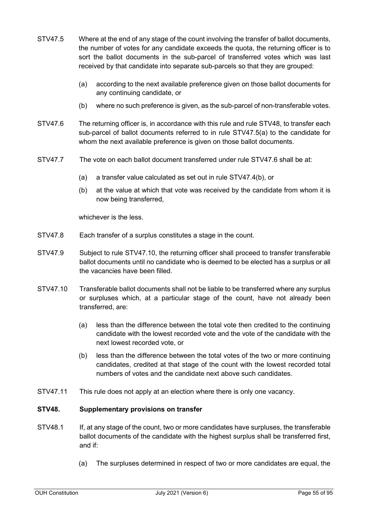- STV47.5 Where at the end of any stage of the count involving the transfer of ballot documents, the number of votes for any candidate exceeds the quota, the returning officer is to sort the ballot documents in the sub-parcel of transferred votes which was last received by that candidate into separate sub-parcels so that they are grouped:
	- (a) according to the next available preference given on those ballot documents for any continuing candidate, or
	- (b) where no such preference is given, as the sub-parcel of non-transferable votes.
- STV47.6 The returning officer is, in accordance with this rule and rule STV48, to transfer each sub-parcel of ballot documents referred to in rule STV47.5(a) to the candidate for whom the next available preference is given on those ballot documents.
- STV47.7 The vote on each ballot document transferred under rule STV47.6 shall be at:
	- (a) a transfer value calculated as set out in rule STV47.4(b), or
	- (b) at the value at which that vote was received by the candidate from whom it is now being transferred,

whichever is the less.

- STV47.8 Each transfer of a surplus constitutes a stage in the count.
- STV47.9 Subject to rule STV47.10, the returning officer shall proceed to transfer transferable ballot documents until no candidate who is deemed to be elected has a surplus or all the vacancies have been filled.
- STV47.10 Transferable ballot documents shall not be liable to be transferred where any surplus or surpluses which, at a particular stage of the count, have not already been transferred, are:
	- (a) less than the difference between the total vote then credited to the continuing candidate with the lowest recorded vote and the vote of the candidate with the next lowest recorded vote, or
	- (b) less than the difference between the total votes of the two or more continuing candidates, credited at that stage of the count with the lowest recorded total numbers of votes and the candidate next above such candidates.
- STV47.11 This rule does not apply at an election where there is only one vacancy.

## **STV48. Supplementary provisions on transfer**

- STV48.1 If, at any stage of the count, two or more candidates have surpluses, the transferable ballot documents of the candidate with the highest surplus shall be transferred first, and if:
	- (a) The surpluses determined in respect of two or more candidates are equal, the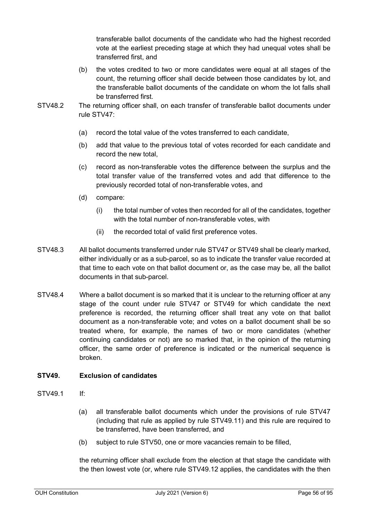transferable ballot documents of the candidate who had the highest recorded vote at the earliest preceding stage at which they had unequal votes shall be transferred first, and

- (b) the votes credited to two or more candidates were equal at all stages of the count, the returning officer shall decide between those candidates by lot, and the transferable ballot documents of the candidate on whom the lot falls shall be transferred first.
- STV48.2 The returning officer shall, on each transfer of transferable ballot documents under rule STV47:
	- (a) record the total value of the votes transferred to each candidate,
	- (b) add that value to the previous total of votes recorded for each candidate and record the new total,
	- (c) record as non-transferable votes the difference between the surplus and the total transfer value of the transferred votes and add that difference to the previously recorded total of non-transferable votes, and
	- (d) compare:
		- (i) the total number of votes then recorded for all of the candidates, together with the total number of non-transferable votes, with
		- (ii) the recorded total of valid first preference votes.
- STV48.3 All ballot documents transferred under rule STV47 or STV49 shall be clearly marked, either individually or as a sub-parcel, so as to indicate the transfer value recorded at that time to each vote on that ballot document or, as the case may be, all the ballot documents in that sub-parcel.
- STV48.4 Where a ballot document is so marked that it is unclear to the returning officer at any stage of the count under rule STV47 or STV49 for which candidate the next preference is recorded, the returning officer shall treat any vote on that ballot document as a non-transferable vote; and votes on a ballot document shall be so treated where, for example, the names of two or more candidates (whether continuing candidates or not) are so marked that, in the opinion of the returning officer, the same order of preference is indicated or the numerical sequence is broken.

# **STV49. Exclusion of candidates**

- STV49.1 If:
	- (a) all transferable ballot documents which under the provisions of rule STV47 (including that rule as applied by rule STV49.11) and this rule are required to be transferred, have been transferred, and
	- (b) subject to rule STV50, one or more vacancies remain to be filled,

the returning officer shall exclude from the election at that stage the candidate with the then lowest vote (or, where rule STV49.12 applies, the candidates with the then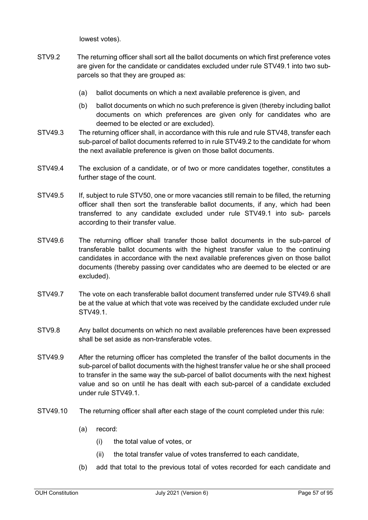lowest votes).

- STV9.2 The returning officer shall sort all the ballot documents on which first preference votes are given for the candidate or candidates excluded under rule STV49.1 into two subparcels so that they are grouped as:
	- (a) ballot documents on which a next available preference is given, and
	- (b) ballot documents on which no such preference is given (thereby including ballot documents on which preferences are given only for candidates who are deemed to be elected or are excluded).
- STV49.3 The returning officer shall, in accordance with this rule and rule STV48, transfer each sub-parcel of ballot documents referred to in rule STV49.2 to the candidate for whom the next available preference is given on those ballot documents.
- STV49.4 The exclusion of a candidate, or of two or more candidates together, constitutes a further stage of the count.
- STV49.5 If, subject to rule STV50, one or more vacancies still remain to be filled, the returning officer shall then sort the transferable ballot documents, if any, which had been transferred to any candidate excluded under rule STV49.1 into sub- parcels according to their transfer value.
- STV49.6 The returning officer shall transfer those ballot documents in the sub-parcel of transferable ballot documents with the highest transfer value to the continuing candidates in accordance with the next available preferences given on those ballot documents (thereby passing over candidates who are deemed to be elected or are excluded).
- STV49.7 The vote on each transferable ballot document transferred under rule STV49.6 shall be at the value at which that vote was received by the candidate excluded under rule STV49.1.
- STV9.8 Any ballot documents on which no next available preferences have been expressed shall be set aside as non-transferable votes.
- STV49.9 After the returning officer has completed the transfer of the ballot documents in the sub-parcel of ballot documents with the highest transfer value he or she shall proceed to transfer in the same way the sub-parcel of ballot documents with the next highest value and so on until he has dealt with each sub-parcel of a candidate excluded under rule STV49.1.
- STV49.10 The returning officer shall after each stage of the count completed under this rule:
	- (a) record:
		- (i) the total value of votes, or
		- (ii) the total transfer value of votes transferred to each candidate,
	- (b) add that total to the previous total of votes recorded for each candidate and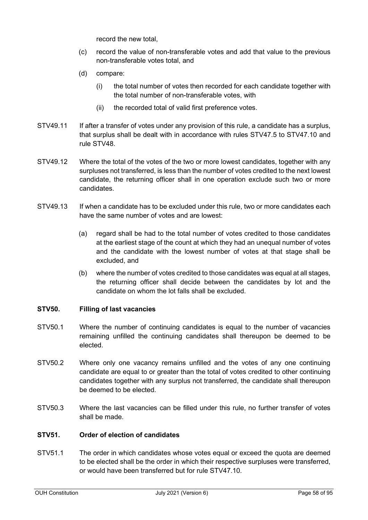record the new total,

- (c) record the value of non-transferable votes and add that value to the previous non-transferable votes total, and
- (d) compare:
	- (i) the total number of votes then recorded for each candidate together with the total number of non-transferable votes, with
	- (ii) the recorded total of valid first preference votes.
- STV49.11 If after a transfer of votes under any provision of this rule, a candidate has a surplus, that surplus shall be dealt with in accordance with rules STV47.5 to STV47.10 and rule STV48.
- STV49.12 Where the total of the votes of the two or more lowest candidates, together with any surpluses not transferred, is less than the number of votes credited to the next lowest candidate, the returning officer shall in one operation exclude such two or more candidates.
- STV49.13 If when a candidate has to be excluded under this rule, two or more candidates each have the same number of votes and are lowest:
	- (a) regard shall be had to the total number of votes credited to those candidates at the earliest stage of the count at which they had an unequal number of votes and the candidate with the lowest number of votes at that stage shall be excluded, and
	- (b) where the number of votes credited to those candidates was equal at all stages, the returning officer shall decide between the candidates by lot and the candidate on whom the lot falls shall be excluded.

## **STV50. Filling of last vacancies**

- STV50.1 Where the number of continuing candidates is equal to the number of vacancies remaining unfilled the continuing candidates shall thereupon be deemed to be elected.
- STV50.2 Where only one vacancy remains unfilled and the votes of any one continuing candidate are equal to or greater than the total of votes credited to other continuing candidates together with any surplus not transferred, the candidate shall thereupon be deemed to be elected.
- STV50.3 Where the last vacancies can be filled under this rule, no further transfer of votes shall be made.

## **STV51. Order of election of candidates**

STV51.1 The order in which candidates whose votes equal or exceed the quota are deemed to be elected shall be the order in which their respective surpluses were transferred, or would have been transferred but for rule STV47.10.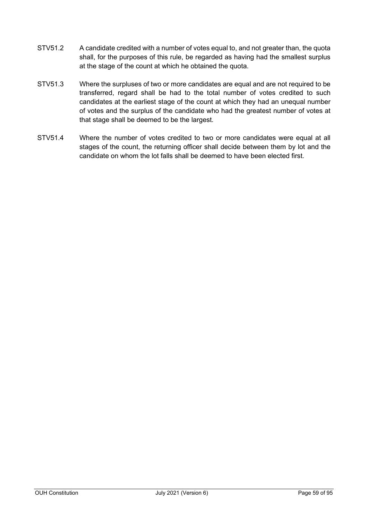- STV51.2 A candidate credited with a number of votes equal to, and not greater than, the quota shall, for the purposes of this rule, be regarded as having had the smallest surplus at the stage of the count at which he obtained the quota.
- STV51.3 Where the surpluses of two or more candidates are equal and are not required to be transferred, regard shall be had to the total number of votes credited to such candidates at the earliest stage of the count at which they had an unequal number of votes and the surplus of the candidate who had the greatest number of votes at that stage shall be deemed to be the largest.
- STV51.4 Where the number of votes credited to two or more candidates were equal at all stages of the count, the returning officer shall decide between them by lot and the candidate on whom the lot falls shall be deemed to have been elected first.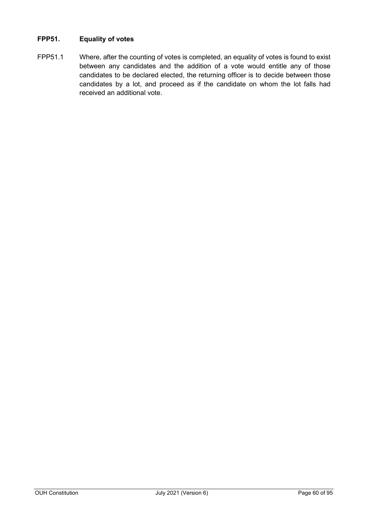# **FPP51. Equality of votes**

FPP51.1 Where, after the counting of votes is completed, an equality of votes is found to exist between any candidates and the addition of a vote would entitle any of those candidates to be declared elected, the returning officer is to decide between those candidates by a lot, and proceed as if the candidate on whom the lot falls had received an additional vote.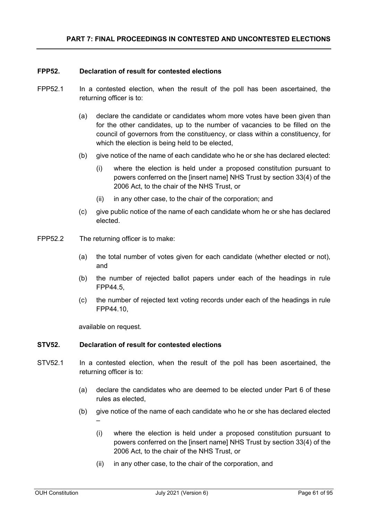### **FPP52. Declaration of result for contested elections**

- FPP52.1 In a contested election, when the result of the poll has been ascertained, the returning officer is to:
	- (a) declare the candidate or candidates whom more votes have been given than for the other candidates, up to the number of vacancies to be filled on the council of governors from the constituency, or class within a constituency, for which the election is being held to be elected,
	- (b) give notice of the name of each candidate who he or she has declared elected:
		- (i) where the election is held under a proposed constitution pursuant to powers conferred on the [insert name] NHS Trust by section 33(4) of the 2006 Act, to the chair of the NHS Trust, or
		- (ii) in any other case, to the chair of the corporation; and
	- (c) give public notice of the name of each candidate whom he or she has declared elected.
- FPP52.2 The returning officer is to make:
	- (a) the total number of votes given for each candidate (whether elected or not), and
	- (b) the number of rejected ballot papers under each of the headings in rule FPP44.5,
	- (c) the number of rejected text voting records under each of the headings in rule FPP44.10,

available on request.

–

### **STV52. Declaration of result for contested elections**

- STV52.1 In a contested election, when the result of the poll has been ascertained, the returning officer is to:
	- (a) declare the candidates who are deemed to be elected under Part 6 of these rules as elected,
	- (b) give notice of the name of each candidate who he or she has declared elected
		- (i) where the election is held under a proposed constitution pursuant to powers conferred on the [insert name] NHS Trust by section 33(4) of the 2006 Act, to the chair of the NHS Trust, or
		- (ii) in any other case, to the chair of the corporation, and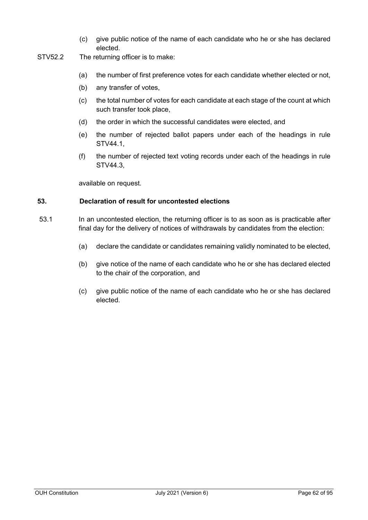- (c) give public notice of the name of each candidate who he or she has declared elected.
- STV52.2 The returning officer is to make:
	- (a) the number of first preference votes for each candidate whether elected or not,
	- (b) any transfer of votes,
	- (c) the total number of votes for each candidate at each stage of the count at which such transfer took place,
	- (d) the order in which the successful candidates were elected, and
	- (e) the number of rejected ballot papers under each of the headings in rule STV44.1,
	- (f) the number of rejected text voting records under each of the headings in rule STV44.3,

available on request.

### **53. Declaration of result for uncontested elections**

- 53.1 In an uncontested election, the returning officer is to as soon as is practicable after final day for the delivery of notices of withdrawals by candidates from the election:
	- (a) declare the candidate or candidates remaining validly nominated to be elected,
	- (b) give notice of the name of each candidate who he or she has declared elected to the chair of the corporation, and
	- (c) give public notice of the name of each candidate who he or she has declared elected.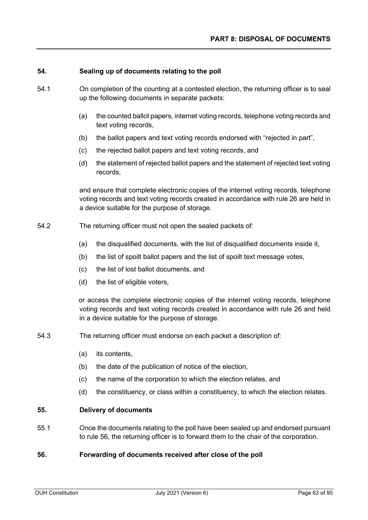### **54. Sealing up of documents relating to the poll**

- 54.1 On completion of the counting at a contested election, the returning officer is to seal up the following documents in separate packets:
	- (a) the counted ballot papers, internet voting records, telephone voting records and text voting records,
	- (b) the ballot papers and text voting records endorsed with "rejected in part",
	- (c) the rejected ballot papers and text voting records, and
	- (d) the statement of rejected ballot papers and the statement of rejected text voting records,

and ensure that complete electronic copies of the internet voting records, telephone voting records and text voting records created in accordance with rule 26 are held in a device suitable for the purpose of storage.

- 54.2 The returning officer must not open the sealed packets of:
	- (a) the disqualified documents, with the list of disqualified documents inside it,
	- (b) the list of spoilt ballot papers and the list of spoilt text message votes,
	- (c) the list of lost ballot documents, and
	- (d) the list of eligible voters,

or access the complete electronic copies of the internet voting records, telephone voting records and text voting records created in accordance with rule 26 and held in a device suitable for the purpose of storage.

- 54.3 The returning officer must endorse on each packet a description of:
	- (a) its contents,
	- (b) the date of the publication of notice of the election,
	- (c) the name of the corporation to which the election relates, and
	- (d) the constituency, or class within a constituency, to which the election relates.

# **55. Delivery of documents**

55.1 Once the documents relating to the poll have been sealed up and endorsed pursuant to rule 56, the returning officer is to forward them to the chair of the corporation.

#### **56. Forwarding of documents received after close of the poll**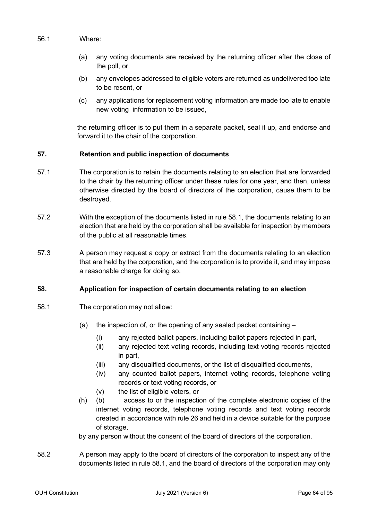## 56.1 Where:

- (a) any voting documents are received by the returning officer after the close of the poll, or
- (b) any envelopes addressed to eligible voters are returned as undelivered too late to be resent, or
- (c) any applications for replacement voting information are made too late to enable new voting information to be issued,

the returning officer is to put them in a separate packet, seal it up, and endorse and forward it to the chair of the corporation.

# **57. Retention and public inspection of documents**

- 57.1 The corporation is to retain the documents relating to an election that are forwarded to the chair by the returning officer under these rules for one year, and then, unless otherwise directed by the board of directors of the corporation, cause them to be destroyed.
- 57.2 With the exception of the documents listed in rule 58.1, the documents relating to an election that are held by the corporation shall be available for inspection by members of the public at all reasonable times.
- 57.3 A person may request a copy or extract from the documents relating to an election that are held by the corporation, and the corporation is to provide it, and may impose a reasonable charge for doing so.

# **58. Application for inspection of certain documents relating to an election**

- 58.1 The corporation may not allow:
	- (a) the inspection of, or the opening of any sealed packet containing
		- (i) any rejected ballot papers, including ballot papers rejected in part,
		- (ii) any rejected text voting records, including text voting records rejected in part,
		- (iii) any disqualified documents, or the list of disqualified documents,
		- (iv) any counted ballot papers, internet voting records, telephone voting records or text voting records, or
		- (v) the list of eligible voters, or
	- (h) (b) access to or the inspection of the complete electronic copies of the internet voting records, telephone voting records and text voting records created in accordance with rule 26 and held in a device suitable for the purpose of storage,

by any person without the consent of the board of directors of the corporation.

58.2 A person may apply to the board of directors of the corporation to inspect any of the documents listed in rule 58.1, and the board of directors of the corporation may only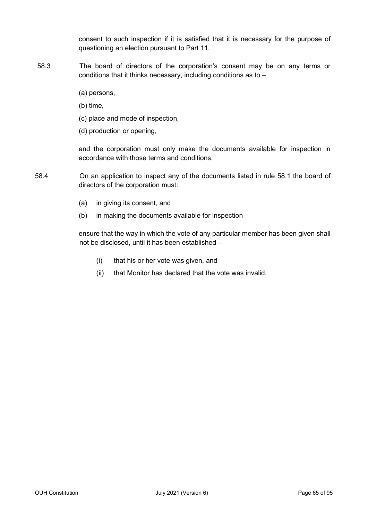consent to such inspection if it is satisfied that it is necessary for the purpose of questioning an election pursuant to Part 11.

- 58.3 The board of directors of the corporation's consent may be on any terms or conditions that it thinks necessary, including conditions as to –
	- (a) persons,
	- (b) time,
	- (c) place and mode of inspection,
	- (d) production or opening,

and the corporation must only make the documents available for inspection in accordance with those terms and conditions.

- 58.4 On an application to inspect any of the documents listed in rule 58.1 the board of directors of the corporation must:
	- (a) in giving its consent, and
	- (b) in making the documents available for inspection

ensure that the way in which the vote of any particular member has been given shall not be disclosed, until it has been established –

- (i) that his or her vote was given, and
- (ii) that Monitor has declared that the vote was invalid.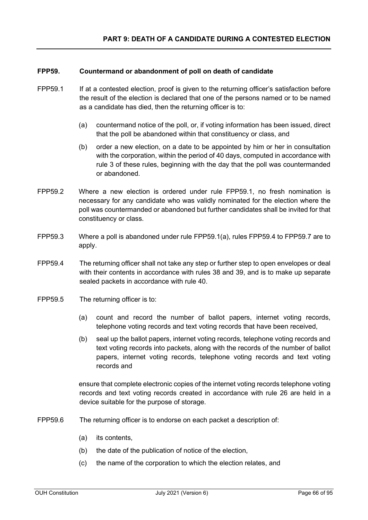## **FPP59. Countermand or abandonment of poll on death of candidate**

- FPP59.1 If at a contested election, proof is given to the returning officer's satisfaction before the result of the election is declared that one of the persons named or to be named as a candidate has died, then the returning officer is to:
	- (a) countermand notice of the poll, or, if voting information has been issued, direct that the poll be abandoned within that constituency or class, and
	- (b) order a new election, on a date to be appointed by him or her in consultation with the corporation, within the period of 40 days, computed in accordance with rule 3 of these rules, beginning with the day that the poll was countermanded or abandoned.
- FPP59.2 Where a new election is ordered under rule FPP59.1, no fresh nomination is necessary for any candidate who was validly nominated for the election where the poll was countermanded or abandoned but further candidates shall be invited for that constituency or class.
- FPP59.3 Where a poll is abandoned under rule FPP59.1(a), rules FPP59.4 to FPP59.7 are to apply.
- FPP59.4 The returning officer shall not take any step or further step to open envelopes or deal with their contents in accordance with rules 38 and 39, and is to make up separate sealed packets in accordance with rule 40.
- FPP59.5 The returning officer is to:
	- (a) count and record the number of ballot papers, internet voting records, telephone voting records and text voting records that have been received,
	- (b) seal up the ballot papers, internet voting records, telephone voting records and text voting records into packets, along with the records of the number of ballot papers, internet voting records, telephone voting records and text voting records and

ensure that complete electronic copies of the internet voting records telephone voting records and text voting records created in accordance with rule 26 are held in a device suitable for the purpose of storage.

- FPP59.6 The returning officer is to endorse on each packet a description of:
	- (a) its contents,
	- (b) the date of the publication of notice of the election,
	- (c) the name of the corporation to which the election relates, and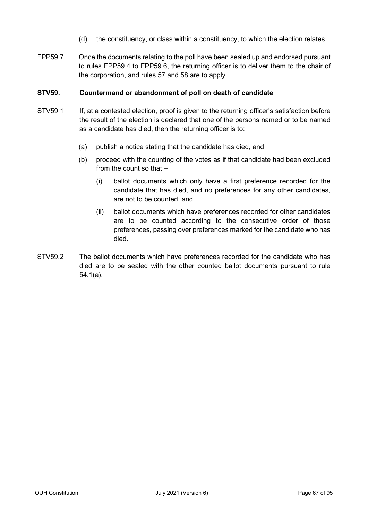- (d) the constituency, or class within a constituency, to which the election relates.
- FPP59.7 Once the documents relating to the poll have been sealed up and endorsed pursuant to rules FPP59.4 to FPP59.6, the returning officer is to deliver them to the chair of the corporation, and rules 57 and 58 are to apply.

## **STV59. Countermand or abandonment of poll on death of candidate**

- STV59.1 If, at a contested election, proof is given to the returning officer's satisfaction before the result of the election is declared that one of the persons named or to be named as a candidate has died, then the returning officer is to:
	- (a) publish a notice stating that the candidate has died, and
	- (b) proceed with the counting of the votes as if that candidate had been excluded from the count so that –
		- (i) ballot documents which only have a first preference recorded for the candidate that has died, and no preferences for any other candidates, are not to be counted, and
		- (ii) ballot documents which have preferences recorded for other candidates are to be counted according to the consecutive order of those preferences, passing over preferences marked for the candidate who has died.
- STV59.2 The ballot documents which have preferences recorded for the candidate who has died are to be sealed with the other counted ballot documents pursuant to rule 54.1(a).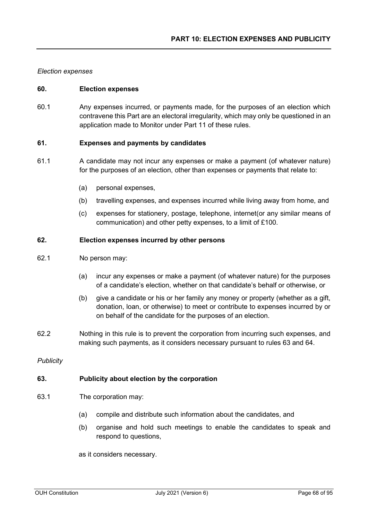### *Election expenses*

### **60. Election expenses**

60.1 Any expenses incurred, or payments made, for the purposes of an election which contravene this Part are an electoral irregularity, which may only be questioned in an application made to Monitor under Part 11 of these rules.

### **61. Expenses and payments by candidates**

- 61.1 A candidate may not incur any expenses or make a payment (of whatever nature) for the purposes of an election, other than expenses or payments that relate to:
	- (a) personal expenses,
	- (b) travelling expenses, and expenses incurred while living away from home, and
	- (c) expenses for stationery, postage, telephone, internet(or any similar means of communication) and other petty expenses, to a limit of £100.

## **62. Election expenses incurred by other persons**

- 62.1 No person may:
	- (a) incur any expenses or make a payment (of whatever nature) for the purposes of a candidate's election, whether on that candidate's behalf or otherwise, or
	- (b) give a candidate or his or her family any money or property (whether as a gift, donation, loan, or otherwise) to meet or contribute to expenses incurred by or on behalf of the candidate for the purposes of an election.
- 62.2 Nothing in this rule is to prevent the corporation from incurring such expenses, and making such payments, as it considers necessary pursuant to rules 63 and 64.

*Publicity*

### **63. Publicity about election by the corporation**

- 63.1 The corporation may:
	- (a) compile and distribute such information about the candidates, and
	- (b) organise and hold such meetings to enable the candidates to speak and respond to questions,

as it considers necessary.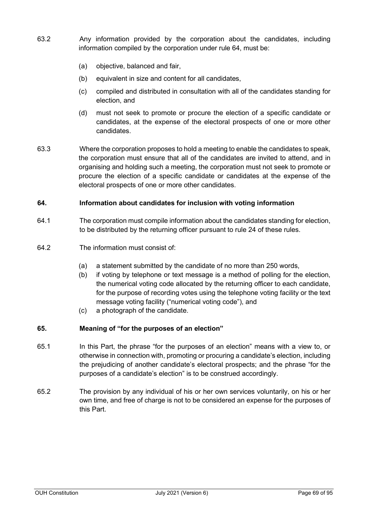- 63.2 Any information provided by the corporation about the candidates, including information compiled by the corporation under rule 64, must be:
	- (a) objective, balanced and fair,
	- (b) equivalent in size and content for all candidates,
	- (c) compiled and distributed in consultation with all of the candidates standing for election, and
	- (d) must not seek to promote or procure the election of a specific candidate or candidates, at the expense of the electoral prospects of one or more other candidates.
- 63.3 Where the corporation proposes to hold a meeting to enable the candidates to speak, the corporation must ensure that all of the candidates are invited to attend, and in organising and holding such a meeting, the corporation must not seek to promote or procure the election of a specific candidate or candidates at the expense of the electoral prospects of one or more other candidates.

## **64. Information about candidates for inclusion with voting information**

- 64.1 The corporation must compile information about the candidates standing for election, to be distributed by the returning officer pursuant to rule 24 of these rules.
- 64.2 The information must consist of:
	- (a) a statement submitted by the candidate of no more than 250 words,
	- (b) if voting by telephone or text message is a method of polling for the election, the numerical voting code allocated by the returning officer to each candidate, for the purpose of recording votes using the telephone voting facility or the text message voting facility ("numerical voting code"), and
	- (c) a photograph of the candidate.

# **65. Meaning of "for the purposes of an election"**

- 65.1 In this Part, the phrase "for the purposes of an election" means with a view to, or otherwise in connection with, promoting or procuring a candidate's election, including the prejudicing of another candidate's electoral prospects; and the phrase "for the purposes of a candidate's election" is to be construed accordingly.
- 65.2 The provision by any individual of his or her own services voluntarily, on his or her own time, and free of charge is not to be considered an expense for the purposes of this Part.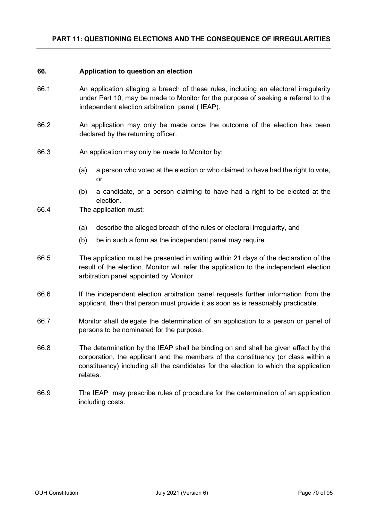### **66. Application to question an election**

- 66.1 An application alleging a breach of these rules, including an electoral irregularity under Part 10, may be made to Monitor for the purpose of seeking a referral to the independent election arbitration panel ( IEAP).
- 66.2 An application may only be made once the outcome of the election has been declared by the returning officer.
- 66.3 An application may only be made to Monitor by:
	- (a) a person who voted at the election or who claimed to have had the right to vote, or
	- (b) a candidate, or a person claiming to have had a right to be elected at the election.
- 66.4 The application must:
	- (a) describe the alleged breach of the rules or electoral irregularity, and
	- (b) be in such a form as the independent panel may require.
- 66.5 The application must be presented in writing within 21 days of the declaration of the result of the election. Monitor will refer the application to the independent election arbitration panel appointed by Monitor.
- 66.6 If the independent election arbitration panel requests further information from the applicant, then that person must provide it as soon as is reasonably practicable.
- 66.7 Monitor shall delegate the determination of an application to a person or panel of persons to be nominated for the purpose.
- 66.8 The determination by the IEAP shall be binding on and shall be given effect by the corporation, the applicant and the members of the constituency (or class within a constituency) including all the candidates for the election to which the application relates.
- 66.9 The IEAP may prescribe rules of procedure for the determination of an application including costs.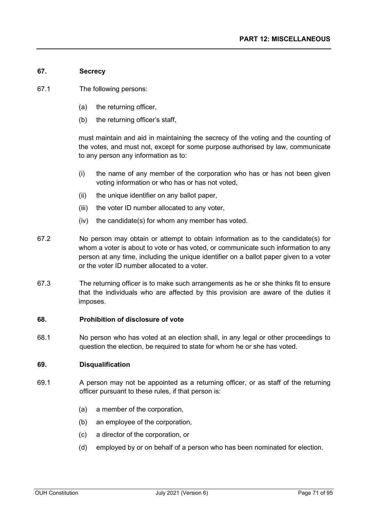# **67. Secrecy**

- 67.1 The following persons:
	- (a) the returning officer,
	- (b) the returning officer's staff,

must maintain and aid in maintaining the secrecy of the voting and the counting of the votes, and must not, except for some purpose authorised by law, communicate to any person any information as to:

- (i) the name of any member of the corporation who has or has not been given voting information or who has or has not voted,
- (ii) the unique identifier on any ballot paper,
- (iii) the voter ID number allocated to any voter,
- (iv) the candidate(s) for whom any member has voted.
- 67.2 No person may obtain or attempt to obtain information as to the candidate(s) for whom a voter is about to vote or has voted, or communicate such information to any person at any time, including the unique identifier on a ballot paper given to a voter or the voter ID number allocated to a voter.
- 67.3 The returning officer is to make such arrangements as he or she thinks fit to ensure that the individuals who are affected by this provision are aware of the duties it imposes.

### **68. Prohibition of disclosure of vote**

68.1 No person who has voted at an election shall, in any legal or other proceedings to question the election, be required to state for whom he or she has voted.

### **69. Disqualification**

- 69.1 A person may not be appointed as a returning officer, or as staff of the returning officer pursuant to these rules, if that person is:
	- (a) a member of the corporation,
	- (b) an employee of the corporation,
	- (c) a director of the corporation, or
	- (d) employed by or on behalf of a person who has been nominated for election.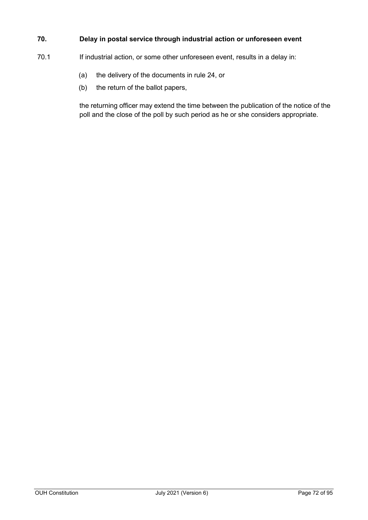# **70. Delay in postal service through industrial action or unforeseen event**

- 70.1 If industrial action, or some other unforeseen event, results in a delay in:
	- (a) the delivery of the documents in rule 24, or
	- (b) the return of the ballot papers,

the returning officer may extend the time between the publication of the notice of the poll and the close of the poll by such period as he or she considers appropriate.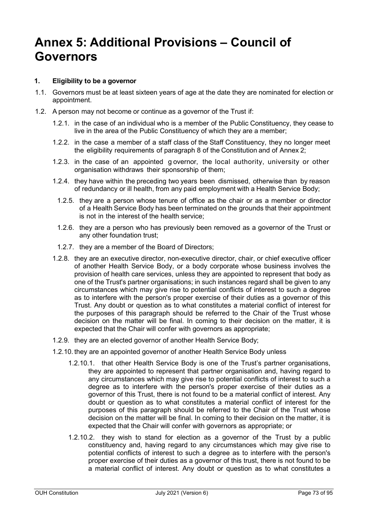# **Annex 5: Additional Provisions – Council of Governors**

## **1. Eligibility to be a governor**

- 1.1. Governors must be at least sixteen years of age at the date they are nominated for election or appointment.
- 1.2. A person may not become or continue as a governor of the Trust if:
	- 1.2.1. in the case of an individual who is a member of the Public Constituency, they cease to live in the area of the Public Constituency of which they are a member;
	- 1.2.2. in the case a member of a staff class of the Staff Constituency, they no longer meet the eligibility requirements of paragraph 8 of the Constitution and of Annex 2;
	- 1.2.3. in the case of an appointed g overnor, the local authority, university or other organisation withdraws their sponsorship of them;
	- 1.2.4. they have within the preceding two years been dismissed, otherwise than by reason of redundancy or ill health, from any paid employment with a Health Service Body;
		- 1.2.5. they are a person whose tenure of office as the chair or as a member or director of a Health Service Body has been terminated on the grounds that their appointment is not in the interest of the health service;
		- 1.2.6. they are a person who has previously been removed as a governor of the Trust or any other foundation trust;
		- 1.2.7. they are a member of the Board of Directors;
	- 1.2.8. they are an executive director, non-executive director, chair, or chief executive officer of another Health Service Body, or a body corporate whose business involves the provision of health care services, unless they are appointed to represent that body as one of the Trust's partner organisations; in such instances regard shall be given to any circumstances which may give rise to potential conflicts of interest to such a degree as to interfere with the person's proper exercise of their duties as a governor of this Trust. Any doubt or question as to what constitutes a material conflict of interest for the purposes of this paragraph should be referred to the Chair of the Trust whose decision on the matter will be final. In coming to their decision on the matter, it is expected that the Chair will confer with governors as appropriate;
	- 1.2.9. they are an elected governor of another Health Service Body;
	- 1.2.10. they are an appointed governor of another Health Service Body unless
		- 1.2.10.1. that other Health Service Body is one of the Trust's partner organisations, they are appointed to represent that partner organisation and, having regard to any circumstances which may give rise to potential conflicts of interest to such a degree as to interfere with the person's proper exercise of their duties as a governor of this Trust, there is not found to be a material conflict of interest. Any doubt or question as to what constitutes a material conflict of interest for the purposes of this paragraph should be referred to the Chair of the Trust whose decision on the matter will be final. In coming to their decision on the matter, it is expected that the Chair will confer with governors as appropriate; or
		- 1.2.10.2. they wish to stand for election as a governor of the Trust by a public constituency and, having regard to any circumstances which may give rise to potential conflicts of interest to such a degree as to interfere with the person's proper exercise of their duties as a governor of this trust, there is not found to be a material conflict of interest. Any doubt or question as to what constitutes a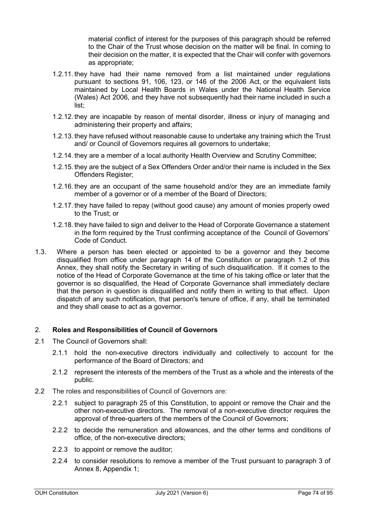material conflict of interest for the purposes of this paragraph should be referred to the Chair of the Trust whose decision on the matter will be final. In coming to their decision on the matter, it is expected that the Chair will confer with governors as appropriate;

- 1.2.11. they have had their name removed from a list maintained under regulations pursuant to sections 91, 106, 123, or 146 of the 2006 Act, or the equivalent lists maintained by Local Health Boards in Wales under the National Health Service (Wales) Act 2006, and they have not subsequently had their name included in such a list;
- 1.2.12. they are incapable by reason of mental disorder, illness or injury of managing and administering their property and affairs;
- 1.2.13. they have refused without reasonable cause to undertake any training which the Trust and/ or Council of Governors requires all governors to undertake;
- 1.2.14. they are a member of a local authority Health Overview and Scrutiny Committee;
- 1.2.15. they are the subject of a Sex Offenders Order and/or their name is included in the Sex Offenders Register:
- 1.2.16. they are an occupant of the same household and/or they are an immediate family member of a governor or of a member of the Board of Directors:
- 1.2.17. they have failed to repay (without good cause) any amount of monies properly owed to the Trust; or
- 1.2.18. they have failed to sign and deliver to the Head of Corporate Governance a statement in the form required by the Trust confirming acceptance of the Council of Governors' Code of Conduct.
- 1.3. Where a person has been elected or appointed to be a governor and they become disqualified from office under paragraph 14 of the Constitution or paragraph 1.2 of this Annex, they shall notify the Secretary in writing of such disqualification. If it comes to the notice of the Head of Corporate Governance at the time of his taking office or later that the governor is so disqualified, the Head of Corporate Governance shall immediately declare that the person in question is disqualified and notify them in writing to that effect. Upon dispatch of any such notification, that person's tenure of office, if any, shall be terminated and they shall cease to act as a governor.

## 2. **Roles and Responsibilities of Council of Governors**

- 2.1 The Council of Governors shall:
	- 2.1.1 hold the non-executive directors individually and collectively to account for the performance of the Board of Directors; and
	- 2.1.2 represent the interests of the members of the Trust as a whole and the interests of the public.
- 2.2 The roles and responsibilities of Council of Governors are:
	- 2.2.1 subject to paragraph 25 of this Constitution, to appoint or remove the Chair and the other non-executive directors. The removal of a non-executive director requires the approval of three-quarters of the members of the Council of Governors;
	- 2.2.2 to decide the remuneration and allowances, and the other terms and conditions of office, of the non-executive directors;
	- 2.2.3 to appoint or remove the auditor;
	- 2.2.4 to consider resolutions to remove a member of the Trust pursuant to paragraph 3 of Annex 8, Appendix 1;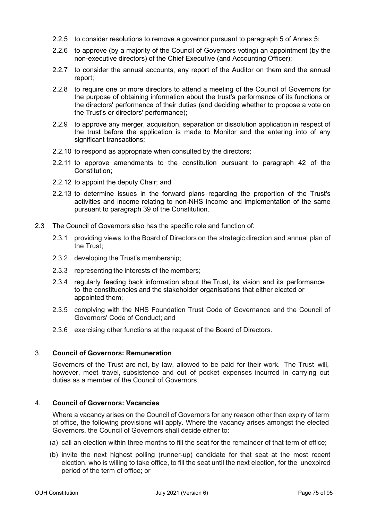- 2.2.5 to consider resolutions to remove a governor pursuant to paragraph 5 of Annex 5;
- 2.2.6 to approve (by a majority of the Council of Governors voting) an appointment (by the non-executive directors) of the Chief Executive (and Accounting Officer);
- 2.2.7 to consider the annual accounts, any report of the Auditor on them and the annual report;
- 2.2.8 to require one or more directors to attend a meeting of the Council of Governors for the purpose of obtaining information about the trust's performance of its functions or the directors' performance of their duties (and deciding whether to propose a vote on the Trust's or directors' performance);
- 2.2.9 to approve any merger, acquisition, separation or dissolution application in respect of the trust before the application is made to Monitor and the entering into of any significant transactions:
- 2.2.10 to respond as appropriate when consulted by the directors;
- 2.2.11 to approve amendments to the constitution pursuant to paragraph 42 of the Constitution;
- 2.2.12 to appoint the deputy Chair; and
- 2.2.13 to determine issues in the forward plans regarding the proportion of the Trust's activities and income relating to non-NHS income and implementation of the same pursuant to paragraph 39 of the Constitution.
- 2.3 The Council of Governors also has the specific role and function of:
	- 2.3.1 providing views to the Board of Directors on the strategic direction and annual plan of the Trust;
	- 2.3.2 developing the Trust's membership;
	- 2.3.3 representing the interests of the members;
	- 2.3.4 regularly feeding back information about the Trust, its vision and its performance to the constituencies and the stakeholder organisations that either elected or appointed them;
	- 2.3.5 complying with the NHS Foundation Trust Code of Governance and the Council of Governors' Code of Conduct; and
	- 2.3.6 exercising other functions at the request of the Board of Directors.

## 3. **Council of Governors: Remuneration**

Governors of the Trust are not, by law, allowed to be paid for their work. The Trust will, however, meet travel, subsistence and out of pocket expenses incurred in carrying out duties as a member of the Council of Governors.

## 4. **Council of Governors: Vacancies**

Where a vacancy arises on the Council of Governors for any reason other than expiry of term of office, the following provisions will apply. Where the vacancy arises amongst the elected Governors, the Council of Governors shall decide either to:

- (a) call an election within three months to fill the seat for the remainder of that term of office;
- (b) invite the next highest polling (runner-up) candidate for that seat at the most recent election, who is willing to take office, to fill the seat until the next election, for the unexpired period of the term of office; or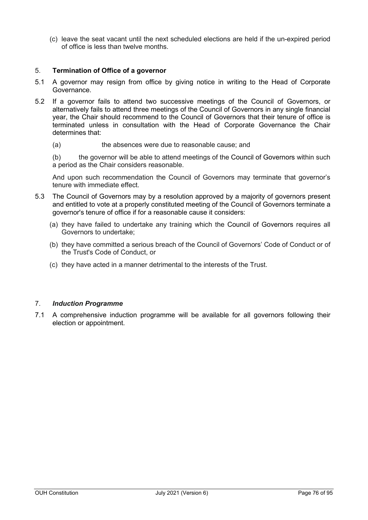(c) leave the seat vacant until the next scheduled elections are held if the un-expired period of office is less than twelve months.

## 5. **Termination of Office of a governor**

- 5.1 A governor may resign from office by giving notice in writing to the Head of Corporate Governance.
- 5.2 If a governor fails to attend two successive meetings of the Council of Governors, or alternatively fails to attend three meetings of the Council of Governors in any single financial year, the Chair should recommend to the Council of Governors that their tenure of office is terminated unless in consultation with the Head of Corporate Governance the Chair determines that:
	- (a) the absences were due to reasonable cause; and

(b) the governor will be able to attend meetings of the Council of Governors within such a period as the Chair considers reasonable.

And upon such recommendation the Council of Governors may terminate that governor's tenure with immediate effect.

- 5.3 The Council of Governors may by a resolution approved by a majority of governors present and entitled to vote at a properly constituted meeting of the Council of Governors terminate a governor's tenure of office if for a reasonable cause it considers:
	- (a) they have failed to undertake any training which the Council of Governors requires all Governors to undertake;
	- (b) they have committed a serious breach of the Council of Governors' Code of Conduct or of the Trust's Code of Conduct, or
	- (c) they have acted in a manner detrimental to the interests of the Trust.

#### 7. *Induction Programme*

7.1 A comprehensive induction programme will be available for all governors following their election or appointment.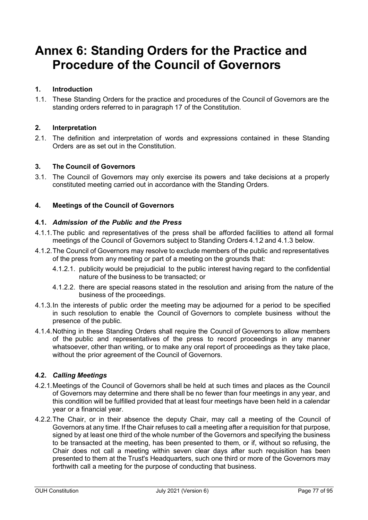# **Annex 6: Standing Orders for the Practice and Procedure of the Council of Governors**

## **1. Introduction**

1.1. These Standing Orders for the practice and procedures of the Council of Governors are the standing orders referred to in paragraph 17 of the Constitution.

## **2. Interpretation**

2.1. The definition and interpretation of words and expressions contained in these Standing Orders are as set out in the Constitution.

## **3. The Council of Governors**

3.1. The Council of Governors may only exercise its powers and take decisions at a properly constituted meeting carried out in accordance with the Standing Orders.

## **4. Meetings of the Council of Governors**

## **4.1.** *Admission of the Public and the Press*

- 4.1.1.The public and representatives of the press shall be afforded facilities to attend all formal meetings of the Council of Governors subject to Standing Orders 4.1.2 and 4.1.3 below.
- 4.1.2.The Council of Governors may resolve to exclude members of the public and representatives of the press from any meeting or part of a meeting on the grounds that:
	- 4.1.2.1. publicity would be prejudicial to the public interest having regard to the confidential nature of the business to be transacted; or
	- 4.1.2.2. there are special reasons stated in the resolution and arising from the nature of the business of the proceedings.
- 4.1.3.In the interests of public order the meeting may be adjourned for a period to be specified in such resolution to enable the Council of Governors to complete business without the presence of the public.
- 4.1.4.Nothing in these Standing Orders shall require the Council of Governors to allow members of the public and representatives of the press to record proceedings in any manner whatsoever, other than writing, or to make any oral report of proceedings as they take place, without the prior agreement of the Council of Governors.

## **4.2.** *Calling Meetings*

- 4.2.1.Meetings of the Council of Governors shall be held at such times and places as the Council of Governors may determine and there shall be no fewer than four meetings in any year, and this condition will be fulfilled provided that at least four meetings have been held in a calendar year or a financial year.
- 4.2.2.The Chair, or in their absence the deputy Chair, may call a meeting of the Council of Governors at any time. If the Chair refuses to call a meeting after a requisition for that purpose, signed by at least one third of the whole number of the Governors and specifying the business to be transacted at the meeting, has been presented to them, or if, without so refusing, the Chair does not call a meeting within seven clear days after such requisition has been presented to them at the Trust's Headquarters, such one third or more of the Governors may forthwith call a meeting for the purpose of conducting that business.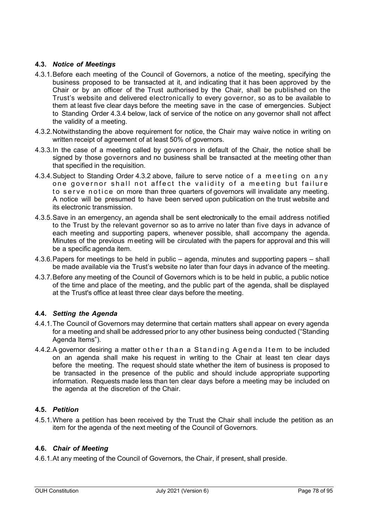## **4.3.** *Notice of Meetings*

- 4.3.1.Before each meeting of the Council of Governors, a notice of the meeting, specifying the business proposed to be transacted at it, and indicating that it has been approved by the Chair or by an officer of the Trust authorised by the Chair, shall be published on the Trust's website and delivered electronically to every governor, so as to be available to them at least five clear days before the meeting save in the case of emergencies. Subject to Standing Order [4.3.4 below,](#page-77-0) lack of service of the notice on any governor shall not affect the validity of a meeting.
- <span id="page-77-1"></span>4.3.2.Notwithstanding the above requirement for notice, the Chair may waive notice in writing on written receipt of agreement of at least 50% of governors.
- <span id="page-77-2"></span>4.3.3.In the case of a meeting called by governors in default of the Chair, the notice shall be signed by those governors and no business shall be transacted at the meeting other than that specified in the requisition.
- <span id="page-77-0"></span>4.3.4.Subject to Standing Order [4.3.2 above,](#page-77-1) failure to serve notice of a meeting on any one governor shall not affect the validity of a meeting but failure to serve notice on more than three quarters of governors will invalidate any meeting. A notice will be presumed to have been served upon publication on the trust website and its electronic transmission.
- 4.3.5.Save in an emergency, an agenda shall be sent electronically to the email address notified to the Trust by the relevant governor so as to arrive no later than five days in advance of each meeting and supporting papers, whenever possible, shall accompany the agenda. Minutes of the previous m eeting will be circulated with the papers for approval and this will be a specific agenda item.
- 4.3.6.Papers for meetings to be held in public agenda, minutes and supporting papers shall be made available via the Trust's website no later than four days in advance of the meeting.
- 4.3.7.Before any meeting of the Council of Governors which is to be held in public, a public notice of the time and place of the meeting, and the public part of the agenda, shall be displayed at the Trust's office at least three clear days before the meeting.

## **4.4.** *Setting the Agenda*

- 4.4.1.The Council of Governors may determine that certain matters shall appear on every agenda for a meeting and shall be addressed prior to any other business being conducted ("Standing Agenda Items").
- 4.4.2.A governor desiring a matter other than a Standing Agenda Item to be included on an agenda shall make his request in writing to the Chair at least ten clear days before the meeting. The request should state whether the item of business is proposed to be transacted in the presence of the public and should include appropriate supporting information. Requests made less than ten clear days before a meeting may be included on the agenda at the discretion of the Chair.

## **4.5.** *Petition*

4.5.1.Where a petition has been received by the Trust the Chair shall include the petition as an item for the agenda of the next meeting of the Council of Governors.

## **4.6.** *Chair of Meeting*

4.6.1.At any meeting of the Council of Governors, the Chair, if present, shall preside.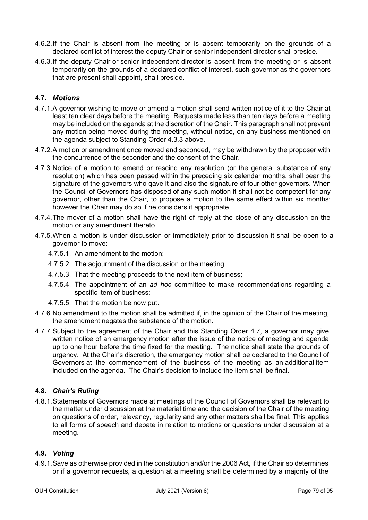- 4.6.2.If the Chair is absent from the meeting or is absent temporarily on the grounds of a declared conflict of interest the deputy Chair or senior independent director shall preside.
- 4.6.3.If the deputy Chair or senior independent director is absent from the meeting or is absent temporarily on the grounds of a declared conflict of interest, such governor as the governors that are present shall appoint, shall preside.

## **4.7.** *Motions*

- 4.7.1.A governor wishing to move or amend a motion shall send written notice of it to the Chair at least ten clear days before the meeting. Requests made less than ten days before a meeting may be included on the agenda at the discretion of the Chair. This paragraph shall not prevent any motion being moved during the meeting, without notice, on any business mentioned on the agenda subject to Standing Order [4.3.3 above.](#page-77-2)
- 4.7.2.A motion or amendment once moved and seconded, may be withdrawn by the proposer with the concurrence of the seconder and the consent of the Chair.
- 4.7.3.Notice of a motion to amend or rescind any resolution (or the general substance of any resolution) which has been passed within the preceding six calendar months, shall bear the signature of the governors who gave it and also the signature of four other governors. When the Council of Governors has disposed of any such motion it shall not be competent for any governor, other than the Chair, to propose a motion to the same effect within six months; however the Chair may do so if he considers it appropriate.
- 4.7.4.The mover of a motion shall have the right of reply at the close of any discussion on the motion or any amendment thereto.
- 4.7.5.When a motion is under discussion or immediately prior to discussion it shall be open to a governor to move:
	- 4.7.5.1. An amendment to the motion;
	- 4.7.5.2. The adjournment of the discussion or the meeting;
	- 4.7.5.3. That the meeting proceeds to the next item of business;
	- 4.7.5.4. The appointment of an *ad hoc* committee to make recommendations regarding a specific item of business;
	- 4.7.5.5. That the motion be now put.
- 4.7.6.No amendment to the motion shall be admitted if, in the opinion of the Chair of the meeting, the amendment negates the substance of the motion.
- 4.7.7.Subject to the agreement of the Chair and this Standing Order 4.7, a governor may give written notice of an emergency motion after the issue of the notice of meeting and agenda up to one hour before the time fixed for the meeting. The notice shall state the grounds of urgency. At the Chair's discretion, the emergency motion shall be declared to the Council of Governors at the commencement of the business of the meeting as an additional item included on the agenda. The Chair's decision to include the item shall be final.

## **4.8.** *Chair's Ruling*

4.8.1.Statements of Governors made at meetings of the Council of Governors shall be relevant to the matter under discussion at the material time and the decision of the Chair of the meeting on questions of order, relevancy, regularity and any other matters shall be final. This applies to all forms of speech and debate in relation to motions or questions under discussion at a meeting.

## **4.9.** *Voting*

4.9.1.Save as otherwise provided in the constitution and/or the 2006 Act, if the Chair so determines or if a governor requests, a question at a meeting shall be determined by a majority of the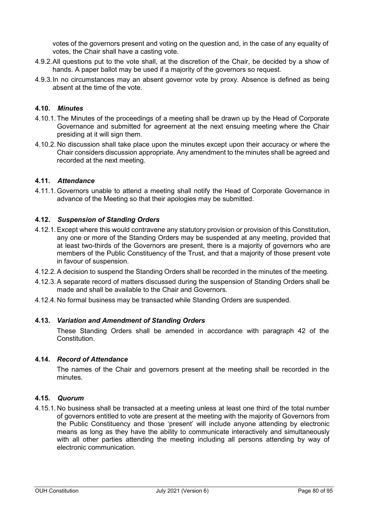votes of the governors present and voting on the question and, in the case of any equality of votes, the Chair shall have a casting vote.

- 4.9.2.All questions put to the vote shall, at the discretion of the Chair, be decided by a show of hands. A paper ballot may be used if a majority of the governors so request.
- 4.9.3.In no circumstances may an absent governor vote by proxy. Absence is defined as being absent at the time of the vote.

## **4.10.** *Minutes*

- 4.10.1. The Minutes of the proceedings of a meeting shall be drawn up by the Head of Corporate Governance and submitted for agreement at the next ensuing meeting where the Chair presiding at it will sign them.
- 4.10.2. No discussion shall take place upon the minutes except upon their accuracy or where the Chair considers discussion appropriate. Any amendment to the minutes shall be agreed and recorded at the next meeting.

## **4.11.** *Attendance*

4.11.1. Governors unable to attend a meeting shall notify the Head of Corporate Governance in advance of the Meeting so that their apologies may be submitted.

#### **4.12.** *Suspension of Standing Orders*

- 4.12.1.Except where this would contravene any statutory provision or provision of this Constitution, any one or more of the Standing Orders may be suspended at any meeting, provided that at least two-thirds of the Governors are present, there is a majority of governors who are members of the Public Constituency of the Trust, and that a majority of those present vote in favour of suspension.
- 4.12.2.A decision to suspend the Standing Orders shall be recorded in the minutes of the meeting.
- 4.12.3.A separate record of matters discussed during the suspension of Standing Orders shall be made and shall be available to the Chair and Governors.
- 4.12.4. No formal business may be transacted while Standing Orders are suspended.

#### **4.13.** *Variation and Amendment of Standing Orders*

These Standing Orders shall be amended in accordance with paragraph 42 of the Constitution.

#### **4.14.** *Record of Attendance*

The names of the Chair and governors present at the meeting shall be recorded in the minutes.

#### **4.15.** *Quorum*

4.15.1. No business shall be transacted at a meeting unless at least one third of the total number of governors entitled to vote are present at the meeting with the majority of Governors from the Public Constituency and those 'present' will include anyone attending by electronic means as long as they have the ability to communicate interactively and simultaneously with all other parties attending the meeting including all persons attending by way of electronic communication.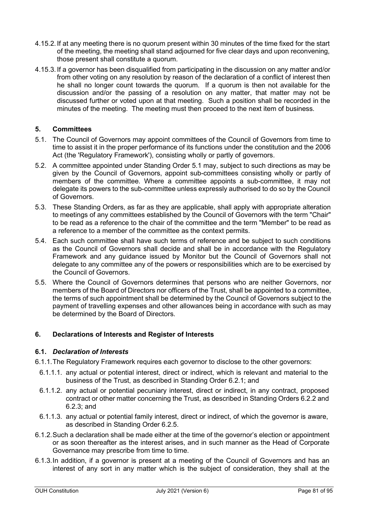- 4.15.2. If at any meeting there is no quorum present within 30 minutes of the time fixed for the start of the meeting, the meeting shall stand adjourned for five clear days and upon reconvening, those present shall constitute a quorum.
- 4.15.3. If a governor has been disqualified from participating in the discussion on any matter and/or from other voting on any resolution by reason of the declaration of a conflict of interest then he shall no longer count towards the quorum. If a quorum is then not available for the discussion and/or the passing of a resolution on any matter, that matter may not be discussed further or voted upon at that meeting. Such a position shall be recorded in the minutes of the meeting. The meeting must then proceed to the next item of business.

## **5. Committees**

- <span id="page-80-0"></span>5.1. The Council of Governors may appoint committees of the Council of Governors from time to time to assist it in the proper performance of its functions under the constitution and the 2006 Act (the 'Regulatory Framework'), consisting wholly or partly of governors.
- 5.2. A committee appointed under Standing Order [5.1](#page-80-0) may, subject to such directions as may be given by the Council of Governors, appoint sub-committees consisting wholly or partly of members of the committee. Where a committee appoints a sub-committee, it may not delegate its powers to the sub-committee unless expressly authorised to do so by the Council of Governors.
- 5.3. These Standing Orders, as far as they are applicable, shall apply with appropriate alteration to meetings of any committees established by the Council of Governors with the term "Chair" to be read as a reference to the chair of the committee and the term "Member" to be read as a reference to a member of the committee as the context permits.
- 5.4. Each such committee shall have such terms of reference and be subject to such conditions as the Council of Governors shall decide and shall be in accordance with the Regulatory Framework and any guidance issued by Monitor but the Council of Governors shall not delegate to any committee any of the powers or responsibilities which are to be exercised by the Council of Governors.
- 5.5. Where the Council of Governors determines that persons who are neither Governors, nor members of the Board of Directors nor officers of the Trust, shall be appointed to a committee, the terms of such appointment shall be determined by the Council of Governors subject to the payment of travelling expenses and other allowances being in accordance with such as may be determined by the Board of Directors.

## **6. Declarations of Interests and Register of Interests**

## **6.1.** *Declaration of Interests*

- 6.1.1.The Regulatory Framework requires each governor to disclose to the other governors:
	- 6.1.1.1. any actual or potential interest, direct or indirect, which is relevant and material to the business of the Trust, as described in Standing Order 6.2.1; and
	- 6.1.1.2. any actual or potential pecuniary interest, direct or indirect, in any contract, proposed contract or other matter concerning the Trust, as described in Standing Orders 6.2.2 and 6.2.3; and
	- 6.1.1.3. any actual or potential family interest, direct or indirect, of which the governor is aware, as described in Standing Order 6.2.5.
- 6.1.2.Such a declaration shall be made either at the time of the governor's election or appointment or as soon thereafter as the interest arises, and in such manner as the Head of Corporate Governance may prescribe from time to time.
- 6.1.3.In addition, if a governor is present at a meeting of the Council of Governors and has an interest of any sort in any matter which is the subject of consideration, they shall at the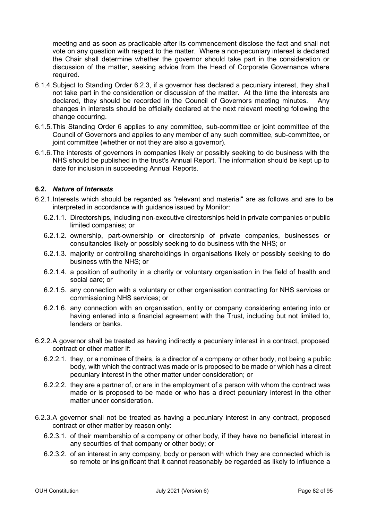meeting and as soon as practicable after its commencement disclose the fact and shall not vote on any question with respect to the matter. Where a non-pecuniary interest is declared the Chair shall determine whether the governor should take part in the consideration or discussion of the matter, seeking advice from the Head of Corporate Governance where required.

- 6.1.4.Subject to Standing Order 6.2.3, if a governor has declared a pecuniary interest, they shall not take part in the consideration or discussion of the matter. At the time the interests are declared, they should be recorded in the Council of Governors meeting minutes. Any changes in interests should be officially declared at the next relevant meeting following the change occurring.
- 6.1.5.This Standing Order 6 applies to any committee, sub-committee or joint committee of the Council of Governors and applies to any member of any such committee, sub-committee, or joint committee (whether or not they are also a governor).
- 6.1.6.The interests of governors in companies likely or possibly seeking to do business with the NHS should be published in the trust's Annual Report. The information should be kept up to date for inclusion in succeeding Annual Reports.

## **6.2.** *Nature of Interests*

- 6.2.1.Interests which should be regarded as "relevant and material" are as follows and are to be interpreted in accordance with guidance issued by Monitor:
	- 6.2.1.1. Directorships, including non-executive directorships held in private companies or public limited companies; or
	- 6.2.1.2. ownership, part-ownership or directorship of private companies, businesses or consultancies likely or possibly seeking to do business with the NHS; or
	- 6.2.1.3. majority or controlling shareholdings in organisations likely or possibly seeking to do business with the NHS; or
	- 6.2.1.4. a position of authority in a charity or voluntary organisation in the field of health and social care; or
	- 6.2.1.5. any connection with a voluntary or other organisation contracting for NHS services or commissioning NHS services; or
	- 6.2.1.6. any connection with an organisation, entity or company considering entering into or having entered into a financial agreement with the Trust, including but not limited to, lenders or banks.
- 6.2.2.A governor shall be treated as having indirectly a pecuniary interest in a contract, proposed contract or other matter if:
	- 6.2.2.1. they, or a nominee of theirs, is a director of a company or other body, not being a public body, with which the contract was made or is proposed to be made or which has a direct pecuniary interest in the other matter under consideration; or
	- 6.2.2.2. they are a partner of, or are in the employment of a person with whom the contract was made or is proposed to be made or who has a direct pecuniary interest in the other matter under consideration.
- <span id="page-81-1"></span><span id="page-81-0"></span>6.2.3.A governor shall not be treated as having a pecuniary interest in any contract, proposed contract or other matter by reason only:
	- 6.2.3.1. of their membership of a company or other body, if they have no beneficial interest in any securities of that company or other body; or
	- 6.2.3.2. of an interest in any company, body or person with which they are connected which is so remote or insignificant that it cannot reasonably be regarded as likely to influence a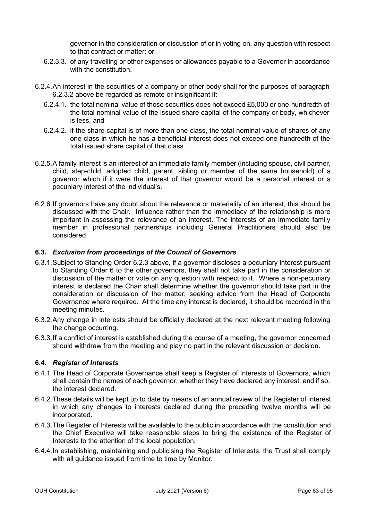governor in the consideration or discussion of or in voting on, any question with respect to that contract or matter; or

- 6.2.3.3. of any travelling or other expenses or allowances payable to a Governor in accordance with the constitution.
- 6.2.4.An interest in the securities of a company or other body shall for the purposes of paragraph [6.2.3.2 above](#page-81-0) be regarded as remote or insignificant if:
	- 6.2.4.1. the total nominal value of those securities does not exceed £5,000 or one-hundredth of the total nominal value of the issued share capital of the company or body, whichever is less, and
	- 6.2.4.2. if the share capital is of more than one class, the total nominal value of shares of any one class in which he has a beneficial interest does not exceed one-hundredth of the total issued share capital of that class.
- 6.2.5.A family interest is an interest of an immediate family member (including spouse, civil partner, child, step-child, adopted child, parent, sibling or member of the same household) of a governor which if it were the interest of that governor would be a personal interest or a pecuniary interest of the individual's.
- 6.2.6.If governors have any doubt about the relevance or materiality of an interest, this should be discussed with the Chair. Influence rather than the immediacy of the relationship is more important in assessing the relevance of an interest. The interests of an immediate family member in professional partnerships including General Practitioners should also be considered.

## **6.3.** *Exclusion from proceedings of the Council of Governors*

- 6.3.1.Subject to Standing Order [6.2.3 above,](#page-81-1) if a governor discloses a pecuniary interest pursuant to Standing Order 6 to the other governors, they shall not take part in the consideration or discussion of the matter or vote on any question with respect to it. Where a non-pecuniary interest is declared the Chair shall determine whether the governor should take part in the consideration or discussion of the matter, seeking advice from the Head of Corporate Governance where required. At the time any interest is declared, it should be recorded in the meeting minutes.
- 6.3.2.Any change in interests should be officially declared at the next relevant meeting following the change occurring.
- 6.3.3.If a conflict of interest is established during the course of a meeting, the governor concerned should withdraw from the meeting and play no part in the relevant discussion or decision.

## **6.4.** *Register of Interests*

- 6.4.1.The Head of Corporate Governance shall keep a Register of Interests of Governors, which shall contain the names of each governor, whether they have declared any interest, and if so, the interest declared.
- 6.4.2.These details will be kept up to date by means of an annual review of the Register of Interest in which any changes to interests declared during the preceding twelve months will be incorporated.
- 6.4.3.The Register of Interests will be available to the public in accordance with the constitution and the Chief Executive will take reasonable steps to bring the existence of the Register of Interests to the attention of the local population.
- 6.4.4.In establishing, maintaining and publicising the Register of Interests, the Trust shall comply with all guidance issued from time to time by Monitor.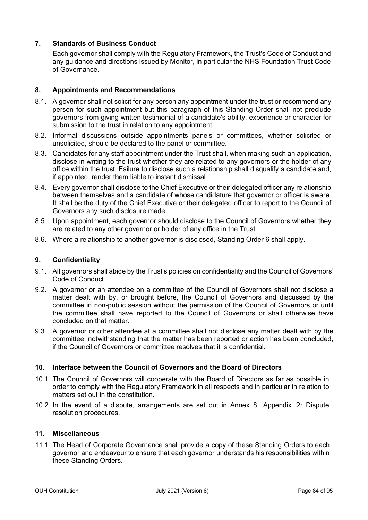## **7. Standards of Business Conduct**

Each governor shall comply with the Regulatory Framework, the Trust's Code of Conduct and any guidance and directions issued by Monitor, in particular the NHS Foundation Trust Code of Governance.

## **8. Appointments and Recommendations**

- 8.1. A governor shall not solicit for any person any appointment under the trust or recommend any person for such appointment but this paragraph of this Standing Order shall not preclude governors from giving written testimonial of a candidate's ability, experience or character for submission to the trust in relation to any appointment.
- 8.2. Informal discussions outside appointments panels or committees, whether solicited or unsolicited, should be declared to the panel or committee.
- 8.3. Candidates for any staff appointment under the Trust shall, when making such an application, disclose in writing to the trust whether they are related to any governors or the holder of any office within the trust. Failure to disclose such a relationship shall disqualify a candidate and, if appointed, render them liable to instant dismissal.
- 8.4. Every governor shall disclose to the Chief Executive or their delegated officer any relationship between themselves and a candidate of whose candidature that governor or officer is aware. It shall be the duty of the Chief Executive or their delegated officer to report to the Council of Governors any such disclosure made.
- 8.5. Upon appointment, each governor should disclose to the Council of Governors whether they are related to any other governor or holder of any office in the Trust.
- 8.6. Where a relationship to another governor is disclosed, Standing Order 6 shall apply.

## **9. Confidentiality**

- 9.1. All governors shall abide by the Trust's policies on confidentiality and the Council of Governors' Code of Conduct.
- 9.2. A governor or an attendee on a committee of the Council of Governors shall not disclose a matter dealt with by, or brought before, the Council of Governors and discussed by the committee in non-public session without the permission of the Council of Governors or until the committee shall have reported to the Council of Governors or shall otherwise have concluded on that matter.
- 9.3. A governor or other attendee at a committee shall not disclose any matter dealt with by the committee, notwithstanding that the matter has been reported or action has been concluded, if the Council of Governors or committee resolves that it is confidential.

## **10. Interface between the Council of Governors and the Board of Directors**

- 10.1. The Council of Governors will cooperate with the Board of Directors as far as possible in order to comply with the Regulatory Framework in all respects and in particular in relation to matters set out in the constitution.
- 10.2. In the event of a dispute, arrangements are set out in Annex 8, Appendix [2: Dispute](#page-96-0)  [resolution procedures.](#page-96-0)

## **11. Miscellaneous**

11.1. The Head of Corporate Governance shall provide a copy of these Standing Orders to each governor and endeavour to ensure that each governor understands his responsibilities within these Standing Orders.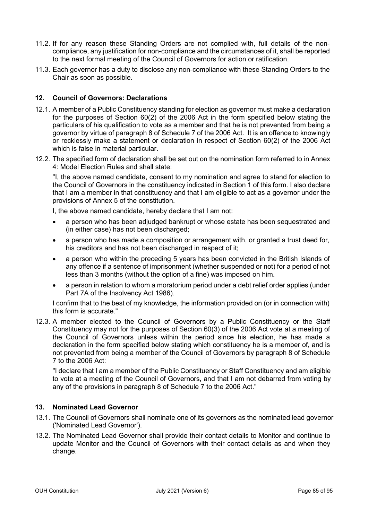- 11.2. If for any reason these Standing Orders are not complied with, full details of the noncompliance, any justification for non-compliance and the circumstances of it, shall be reported to the next formal meeting of the Council of Governors for action or ratification.
- 11.3. Each governor has a duty to disclose any non-compliance with these Standing Orders to the Chair as soon as possible.

## **12. Council of Governors: Declarations**

- 12.1. A member of a Public Constituency standing for election as governor must make a declaration for the purposes of Section 60(2) of the 2006 Act in the form specified below stating the particulars of his qualification to vote as a member and that he is not prevented from being a governor by virtue of paragraph 8 of Schedule 7 of the 2006 Act. It is an offence to knowingly or recklessly make a statement or declaration in respect of Section 60(2) of the 2006 Act which is false in material particular.
- 12.2. The specified form of declaration shall be set out on the nomination form referred to in [Annex](#page-22-0)  [4: Model Election Rules](#page-22-0) and shall state:

"I, the above named candidate, consent to my nomination and agree to stand for election to the Council of Governors in the constituency indicated in Section 1 of this form. I also declare that I am a member in that constituency and that I am eligible to act as a governor under the provisions of Annex 5 of the constitution.

I, the above named candidate, hereby declare that I am not:

- a person who has been adjudged bankrupt or whose estate has been sequestrated and (in either case) has not been discharged;
- a person who has made a composition or arrangement with, or granted a trust deed for, his creditors and has not been discharged in respect of it;
- a person who within the preceding 5 years has been convicted in the British Islands of any offence if a sentence of imprisonment (whether suspended or not) for a period of not less than 3 months (without the option of a fine) was imposed on him.
- a person in relation to whom a moratorium period under a debt relief order applies (under Part 7A of the Insolvency Act 1986).

I confirm that to the best of my knowledge, the information provided on (or in connection with) this form is accurate."

12.3. A member elected to the Council of Governors by a Public Constituency or the Staff Constituency may not for the purposes of Section 60(3) of the 2006 Act vote at a meeting of the Council of Governors unless within the period since his election, he has made a declaration in the form specified below stating which constituency he is a member of, and is not prevented from being a member of the Council of Governors by paragraph 8 of Schedule 7 to the 2006 Act:

"I declare that I am a member of the Public Constituency or Staff Constituency and am eligible to vote at a meeting of the Council of Governors, and that I am not debarred from voting by any of the provisions in paragraph 8 of Schedule 7 to the 2006 Act."

## **13. Nominated Lead Governor**

- 13.1. The Council of Governors shall nominate one of its governors as the nominated lead governor ('Nominated Lead Governor').
- 13.2. The Nominated Lead Governor shall provide their contact details to Monitor and continue to update Monitor and the Council of Governors with their contact details as and when they change.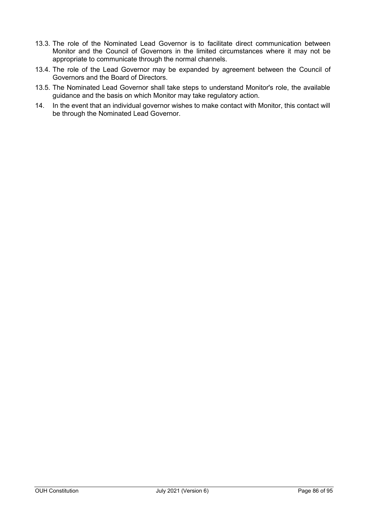- 13.3. The role of the Nominated Lead Governor is to facilitate direct communication between Monitor and the Council of Governors in the limited circumstances where it may not be appropriate to communicate through the normal channels.
- 13.4. The role of the Lead Governor may be expanded by agreement between the Council of Governors and the Board of Directors.
- 13.5. The Nominated Lead Governor shall take steps to understand Monitor's role, the available guidance and the basis on which Monitor may take regulatory action.
- 14. In the event that an individual governor wishes to make contact with Monitor, this contact will be through the Nominated Lead Governor.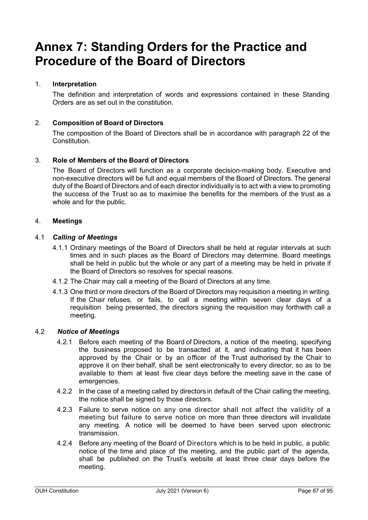# **Annex 7: Standing Orders for the Practice and Procedure of the Board of Directors**

## 1. **Interpretation**

The definition and interpretation of words and expressions contained in these Standing Orders are as set out in the constitution.

## 2. **Composition of Board of Directors**

The composition of the Board of Directors shall be in accordance with paragraph [22](#page-11-0) of the Constitution.

## 3. **Role of Members of the Board of Directors**

The Board of Directors will function as a corporate decision-making body. Executive and non-executive directors will be full and equal members of the Board of Directors. The general duty of the Board of Directors and of each director individually is to act with a view to promoting the success of the Trust so as to maximise the benefits for the members of the trust as a whole and for the public.

## 4. **Meetings**

## 4.1 *Calling of Meetings*

- 4.1.1 Ordinary meetings of the Board of Directors shall be held at regular intervals at such times and in such places as the Board of Directors may determine. Board meetings shall be held in public but the whole or any part of a meeting may be held in private if the Board of Directors so resolves for special reasons.
- 4.1.2 The Chair may call a meeting of the Board of Directors at any time.
- 4.1.3 One third or more directors of the Board of Directors may requisition a meeting in writing. If the Chair refuses, or fails, to call a meeting within seven clear days of a requisition being presented, the directors signing the requisition may forthwith call a meeting.

## 4.2 *Notice of Meetings*

- 4.2.1 Before each meeting of the Board of Directors, a notice of the meeting, specifying the business proposed to be transacted at it, and indicating that it has been approved by the Chair or by an officer of the Trust authorised by the Chair to approve it on their behalf, shall be sent electronically to every director, so as to be available to them at least five clear days before the meeting save in the case of emergencies.
- 4.2.2 In the case of a meeting called by directors in default of the Chair calling the meeting, the notice shall be signed by those directors.
- 4.2.3 Failure to serve notice on any one director shall not affect the validity of a meeting but failure to serve notice on more than three directors will invalidate any meeting. A notice will be deemed to have been served upon electronic transmission.
- 4.2.4 Before any meeting of the Board of Directors which is to be held in public, a public notice of the time and place of the meeting, and the public part of the agenda, shall be published on the Trust's website at least three clear days before the meeting.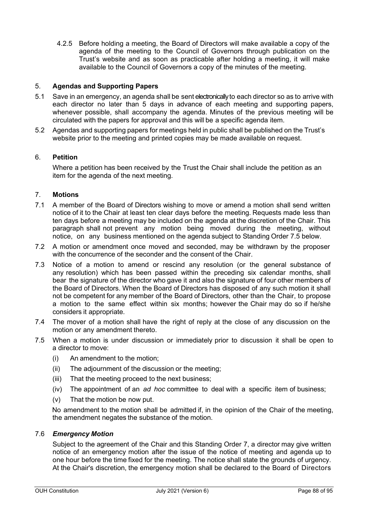4.2.5 Before holding a meeting, the Board of Directors will make available a copy of the agenda of the meeting to the Council of Governors through publication on the Trust's website and as soon as practicable after holding a meeting, it will make available to the Council of Governors a copy of the minutes of the meeting.

## 5. **Agendas and Supporting Papers**

- 5.1 Save in an emergency, an agenda shall be sent electronically to each director so as to arrive with each director no later than 5 days in advance of each meeting and supporting papers, whenever possible, shall accompany the agenda. Minutes of the previous meeting will be circulated with the papers for approval and this will be a specific agenda item.
- 5.2 Agendas and supporting papers for meetings held in public shall be published on the Trust's website prior to the meeting and printed copies may be made available on request.

## 6. **Petition**

Where a petition has been received by the Trust the Chair shall include the petition as an item for the agenda of the next meeting.

## 7. **Motions**

- 7.1 A member of the Board of Directors wishing to move or amend a motion shall send written notice of it to the Chair at least ten clear days before the meeting. Requests made less than ten days before a meeting may be included on the agenda at the discretion of the Chair. This paragraph shall not prevent any motion being moved during the meeting, without notice, on any business mentioned on the agenda subject to Standing Order 7.5 below.
- 7.2 A motion or amendment once moved and seconded, may be withdrawn by the proposer with the concurrence of the seconder and the consent of the Chair.
- 7.3 Notice of a motion to amend or rescind any resolution (or the general substance of any resolution) which has been passed within the preceding six calendar months, shall bear the signature of the director who gave it and also the signature of four other members of the Board of Directors. When the Board of Directors has disposed of any such motion it shall not be competent for any member of the Board of Directors, other than the Chair, to propose a motion to the same effect within six months; however the Chair may do so if he/she considers it appropriate.
- 7.4 The mover of a motion shall have the right of reply at the close of any discussion on the motion or any amendment thereto.
- 7.5 When a motion is under discussion or immediately prior to discussion it shall be open to a director to move:
	- (i) An amendment to the motion;
	- (ii) The adjournment of the discussion or the meeting;
	- (iii) That the meeting proceed to the next business;
	- (iv) The appointment of an *ad hoc* committee to deal with a specific item of business;
	- (v) That the motion be now put.

No amendment to the motion shall be admitted if, in the opinion of the Chair of the meeting, the amendment negates the substance of the motion.

## 7.6 *Emergency Motion*

Subject to the agreement of the Chair and this Standing Order 7, a director may give written notice of an emergency motion after the issue of the notice of meeting and agenda up to one hour before the time fixed for the meeting. The notice shall state the grounds of urgency. At the Chair's discretion, the emergency motion shall be declared to the Board of Directors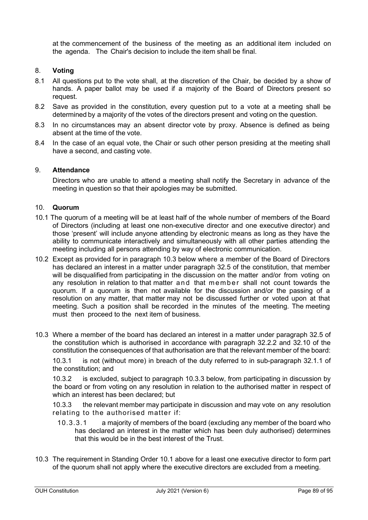at the commencement of the business of the meeting as an additional item included on the agenda. The Chair's decision to include the item shall be final.

## 8. **Voting**

- 8.1 All questions put to the vote shall, at the discretion of the Chair, be decided by a show of hands. A paper ballot may be used if a majority of the Board of Directors present so request.
- 8.2 Save as provided in the constitution, every question put to a vote at a meeting shall be determined by a majority of the votes of the directors present and voting on the question.
- 8.3 In no circumstances may an absent director vote by proxy. Absence is defined as being absent at the time of the vote.
- 8.4 In the case of an equal vote, the Chair or such other person presiding at the meeting shall have a second, and casting vote.

#### 9. **Attendance**

Directors who are unable to attend a meeting shall notify the Secretary in advance of the meeting in question so that their apologies may be submitted.

#### 10. **Quorum**

- 10.1 The quorum of a meeting will be at least half of the whole number of members of the Board of Directors (including at least one non-executive director and one executive director) and those 'present' will include anyone attending by electronic means as long as they have the ability to communicate interactively and simultaneously with all other parties attending the meeting including all persons attending by way of electronic communication.
- 10.2 Except as provided for in paragraph 10.3 below where a member of the Board of Directors has declared an interest in a matter under paragraph 32.5 of the constitution, that member will be disqualified from participating in the discussion on the matter and/or from voting on any resolution in relation to that matter and that member shall not count towards the quorum. If a quorum is then not available for the discussion and/or the passing of a resolution on any matter, that matter may not be discussed further or voted upon at that meeting. Such a position shall be recorded in the minutes of the meeting. The meeting must then proceed to the next item of business.
- 10.3 Where a member of the board has declared an interest in a matter under paragraph 32.5 of the constitution which is authorised in accordance with paragraph 32.2.2 and 32.10 of the constitution the consequences of that authorisation are that the relevant member of the board:

10.3.1 is not (without more) in breach of the duty referred to in sub-paragraph 32.1.1 of the constitution; and

10.3.2 is excluded, subject to paragraph 10.3.3 below, from participating in discussion by the board or from voting on any resolution in relation to the authorised matter in respect of which an interest has been declared; but

10.3.3 the relevant member may participate in discussion and may vote on any resolution relating to the authorised matter if:

- 10.3.3.1 a majority of members of the board (excluding any member of the board who has declared an interest in the matter which has been duly authorised) determines that this would be in the best interest of the Trust.
- 10.3 The requirement in Standing Order 10.1 above for a least one executive director to form part of the quorum shall not apply where the executive directors are excluded from a meeting.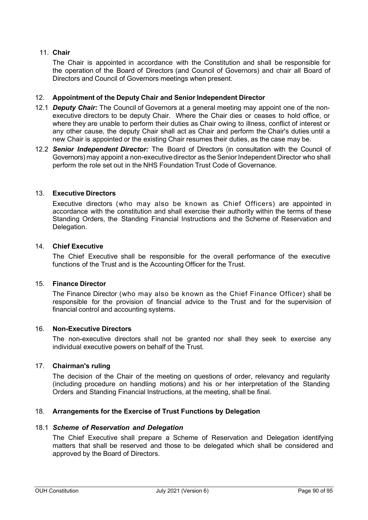## 11. **Chair**

The Chair is appointed in accordance with the Constitution and shall be responsible for the operation of the Board of Directors (and Council of Governors) and chair all Board of Directors and Council of Governors meetings when present.

## 12. **Appointment of the Deputy Chair and Senior Independent Director**

- 12.1 *Deputy Chair:* The Council of Governors at a general meeting may appoint one of the nonexecutive directors to be deputy Chair. Where the Chair dies or ceases to hold office, or where they are unable to perform their duties as Chair owing to illness, conflict of interest or any other cause, the deputy Chair shall act as Chair and perform the Chair's duties until a new Chair is appointed or the existing Chair resumes their duties, as the case may be.
- 12.2 *Senior Independent Director:* The Board of Directors (in consultation with the Council of Governors) may appoint a non-executive director as theSenior Independent Director who shall perform the role set out in the NHS Foundation Trust Code of Governance.

#### 13. **Executive Directors**

Executive directors (who may also be known as Chief Officers) are appointed in accordance with the constitution and shall exercise their authority within the terms of these Standing Orders, the Standing Financial Instructions and the Scheme of Reservation and Delegation.

#### 14. **Chief Executive**

The Chief Executive shall be responsible for the overall performance of the executive functions of the Trust and is the Accounting Officer for the Trust.

## 15. **Finance Director**

The Finance Director (who may also be known as the Chief Finance Officer) shall be responsible for the provision of financial advice to the Trust and for the supervision of financial control and accounting systems.

## 16. **Non-Executive Directors**

The non-executive directors shall not be granted nor shall they seek to exercise any individual executive powers on behalf of the Trust.

## 17. **Chairman's ruling**

The decision of the Chair of the meeting on questions of order, relevancy and regularity (including procedure on handling motions) and his or her interpretation of the Standing Orders and Standing Financial Instructions, at the meeting, shall be final.

## 18. **Arrangements for the Exercise of Trust Functions by Delegation**

#### 18.1 *Scheme of Reservation and Delegation*

The Chief Executive shall prepare a Scheme of Reservation and Delegation identifying matters that shall be reserved and those to be delegated which shall be considered and approved by the Board of Directors.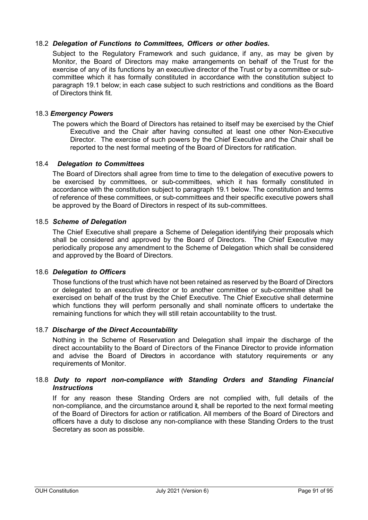## 18.2 *Delegation of Functions to Committees, Officers or other bodies.*

Subject to the Regulatory Framework and such guidance, if any, as may be given by Monitor, the Board of Directors may make arrangements on behalf of the Trust for the exercise of any of its functions by an executive director of the Trust or by a committee or subcommittee which it has formally constituted in accordance with the constitution subject to paragraph 19.1 below; in each case subject to such restrictions and conditions as the Board of Directors think fit.

## 18.3 *Emergency Powers*

The powers which the Board of Directors has retained to itself may be exercised by the Chief Executive and the Chair after having consulted at least one other Non-Executive Director. The exercise of such powers by the Chief Executive and the Chair shall be reported to the nest formal meeting of the Board of Directors for ratification.

## 18.4 *Delegation to Committees*

The Board of Directors shall agree from time to time to the delegation of executive powers to be exercised by committees, or sub-committees, which it has formally constituted in accordance with the constitution subject to paragraph 19.1 below. The constitution and terms of reference of these committees, or sub-committees and their specific executive powers shall be approved by the Board of Directors in respect of its sub-committees.

## 18.5 *Scheme of Delegation*

The Chief Executive shall prepare a Scheme of Delegation identifying their proposals which shall be considered and approved by the Board of Directors. The Chief Executive may periodically propose any amendment to the Scheme of Delegation which shall be considered and approved by the Board of Directors.

## 18.6 *Delegation to Officers*

Those functions of the trust which have not been retained as reserved by the Board of Directors or delegated to an executive director or to another committee or sub-committee shall be exercised on behalf of the trust by the Chief Executive. The Chief Executive shall determine which functions they will perform personally and shall nominate officers to undertake the remaining functions for which they will still retain accountability to the trust.

## 18.7 *Discharge of the Direct Accountability*

Nothing in the Scheme of Reservation and Delegation shall impair the discharge of the direct accountability to the Board of Directors of the Finance Director to provide information and advise the Board of Directors in accordance with statutory requirements or any requirements of Monitor.

#### 18.8 *Duty to report non-compliance with Standing Orders and Standing Financial Instructions*

If for any reason these Standing Orders are not complied with, full details of the non-compliance, and the circumstance around it, shall be reported to the next formal meeting of the Board of Directors for action or ratification. All members of the Board of Directors and officers have a duty to disclose any non-compliance with these Standing Orders to the trust Secretary as soon as possible.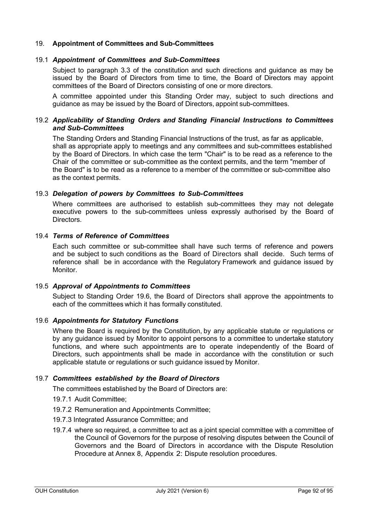## 19. **Appointment of Committees and Sub-Committees**

## 19.1 *Appointment of Committees and Sub-Committees*

Subject to paragraph 3.3 of the constitution and such directions and guidance as may be issued by the Board of Directors from time to time, the Board of Directors may appoint committees of the Board of Directors consisting of one or more directors.

A committee appointed under this Standing Order may, subject to such directions and guidance as may be issued by the Board of Directors, appoint sub-committees.

## 19.2 *Applicability of Standing Orders and Standing Financial Instructions to Committees and Sub-Committees*

The Standing Orders and Standing Financial Instructions of the trust, as far as applicable, shall as appropriate apply to meetings and any committees and sub-committees established by the Board of Directors. In which case the term "Chair" is to be read as a reference to the Chair of the committee or sub-committee as the context permits, and the term "member of the Board" is to be read as a reference to a member of the committee or sub-committee also as the context permits.

#### 19.3 *Delegation of powers by Committees to Sub-Committees*

Where committees are authorised to establish sub-committees they may not delegate executive powers to the sub-committees unless expressly authorised by the Board of Directors.

#### 19.4 *Terms of Reference of Committees*

Each such committee or sub-committee shall have such terms of reference and powers and be subject to such conditions as the Board of Directors shall decide. Such terms of reference shall be in accordance with the Regulatory Framework and guidance issued by Monitor.

#### 19.5 *Approval of Appointments to Committees*

Subject to Standing Order 19.6, the Board of Directors shall approve the appointments to each of the committees which it has formally constituted.

#### 19.6 *Appointments for Statutory Functions*

Where the Board is required by the Constitution, by any applicable statute or regulations or by any guidance issued by Monitor to appoint persons to a committee to undertake statutory functions, and where such appointments are to operate independently of the Board of Directors, such appointments shall be made in accordance with the constitution or such applicable statute or regulations or such guidance issued by Monitor.

## 19.7 *Committees established by the Board of Directors*

The committees established by the Board of Directors are:

- 19.7.1 Audit Committee;
- 19.7.2 Remuneration and Appointments Committee;
- 19.7.3 Integrated Assurance Committee; and
- 19.7.4 where so required, a committee to act as a joint special committee with a committee of the Council of Governors for the purpose of resolving disputes between the Council of Governors and the Board of Directors in accordance with the Dispute Resolution Procedure at Annex 8, Appendix [2: Dispute resolution procedures.](#page-96-0)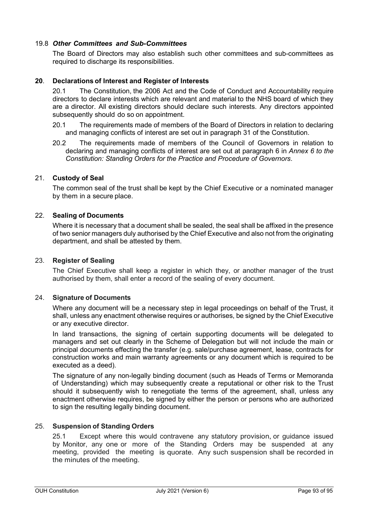## 19.8 *Other Committees and Sub-Committees*

The Board of Directors may also establish such other committees and sub-committees as required to discharge its responsibilities.

## **20**. **Declarations of Interest and Register of Interests**

20.1 The Constitution, the 2006 Act and the Code of Conduct and Accountability require directors to declare interests which are relevant and material to the NHS board of which they are a director. All existing directors should declare such interests. Any directors appointed subsequently should do so on appointment.

- 20.1 The requirements made of members of the Board of Directors in relation to declaring and managing conflicts of interest are set out in paragraph 31 of the Constitution.
- 20.2 The requirements made of members of the Council of Governors in relation to declaring and managing conflicts of interest are set out at paragraph 6 in *Annex 6 to the Constitution: Standing Orders for the Practice and Procedure of Governors*.

#### 21. **Custody of Seal**

The common seal of the trust shall be kept by the Chief Executive or a nominated manager by them in a secure place.

#### 22. **Sealing of Documents**

Where it is necessary that a document shall be sealed, the seal shall be affixed in the presence of two senior managers duly authorised by the Chief Executive and also not from the originating department, and shall be attested by them.

#### 23. **Register of Sealing**

The Chief Executive shall keep a register in which they, or another manager of the trust authorised by them, shall enter a record of the sealing of every document.

#### 24. **Signature of Documents**

Where any document will be a necessary step in legal proceedings on behalf of the Trust, it shall, unless any enactment otherwise requires or authorises, be signed by the Chief Executive or any executive director.

In land transactions, the signing of certain supporting documents will be delegated to managers and set out clearly in the Scheme of Delegation but will not include the main or principal documents effecting the transfer (e.g. sale/purchase agreement, lease, contracts for construction works and main warranty agreements or any document which is required to be executed as a deed).

The signature of any non-legally binding document (such as Heads of Terms or Memoranda of Understanding) which may subsequently create a reputational or other risk to the Trust should it subsequently wish to renegotiate the terms of the agreement, shall, unless any enactment otherwise requires, be signed by either the person or persons who are authorized to sign the resulting legally binding document.

## 25. **Suspension of Standing Orders**

25.1 Except where this would contravene any statutory provision, or guidance issued by Monitor, any one or more of the Standing Orders may be suspended at any meeting, provided the meeting is quorate. Any such suspension shall be recorded in the minutes of the meeting.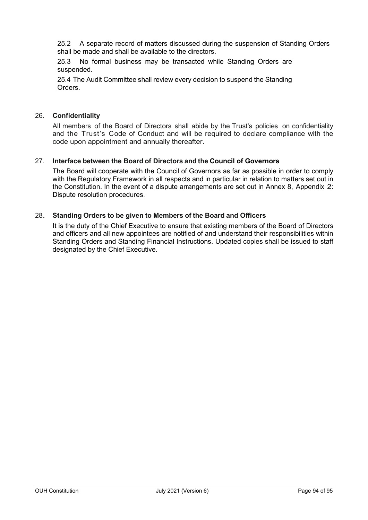25.2 A separate record of matters discussed during the suspension of Standing Orders shall be made and shall be available to the directors.

25.3 No formal business may be transacted while Standing Orders are suspended.

25.4 The Audit Committee shall review every decision to suspend the Standing Orders.

## 26. **Confidentiality**

All members of the Board of Directors shall abide by the Trust's policies on confidentiality and the Trust's Code of Conduct and will be required to declare compliance with the code upon appointment and annually thereafter.

## 27. **Interface between the Board of Directors and the Council of Governors**

The Board will cooperate with the Council of Governors as far as possible in order to comply with the Regulatory Framework in all respects and in particular in relation to matters set out in the Constitution. In the event of a dispute arrangements are set out in Annex 8, [Appendix](#page-96-0) 2: [Dispute resolution procedures.](#page-96-0)

#### 28. **Standing Orders to be given to Members of the Board and Officers**

It is the duty of the Chief Executive to ensure that existing members of the Board of Directors and officers and all new appointees are notified of and understand their responsibilities within Standing Orders and Standing Financial Instructions. Updated copies shall be issued to staff designated by the Chief Executive.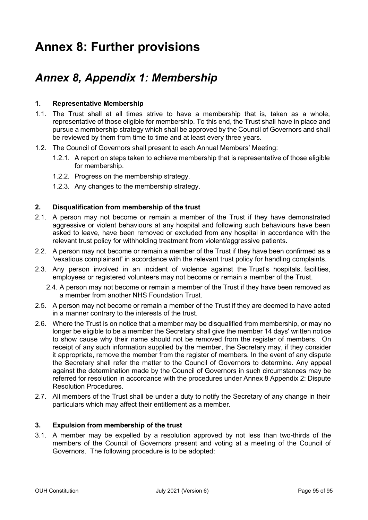# **Annex 8: Further provisions**

## *Annex 8, Appendix 1: Membership*

## **1. Representative Membership**

- 1.1. The Trust shall at all times strive to have a membership that is, taken as a whole, representative of those eligible for membership. To this end, the Trust shall have in place and pursue a membership strategy which shall be approved by the Council of Governors and shall be reviewed by them from time to time and at least every three years.
- 1.2. The Council of Governors shall present to each Annual Members' Meeting:
	- 1.2.1. A report on steps taken to achieve membership that is representative of those eligible for membership.
	- 1.2.2. Progress on the membership strategy.
	- 1.2.3. Any changes to the membership strategy.

#### **2. Disqualification from membership of the trust**

- 2.1. A person may not become or remain a member of the Trust if they have demonstrated aggressive or violent behaviours at any hospital and following such behaviours have been asked to leave, have been removed or excluded from any hospital in accordance with the relevant trust policy for withholding treatment from violent/aggressive patients.
- 2.2. A person may not become or remain a member of the Trust if they have been confirmed as a 'vexatious complainant' in accordance with the relevant trust policy for handling complaints.
- 2.3. Any person involved in an incident of violence against the Trust's hospitals, facilities, employees or registered volunteers may not become or remain a member of the Trust.
	- 2.4. A person may not become or remain a member of the Trust if they have been removed as a member from another NHS Foundation Trust.
- 2.5. A person may not become or remain a member of the Trust if they are deemed to have acted in a manner contrary to the interests of the trust.
- 2.6. Where the Trust is on notice that a member may be disqualified from membership, or may no longer be eligible to be a member the Secretary shall give the member 14 days' written notice to show cause why their name should not be removed from the register of members. On receipt of any such information supplied by the member, the Secretary may, if they consider it appropriate, remove the member from the register of members. In the event of any dispute the Secretary shall refer the matter to the Council of Governors to determine. Any appeal against the determination made by the Council of Governors in such circumstances may be referred for resolution in accordance with the procedures under Annex 8 Appendix 2: Dispute Resolution Procedures.
- 2.7. All members of the Trust shall be under a duty to notify the Secretary of any change in their particulars which may affect their entitlement as a member.

#### **3. Expulsion from membership of the trust**

3.1. A member may be expelled by a resolution approved by not less than two-thirds of the members of the Council of Governors present and voting at a meeting of the Council of Governors. The following procedure is to be adopted: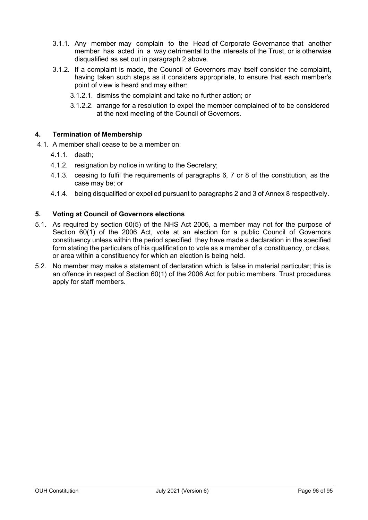- 3.1.1. Any member may complain to the Head of Corporate Governance that another member has acted in a way detrimental to the interests of the Trust, or is otherwise disqualified as set out in paragraph 2 above.
- 3.1.2. If a complaint is made, the Council of Governors may itself consider the complaint, having taken such steps as it considers appropriate, to ensure that each member's point of view is heard and may either:
	- 3.1.2.1. dismiss the complaint and take no further action; or
	- 3.1.2.2. arrange for a resolution to expel the member complained of to be considered at the next meeting of the Council of Governors.

## **4. Termination of Membership**

- 4.1. A member shall cease to be a member on:
	- 4.1.1. death;
	- 4.1.2. resignation by notice in writing to the Secretary;
	- 4.1.3. ceasing to fulfil the requirements of paragraphs 6, 7 or 8 of the constitution, as the case may be; or
	- 4.1.4. being disqualified or expelled pursuant to paragraphs 2 and 3 of Annex 8 respectively.

## **5. Voting at Council of Governors elections**

- 5.1. As required by section 60(5) of the NHS Act 2006, a member may not for the purpose of Section 60(1) of the 2006 Act, vote at an election for a public Council of Governors constituency unless within the period specified they have made a declaration in the specified form stating the particulars of his qualification to vote as a member of a constituency, or class, or area within a constituency for which an election is being held.
- 5.2. No member may make a statement of declaration which is false in material particular; this is an offence in respect of Section 60(1) of the 2006 Act for public members. Trust procedures apply for staff members.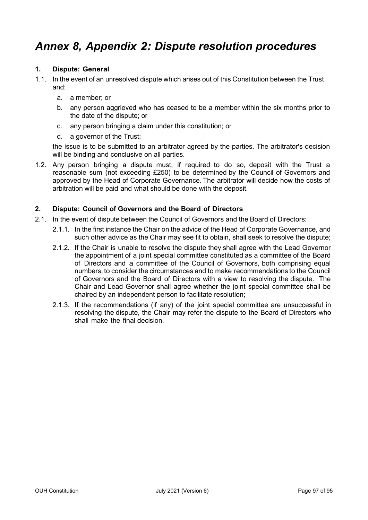# <span id="page-96-0"></span>*Annex 8, Appendix 2: Dispute resolution procedures*

## **1. Dispute: General**

- 1.1. In the event of an unresolved dispute which arises out of this Constitution between the Trust and:
	- a. a member; or
	- b. any person aggrieved who has ceased to be a member within the six months prior to the date of the dispute; or
	- c. any person bringing a claim under this constitution; or
	- d. a governor of the Trust;

the issue is to be submitted to an arbitrator agreed by the parties. The arbitrator's decision will be binding and conclusive on all parties.

1.2. Any person bringing a dispute must, if required to do so, deposit with the Trust a reasonable sum (not exceeding £250) to be determined by the Council of Governors and approved by the Head of Corporate Governance. The arbitrator will decide how the costs of arbitration will be paid and what should be done with the deposit.

#### **2. Dispute: Council of Governors and the Board of Directors**

- 2.1. In the event of dispute between the Council of Governors and the Board of Directors:
	- 2.1.1. In the first instance the Chair on the advice of the Head of Corporate Governance, and such other advice as the Chair may see fit to obtain, shall seek to resolve the dispute;
	- 2.1.2. If the Chair is unable to resolve the dispute they shall agree with the Lead Governor the appointment of a joint special committee constituted as a committee of the Board of Directors and a committee of the Council of Governors, both comprising equal numbers, to consider the circumstances and to make recommendations to the Council of Governors and the Board of Directors with a view to resolving the dispute. The Chair and Lead Governor shall agree whether the joint special committee shall be chaired by an independent person to facilitate resolution;
	- 2.1.3. If the recommendations (if any) of the joint special committee are unsuccessful in resolving the dispute, the Chair may refer the dispute to the Board of Directors who shall make the final decision.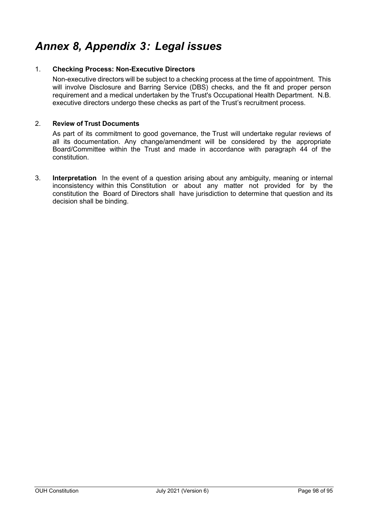# *Annex 8, Appendix 3: Legal issues*

## 1. **Checking Process: Non-Executive Directors**

Non-executive directors will be subject to a checking process at the time of appointment. This will involve Disclosure and Barring Service (DBS) checks, and the fit and proper person requirement and a medical undertaken by the Trust's Occupational Health Department. N.B. executive directors undergo these checks as part of the Trust's recruitment process.

## 2. **Review of Trust Documents**

As part of its commitment to good governance, the Trust will undertake regular reviews of all its documentation. Any change/amendment will be considered by the appropriate Board/Committee within the Trust and made in accordance with paragraph 44 of the constitution.

3. **Interpretation** In the event of a question arising about any ambiguity, meaning or internal inconsistency within this Constitution or about any matter not provided for by the constitution the Board of Directors shall have jurisdiction to determine that question and its decision shall be binding.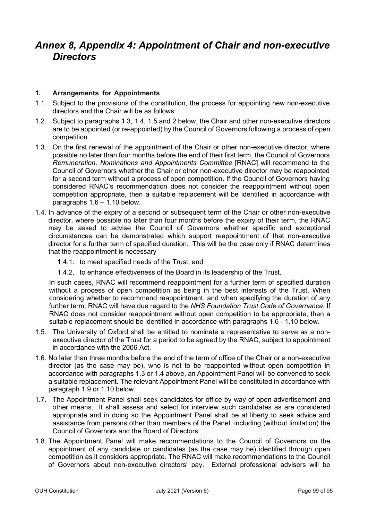## *Annex 8, Appendix 4: Appointment of Chair and non-executive Directors*

## **1. Arrangements for Appointments**

- 1.1. Subject to the provisions of the constitution, the process for appointing new non-executive directors and the Chair will be as follows:
- 1.2. Subject to paragraphs 1.3, 1.4, 1.5 and 2 below, the Chair and other non-executive directors are to be appointed (or re-appointed) by the Council of Governors following a process of open competition.
- 1.3. On the first renewal of the appointment of the Chair or other non-executive director, where possible no later than four months before the end of their first term, the Council of Governors *Remuneration, Nominations and Appointments Committee* [RNAC] will recommend to the Council of Governors whether the Chair or other non-executive director may be reappointed for a second term without a process of open competition. If the Council of Governors having considered RNAC's recommendation does not consider the reappointment without open competition appropriate, then a suitable replacement will be identified in accordance with paragraphs 1.6 – 1.10 below.
- 1.4. In advance of the expiry of a second or subsequent term of the Chair or other non-executive director, where possible no later than four months before the expiry of their term, the RNAC may be asked to advise the Council of Governors whether specific and exceptional circumstances can be demonstrated which support reappointment of that non-executive director for a further term of specified duration. This will be the case only if RNAC determines that the reappointment is necessary
	- 1.4.1. to meet specified needs of the Trust; and
	- 1.4.2. to enhance effectiveness of the Board in its leadership of the Trust.

In such cases, RNAC will recommend reappointment for a further term of specified duration without a process of open competition as being in the best interests of the Trust. When considering whether to recommend reappointment, and when specifying the duration of any further term, RNAC will have due regard to the *NHS Foundation Trust Code of Governance*. If RNAC does not consider reappointment without open competition to be appropriate, then a suitable replacement should be identified in accordance with paragraphs 1.6 - 1.10 below.

- 1.5. The University of Oxford shall be entitled to nominate a representative to serve as a nonexecutive director of the Trust for a period to be agreed by the RNAC, subject to appointment in accordance with the 2006 Act.
- 1.6. No later than three months before the end of the term of office of the Chair or a non-executive director (as the case may be), who is not to be reappointed without open competition in accordance with paragraphs 1.3 or 1.4 above, an Appointment Panel will be convened to seek a suitable replacement. The relevant Appointment Panel will be constituted in accordance with paragraph 1.9 or 1.10 below.
- 1.7. The Appointment Panel shall seek candidates for office by way of open advertisement and other means. It shall assess and select for interview such candidates as are considered appropriate and in doing so the Appointment Panel shall be at liberty to seek advice and assistance from persons other than members of the Panel, including (without limitation) the Council of Governors and the Board of Directors.
- 1.8. The Appointment Panel will make recommendations to the Council of Governors on the appointment of any candidate or candidates (as the case may be) identified through open competition as it considers appropriate. The RNAC will make recommendations to the Council of Governors about non-executive directors' pay. External professional advisers will be